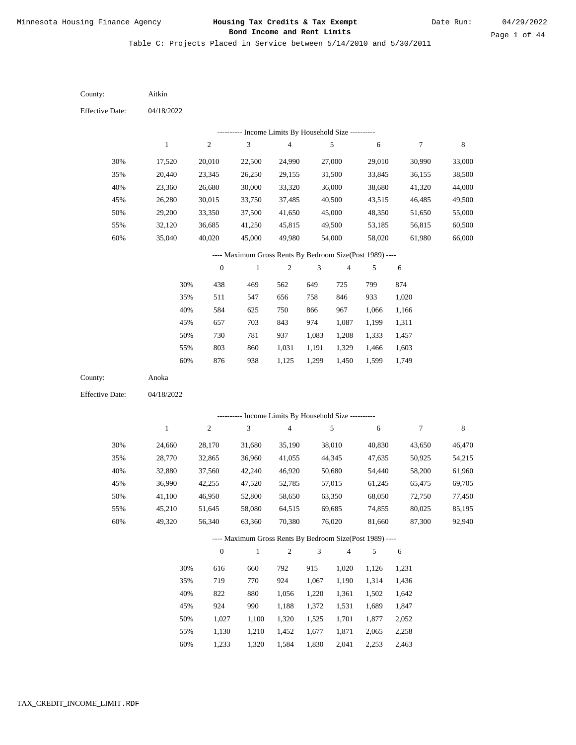Table C: Projects Placed in Service between 5/14/2010 and 5/30/2011

04/18/2022 04/18/2022 Aitkin Anoka 30% 35% 40% 45% 50% 55% 60% 30% 35% 40% 45% 50% 55% 60% 17,520 20,440 23,360 26,280 29,200 32,120 35,040 24,660 28,770 32,880 36,990 41,100 45,210 49,320 20,010 23,345 26,680 30,015 33,350 36,685 40,020 28,170 32,865 37,560 42,255 46,950 51,645 56,340 22,500 26,250 30,000 33,750 37,500 41,250 45,000 31,680 36,960 42,240 47,520 52,800 58,080 63,360 24,990 29,155 33,320 37,485 41,650 45,815 49,980 35,190 41,055 46,920 52,785 58,650 64,515 70,380 27,000 31,500 36,000 40,500 45,000 49,500 54,000 38,010 44,345 50,680 57,015 63,350 69,685 76,020 29,010 33,845 38,680 43,515 48,350 53,185 58,020 40,830 47,635 54,440 61,245 68,050 74,855 81,660 30,990 36,155 41,320 46,485 51,650 56,815 61,980 43,650 50,925 58,200 65,475 72,750 80,025 87,300 33,000 38,500 44,000 49,500 55,000 60,500 66,000 46,470 54,215 61,960 69,705 77,450 85,195 92,940 438 511 584 657 730 803 876 616 719 822 924 1,027 1,130 469 547 625 703 781 860 938 660 770 880 990 1,100 1,210 562 656 750 843 937 1,031 1,125 792 924 1,056 1,188 1,320 1,452 649 758 866 974 1,083 1,191 1,299 915 1,067 1,220 1,372 1,525 1,677 725 846 967 1,087 1,208 1,329 1,450 1,020 1,190 1,361 1,531 1,701 1,871 799 933 1,066 1,199 1,333 1,466 1,599 1,126 1,314 1,502 1,689 1,877 2,065 874 1,020 1,166 1,311 1,457 1,603 1,749 1,231 1,436 1,642 1,847 2,052 2,258 County: County: Effective Date: Effective Date: 1 1 2 2 3 3 4 4 5 5 6 6 7 7 8 8 0 0 1 1 2 2 3 3 4 4 5 5 6 6 ---------- Income Limits By Household Size ---------- ---------- Income Limits By Household Size ---------- ---- Maximum Gross Rents By Bedroom Size(Post 1989) ---- ---- Maximum Gross Rents By Bedroom Size(Post 1989) ---- 30% 35% 40% 45% 50% 55% 60% 30% 35% 40% 45% 50% 55%

1,233

60%

1,320

1,584

1,830

2,041

2,253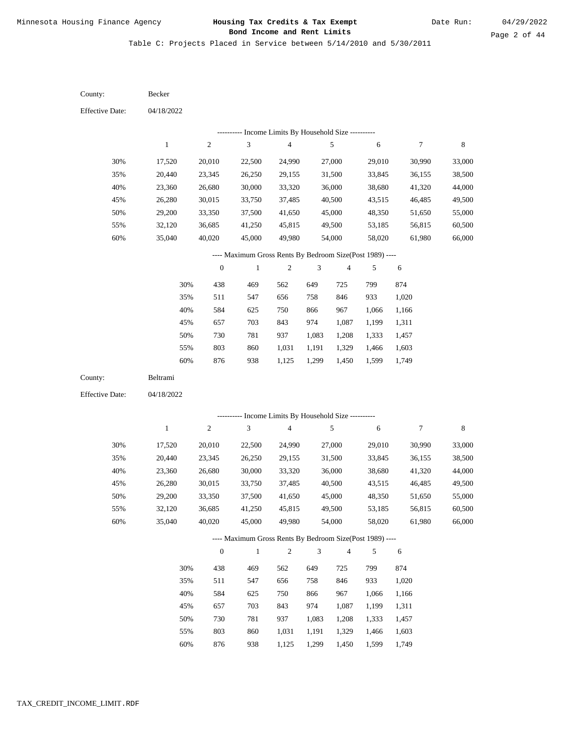Table C: Projects Placed in Service between 5/14/2010 and 5/30/2011

04/18/2022 04/18/2022 Becker Beltrami 30% 35% 40% 45% 50% 55% 60% 30% 35% 40% 45% 50% 55% 60% 17,520 20,440 23,360 26,280 29,200 32,120 35,040 17,520 20,440 23,360 26,280 29,200 32,120 35,040 20,010 23,345 26,680 30,015 33,350 36,685 40,020 20,010 23,345 26,680 30,015 33,350 36,685 40,020 22,500 26,250 30,000 33,750 37,500 41,250 45,000 22,500 26,250 30,000 33,750 37,500 41,250 45,000 24,990 29,155 33,320 37,485 41,650 45,815 49,980 24,990 29,155 33,320 37,485 41,650 45,815 49,980 27,000 31,500 36,000 40,500 45,000 49,500 54,000 27,000 31,500 36,000 40,500 45,000 49,500 54,000 29,010 33,845 38,680 43,515 48,350 53,185 58,020 29,010 33,845 38,680 43,515 48,350 53,185 58,020 30,990 36,155 41,320 46,485 51,650 56,815 61,980 30,990 36,155 41,320 46,485 51,650 56,815 61,980 33,000 38,500 44,000 49,500 55,000 60,500 66,000 33,000 38,500 44,000 49,500 55,000 60,500 66,000 438 511 584 657 730 803 876 438 511 584 657 730 803 876 469 547 625 703 781 860 938 469 547 625 703 781 860 562 656 750 843 937 1,031 1,125 562 656 750 843 937 1,031 649 758 866 974 1,083 1,191 1,299 649 758 866 974 1,083 1,191 725 846 967 1,087 1,208 1,329 1,450 725 846 967 1,087 1,208 1,329 799 933 1,066 1,199 1,333 1,466 1,599 799 933 1,066 1,199 1,333 1,466 1,599 874 1,020 1,166 1,311 1,457 1,603 1,749 874 1,020 1,166 1,311 1,457 1,603 County: County: Effective Date: Effective Date: 1 1 2 2 3 3 4 4 5 5 6 6 7 7 8 8 0 0 1 1 2 2 3 3 4 4 5 5 6 6 ---------- Income Limits By Household Size ---------- ---------- Income Limits By Household Size ---------- ---- Maximum Gross Rents By Bedroom Size(Post 1989) ---- ---- Maximum Gross Rents By Bedroom Size(Post 1989) ---- 30% 35% 40% 45% 50% 55% 60% 30% 35% 40% 45% 50% 55% 60%

938

1,125

1,299

1,450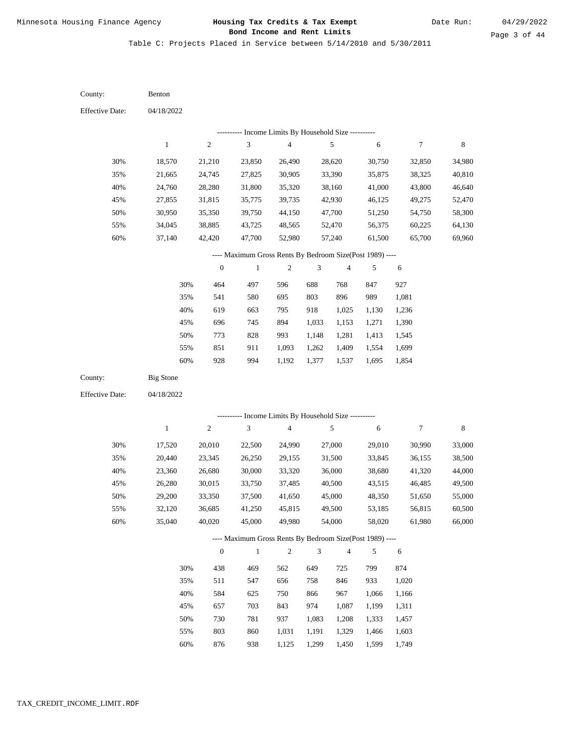Table C: Projects Placed in Service between 5/14/2010 and 5/30/2011

04/18/2022 04/18/2022 Benton Big Stone 30% 35% 40% 45% 50% 55% 60% 30% 35% 40% 45% 50% 55% 60% 18,570 21,665 24,760 27,855 30,950 34,045 37,140 17,520 20,440 23,360 26,280 29,200 32,120 35,040 21,210 24,745 28,280 31,815 35,350 38,885 42,420 20,010 23,345 26,680 30,015 33,350 36,685 40,020 23,850 27,825 31,800 35,775 39,750 43,725 47,700 22,500 26,250 30,000 33,750 37,500 41,250 45,000 26,490 30,905 35,320 39,735 44,150 48,565 52,980 24,990 29,155 33,320 37,485 41,650 45,815 49,980 28,620 33,390 38,160 42,930 47,700 52,470 57,240 27,000 31,500 36,000 40,500 45,000 49,500 54,000 30,750 35,875 41,000 46,125 51,250 56,375 61,500 29,010 33,845 38,680 43,515 48,350 53,185 58,020 32,850 38,325 43,800 49,275 54,750 60,225 65,700 30,990 36,155 41,320 46,485 51,650 56,815 61,980 34,980 40,810 46,640 52,470 58,300 64,130 69,960 33,000 38,500 44,000 49,500 55,000 60,500 66,000 464 541 619 696 773 851 928 438 511 584 657 730 803 876 497 580 663 745 828 911 994 469 547 625 703 781 860 938 596 695 795 894 993 1,093 1,192 562 656 750 843 937 1,031 1,125 688 803 918 1,033 1,148 1,262 1,377 649 758 866 974 1,083 1,191 1,299 768 896 1,025 1,153 1,281 1,409 1,537 725 846 967 1,087 1,208 1,329 1,450 847 989 1,130 1,271 1,413 1,554 1,695 799 933 1,066 1,199 1,333 1,466 1,599 927 1,081 1,236 1,390 1,545 1,699 1,854 874 1,020 1,166 1,311 1,457 1,603 1,749 County: County: Effective Date: Effective Date: 1 1 2 2 3 3 4 4 5 5 6 6 7 7 8 8 0 0 1 1 2 2 3 3 4 4 5 5 6 6 ---------- Income Limits By Household Size ---------- ---------- Income Limits By Household Size ---------- ---- Maximum Gross Rents By Bedroom Size(Post 1989) ---- ---- Maximum Gross Rents By Bedroom Size(Post 1989) ---- 30% 35% 40% 45% 50% 55% 60% 30% 35% 40% 45% 50% 55% 60%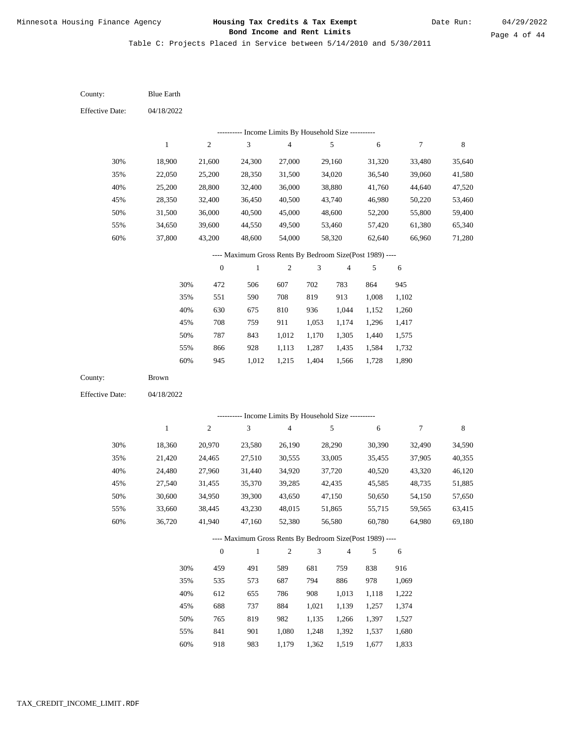Table C: Projects Placed in Service between 5/14/2010 and 5/30/2011

04/18/2022 04/18/2022 Blue Earth Brown 30% 35% 40% 45% 50% 55% 60% 30% 35% 40% 45% 50% 55% 60% 18,900 22,050 25,200 28,350 31,500 34,650 37,800 18,360 21,420 24,480 27,540 30,600 33,660 36,720 21,600 25,200 28,800 32,400 36,000 39,600 43,200 20,970 24,465 27,960 31,455 34,950 38,445 41,940 24,300 28,350 32,400 36,450 40,500 44,550 48,600 23,580 27,510 31,440 35,370 39,300 43,230 47,160 27,000 31,500 36,000 40,500 45,000 49,500 54,000 26,190 30,555 34,920 39,285 43,650 48,015 52,380 29,160 34,020 38,880 43,740 48,600 53,460 58,320 28,290 33,005 37,720 42,435 47,150 51,865 56,580 31,320 36,540 41,760 46,980 52,200 57,420 62,640 30,390 35,455 40,520 45,585 50,650 55,715 60,780 33,480 39,060 44,640 50,220 55,800 61,380 66,960 32,490 37,905 43,320 48,735 54,150 59,565 64,980 35,640 41,580 47,520 53,460 59,400 65,340 71,280 34,590 40,355 46,120 51,885 57,650 63,415 69,180 472 551 630 708 787 866 945 459 535 612 688 765 841 506 590 675 759 843 928 1,012 491 573 655 737 819 901 607 708 810 911 1,012 1,113 1,215 589 687 786 884 982 1,080 702 819 936 1,053 1,170 1,287 1,404 681 794 908 1,021 1,135 1,248 783 913 1,044 1,174 1,305 1,435 1,566 759 886 1,013 1,139 1,266 1,392 864 1,008 1,152 1,296 1,440 1,584 1,728 838 978 1,118 1,257 1,397 1,537 945 1,102 1,260 1,417 1,575 1,732 1,890 916 1,069 1,222 1,374 1,527 1,680 County: County: Effective Date: Effective Date: 1 1 2 2 3 3 4 4 5 5 6 6 7 7 8 8 0 0 1 1 2 2 3 3 4 4 5 5 6 6 ---------- Income Limits By Household Size ---------- ---------- Income Limits By Household Size ---------- ---- Maximum Gross Rents By Bedroom Size(Post 1989) ---- ---- Maximum Gross Rents By Bedroom Size(Post 1989) ---- 30% 35% 40% 45% 50% 55% 60% 30% 35% 40% 45% 50% 55%

918

60%

983

1,179

1,362

1,519

1,677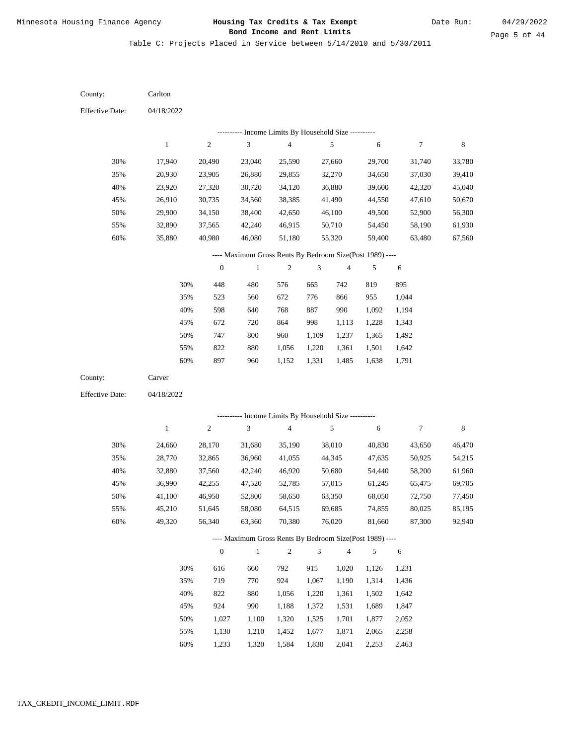Table C: Projects Placed in Service between 5/14/2010 and 5/30/2011

| County:                | Carlton      |                  |                                                           |                         |                |                          |        |            |             |
|------------------------|--------------|------------------|-----------------------------------------------------------|-------------------------|----------------|--------------------------|--------|------------|-------------|
| <b>Effective Date:</b> | 04/18/2022   |                  |                                                           |                         |                |                          |        |            |             |
|                        |              |                  | --------- Income Limits By Household Size ----------      |                         |                |                          |        |            |             |
|                        | $\mathbf{1}$ | $\mathfrak{2}$   | 3                                                         | $\overline{\mathbf{4}}$ |                | 5                        | 6      | 7          | $\,$ 8 $\,$ |
| 30%                    | 17,940       | 20,490           | 23,040                                                    | 25,590                  |                | 27,660                   | 29,700 | 31,740     | 33,780      |
| 35%                    | 20,930       | 23,905           | 26,880                                                    | 29,855                  |                | 32,270                   | 34,650 | 37,030     | 39,410      |
| 40%                    | 23,920       | 27,320           | 30,720                                                    | 34,120                  |                | 36,880                   | 39,600 | 42,320     | 45,040      |
| 45%                    | 26,910       | 30,735           | 34,560                                                    | 38,385                  |                | 41,490                   | 44,550 | 47,610     | 50,670      |
| 50%                    | 29,900       | 34,150           | 38,400                                                    | 42,650                  |                | 46,100                   | 49,500 | 52,900     | 56,300      |
| 55%                    | 32,890       | 37,565           | 42,240                                                    | 46,915                  |                | 50,710                   | 54,450 | 58,190     | 61,930      |
| 60%                    | 35,880       | 40,980           | 46,080                                                    | 51,180                  |                | 55,320                   | 59,400 | 63,480     | 67,560      |
|                        |              |                  | ---- Maximum Gross Rents By Bedroom Size(Post 1989) ----  |                         |                |                          |        |            |             |
|                        |              | $\boldsymbol{0}$ | $\mathbf{1}$                                              | $\sqrt{2}$              | 3              | $\overline{\mathcal{A}}$ | 5      | 6          |             |
|                        | 30%          | 448              | 480                                                       | 576                     | 665            | 742                      | 819    | 895        |             |
|                        | 35%          | 523              | 560                                                       | 672                     | 776            | 866                      | 955    | 1,044      |             |
|                        | 40%          | 598              | 640                                                       | 768                     | 887            | 990                      | 1,092  | 1,194      |             |
|                        | 45%          | 672              | 720                                                       | 864                     | 998            | 1,113                    | 1,228  | 1,343      |             |
|                        | 50%          | 747              | 800                                                       | 960                     | 1,109          | 1,237                    | 1,365  | 1,492      |             |
|                        | 55%          | 822              | 880                                                       | 1,056                   | 1,220          | 1,361                    | 1,501  | 1,642      |             |
|                        | 60%          | 897              | 960                                                       | 1,152                   | 1,331          | 1,485                    | 1,638  | 1,791      |             |
| County:                | Carver       |                  |                                                           |                         |                |                          |        |            |             |
| <b>Effective Date:</b> | 04/18/2022   |                  |                                                           |                         |                |                          |        |            |             |
|                        |              |                  |                                                           |                         |                |                          |        |            |             |
|                        |              |                  | --------- Income Limits By Household Size ----------<br>3 |                         |                |                          |        |            |             |
|                        | $\mathbf{1}$ | $\mathfrak{2}$   |                                                           | $\overline{4}$          |                | 5                        | 6      | $\tau$     | 8           |
| 30%                    | 24,660       | 28,170           | 31,680                                                    | 35,190                  |                | 38,010                   | 40,830 | 43,650     | 46,470      |
| 35%                    | 28,770       | 32,865           | 36,960                                                    | 41,055                  |                | 44,345                   | 47,635 | 50,925     | 54,215      |
| 40%                    | 32,880       | 37,560           | 42,240                                                    | 46,920                  |                | 50,680                   | 54,440 | 58,200     | 61,960      |
| 45%                    | 36,990       | 42,255           | 47,520                                                    | 52,785                  |                | 57,015                   | 61,245 | 65,475     | 69,705      |
| 50%                    | 41,100       | 46,950           | 52,800                                                    | 58,650                  |                | 63,350                   | 68,050 | 72,750     | 77,450      |
| 55%                    | 45,210       | 51,645           | 58,080                                                    | 64,515                  |                | 69,685                   | 74,855 | 80,025     | 85,195      |
| 60%                    | 49,320       | 56,340           | 63,360                                                    | 70,380                  |                | 76,020                   | 81,660 | 87,300     | 92,940      |
|                        |              |                  | ---- Maximum Gross Rents By Bedroom Size(Post 1989) ----  |                         |                |                          |        |            |             |
|                        |              | $\boldsymbol{0}$ | $\mathbf{1}$                                              | $\sqrt{2}$              | $\mathfrak{Z}$ | $\overline{4}$           | 5      | $\sqrt{6}$ |             |
|                        | 30%          | 616              | 660                                                       | 792                     | 915            | 1,020                    | 1,126  | 1,231      |             |
|                        | 35%          | 719              | 770                                                       | 924                     | 1,067          | 1,190                    | 1,314  | 1,436      |             |
|                        | 40%          | 822              | 880                                                       | 1,056                   | 1,220          | 1,361                    | 1,502  | 1,642      |             |
|                        | 45%          | 924              | 990                                                       | 1,188                   | 1,372          | 1,531                    | 1,689  | 1,847      |             |
|                        | 50%          | 1,027            | 1,100                                                     | 1,320                   | 1,525          | 1,701                    | 1,877  | 2,052      |             |
|                        | 55%          | 1,130            | 1,210                                                     | 1,452                   | 1,677          | 1,871                    | 2,065  | 2,258      |             |

1,233 1,320 1,584 1,830 2,041 2,253 2,463 60%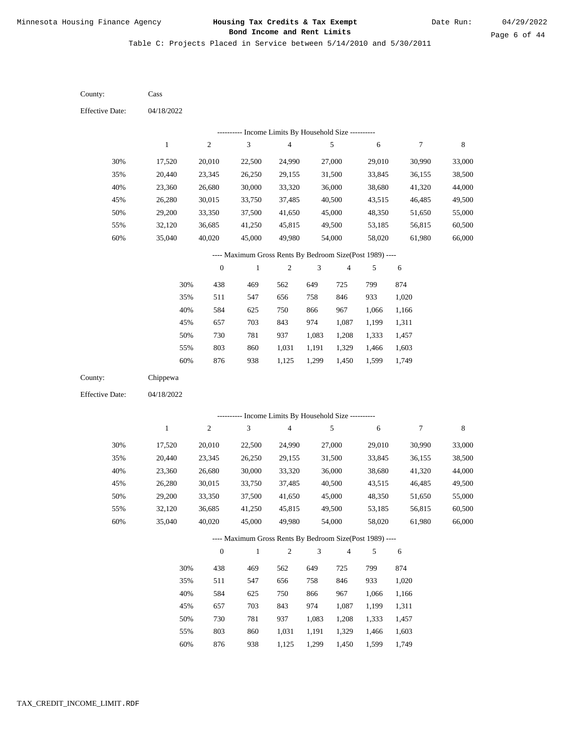Table C: Projects Placed in Service between 5/14/2010 and 5/30/2011

04/18/2022 04/18/2022 Cass Chippewa 30% 35% 40% 45% 50% 55% 60% 30% 35% 40% 45% 50% 55% 60% 17,520 20,440 23,360 26,280 29,200 32,120 35,040 17,520 20,440 23,360 26,280 29,200 32,120 35,040 20,010 23,345 26,680 30,015 33,350 36,685 40,020 20,010 23,345 26,680 30,015 33,350 36,685 40,020 22,500 26,250 30,000 33,750 37,500 41,250 45,000 22,500 26,250 30,000 33,750 37,500 41,250 45,000 24,990 29,155 33,320 37,485 41,650 45,815 49,980 24,990 29,155 33,320 37,485 41,650 45,815 49,980 27,000 31,500 36,000 40,500 45,000 49,500 54,000 27,000 31,500 36,000 40,500 45,000 49,500 54,000 29,010 33,845 38,680 43,515 48,350 53,185 58,020 29,010 33,845 38,680 43,515 48,350 53,185 58,020 30,990 36,155 41,320 46,485 51,650 56,815 61,980 30,990 36,155 41,320 46,485 51,650 56,815 61,980 33,000 38,500 44,000 49,500 55,000 60,500 66,000 33,000 38,500 44,000 49,500 55,000 60,500 66,000 438 511 584 657 730 803 876 438 511 584 657 730 803 876 469 547 625 703 781 860 938 469 547 625 703 781 860 938 562 656 750 843 937 1,031 1,125 562 656 750 843 937 1,031 1,125 649 758 866 974 1,083 1,191 1,299 649 758 866 974 1,083 1,191 1,299 725 846 967 1,087 1,208 1,329 1,450 725 846 967 1,087 1,208 1,329 1,450 799 933 1,066 1,199 1,333 1,466 1,599 799 933 1,066 1,199 1,333 1,466 1,599 874 1,020 1,166 1,311 1,457 1,603 1,749 874 1,020 1,166 1,311 1,457 1,603 1,749 County: County: Effective Date: Effective Date: 1 1 2 2 3 3 4 4 5 5 6 6 7 7 8 8 0 0 1 1 2 2 3 3 4 4 5 5 6 6 ---------- Income Limits By Household Size ---------- ---------- Income Limits By Household Size ---------- ---- Maximum Gross Rents By Bedroom Size(Post 1989) ---- ---- Maximum Gross Rents By Bedroom Size(Post 1989) ---- 30% 35% 40% 45% 50% 55% 60% 30% 35% 40% 45% 50% 55% 60%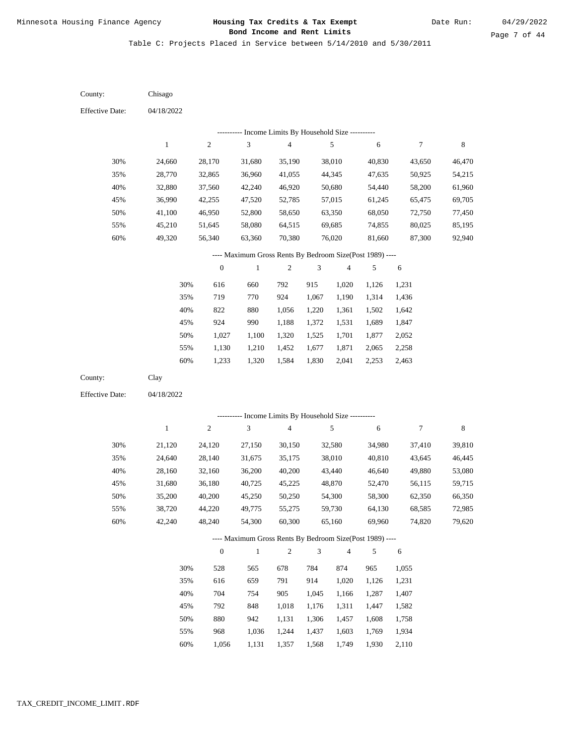Table C: Projects Placed in Service between 5/14/2010 and 5/30/2011

| County:                | Chisago      |                  |                                                          |                         |            |                          |        |            |             |
|------------------------|--------------|------------------|----------------------------------------------------------|-------------------------|------------|--------------------------|--------|------------|-------------|
| <b>Effective Date:</b> | 04/18/2022   |                  |                                                          |                         |            |                          |        |            |             |
|                        |              |                  | --------- Income Limits By Household Size ----------     |                         |            |                          |        |            |             |
|                        | $\mathbf{1}$ | $\boldsymbol{2}$ | $\ensuremath{\mathfrak{Z}}$                              | 4                       |            | 5                        | 6      | 7          | $\,$ 8 $\,$ |
| 30%                    | 24,660       | 28,170           | 31,680                                                   | 35,190                  |            | 38,010                   | 40,830 | 43,650     | 46,470      |
| 35%                    | 28,770       | 32,865           | 36,960                                                   | 41,055                  |            | 44,345                   | 47,635 | 50,925     | 54,215      |
| 40%                    | 32,880       | 37,560           | 42,240                                                   | 46,920                  |            | 50,680                   | 54,440 | 58,200     | 61,960      |
| 45%                    | 36,990       | 42,255           | 47,520                                                   | 52,785                  |            | 57,015                   | 61,245 | 65,475     | 69,705      |
| 50%                    | 41,100       | 46,950           | 52,800                                                   | 58,650                  |            | 63,350                   | 68,050 | 72,750     | 77,450      |
| 55%                    | 45,210       | 51,645           | 58,080                                                   | 64,515                  |            | 69,685                   | 74,855 | 80,025     | 85,195      |
| 60%                    | 49,320       | 56,340           | 63,360                                                   | 70,380                  |            | 76,020                   | 81,660 | 87,300     | 92,940      |
|                        |              |                  | ---- Maximum Gross Rents By Bedroom Size(Post 1989) ---- |                         |            |                          |        |            |             |
|                        |              | $\boldsymbol{0}$ | $\,1$                                                    | $\boldsymbol{2}$        | 3          | $\overline{\mathcal{A}}$ | 5      | 6          |             |
|                        | 30%          | 616              | 660                                                      | 792                     | 915        | 1,020                    | 1,126  | 1,231      |             |
|                        | 35%          | 719              | 770                                                      | 924                     | 1,067      | 1,190                    | 1,314  | 1,436      |             |
|                        | 40%          | 822              | 880                                                      | 1,056                   | 1,220      | 1,361                    | 1,502  | 1,642      |             |
|                        | 45%          | 924              | 990                                                      | 1,188                   | 1,372      | 1,531                    | 1,689  | 1,847      |             |
|                        | 50%          | 1,027            | 1,100                                                    | 1,320                   | 1,525      | 1,701                    | 1,877  | 2,052      |             |
|                        | 55%          | 1,130            | 1,210                                                    | 1,452                   | 1,677      | 1,871                    | 2,065  | 2,258      |             |
|                        | 60%          | 1,233            | 1,320                                                    | 1,584                   | 1,830      | 2,041                    | 2,253  | 2,463      |             |
| County:                | Clay         |                  |                                                          |                         |            |                          |        |            |             |
| <b>Effective Date:</b> | 04/18/2022   |                  |                                                          |                         |            |                          |        |            |             |
|                        |              |                  | --------- Income Limits By Household Size ----------     |                         |            |                          |        |            |             |
|                        | $\mathbf{1}$ | $\boldsymbol{2}$ | $\mathfrak{Z}$                                           | $\overline{\mathbf{4}}$ |            | 5                        | 6      | 7          | $\,$ 8 $\,$ |
| 30%                    | 21,120       | 24,120           | 27,150                                                   | 30,150                  |            | 32,580                   | 34,980 | 37,410     | 39,810      |
| 35%                    | 24,640       | 28,140           | 31,675                                                   | 35,175                  |            | 38,010                   | 40,810 | 43,645     | 46,445      |
| 40%                    | 28,160       | 32,160           | 36,200                                                   | 40,200                  |            | 43,440                   | 46,640 | 49,880     | 53,080      |
| 45%                    | 31,680       | 36,180           | 40,725                                                   | 45,225                  |            | 48,870                   | 52,470 | 56,115     | 59,715      |
| 50%                    | 35,200       | 40,200           | 45,250                                                   | 50,250                  |            | 54,300                   | 58,300 | 62,350     | 66,350      |
| 55%                    | 38,720       | 44,220           | 49,775                                                   | 55,275                  |            | 59,730                   | 64,130 | 68,585     | 72,985      |
| $60\%$                 | 42,240       | 48,240           | 54,300                                                   | 60,300                  |            | 65,160                   | 69,960 | 74,820     | 79,620      |
|                        |              |                  | ---- Maximum Gross Rents By Bedroom Size(Post 1989) ---- |                         |            |                          |        |            |             |
|                        |              | $\boldsymbol{0}$ | $\mathbf{1}$                                             | $\sqrt{2}$              | $\sqrt{3}$ | $\overline{4}$           | 5      | $\sqrt{6}$ |             |
|                        | 30%          | 528              | 565                                                      | 678                     | 784        | 874                      | 965    | 1,055      |             |
|                        | 35%          | 616              | 659                                                      | 791                     | 914        | 1,020                    | 1,126  | 1,231      |             |
|                        | 40%          | 704              | 754                                                      | 905                     | 1,045      | 1,166                    | 1,287  | 1,407      |             |
|                        | 45%          | 792              | 848                                                      | 1,018                   | 1,176      | 1,311                    | 1,447  | 1,582      |             |
|                        | 50%          | 880              | 942                                                      | 1,131                   | 1,306      | 1,457                    | 1,608  | 1,758      |             |
|                        | 55%          | 968              | 1,036                                                    | 1,244                   | 1,437      | 1,603                    | 1,769  | 1,934      |             |

1,056 1,131 1,357 1,568 1,749 1,930 2,110 60%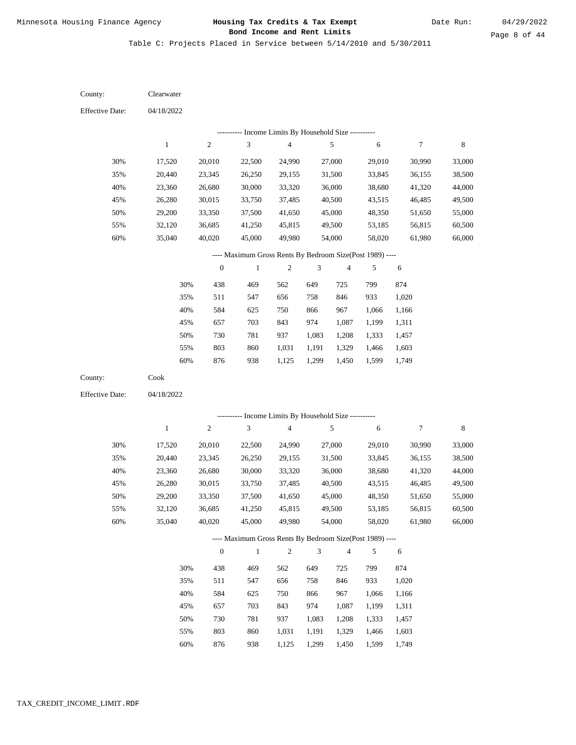Table C: Projects Placed in Service between 5/14/2010 and 5/30/2011

04/18/2022 04/18/2022 Clearwater Cook 30% 35% 40% 45% 50% 55% 60% 30% 35% 40% 45% 50% 55% 60% 17,520 20,440 23,360 26,280 29,200 32,120 35,040 17,520 20,440 23,360 26,280 29,200 32,120 35,040 20,010 23,345 26,680 30,015 33,350 36,685 40,020 20,010 23,345 26,680 30,015 33,350 36,685 40,020 22,500 26,250 30,000 33,750 37,500 41,250 45,000 22,500 26,250 30,000 33,750 37,500 41,250 45,000 24,990 29,155 33,320 37,485 41,650 45,815 49,980 24,990 29,155 33,320 37,485 41,650 45,815 49,980 27,000 31,500 36,000 40,500 45,000 49,500 54,000 27,000 31,500 36,000 40,500 45,000 49,500 54,000 29,010 33,845 38,680 43,515 48,350 53,185 58,020 29,010 33,845 38,680 43,515 48,350 53,185 58,020 30,990 36,155 41,320 46,485 51,650 56,815 61,980 30,990 36,155 41,320 46,485 51,650 56,815 61,980 33,000 38,500 44,000 49,500 55,000 60,500 66,000 33,000 38,500 44,000 49,500 55,000 60,500 66,000 438 511 584 657 730 803 876 438 511 584 657 730 803 469 547 625 703 781 860 938 469 547 625 703 781 860 562 656 750 843 937 1,031 1,125 562 656 750 843 937 1,031 649 758 866 974 1,083 1,191 1,299 649 758 866 974 1,083 1,191 725 846 967 1,087 1,208 1,329 1,450 725 846 967 1,087 1,208 1,329 799 933 1,066 1,199 1,333 1,466 1,599 799 933 1,066 1,199 1,333 1,466 874 1,020 1,166 1,311 1,457 1,603 1,749 874 1,020 1,166 1,311 1,457 1,603 County: County: Effective Date: Effective Date: 1 1 2 2 3 3 4 4 5 5 6 6 7 7 8 8 0 0 1 1 2 2 3 3 4 4 5 5 6 6 ---------- Income Limits By Household Size ---------- ---------- Income Limits By Household Size ---------- ---- Maximum Gross Rents By Bedroom Size(Post 1989) ---- ---- Maximum Gross Rents By Bedroom Size(Post 1989) ---- 30% 35% 40% 45% 50% 55% 60% 30% 35% 40% 45% 50% 55%

876

60%

938

1,125

1,299

1,450

1,599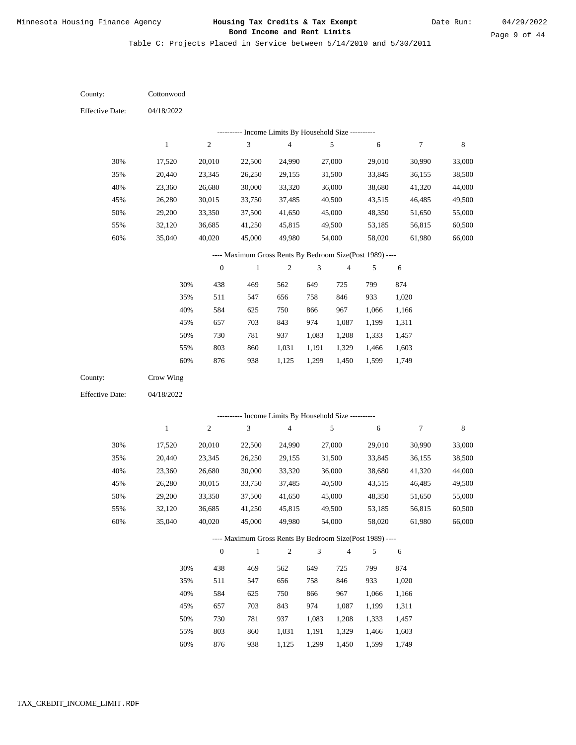Table C: Projects Placed in Service between 5/14/2010 and 5/30/2011

04/18/2022 04/18/2022 **Cottonwood** Crow Wing 30% 35% 40% 45% 50% 55% 60% 30% 35% 40% 45% 50% 55% 60% 17,520 20,440 23,360 26,280 29,200 32,120 35,040 17,520 20,440 23,360 26,280 29,200 32,120 35,040 20,010 23,345 26,680 30,015 33,350 36,685 40,020 20,010 23,345 26,680 30,015 33,350 36,685 40,020 22,500 26,250 30,000 33,750 37,500 41,250 45,000 22,500 26,250 30,000 33,750 37,500 41,250 45,000 24,990 29,155 33,320 37,485 41,650 45,815 49,980 24,990 29,155 33,320 37,485 41,650 45,815 49,980 27,000 31,500 36,000 40,500 45,000 49,500 54,000 27,000 31,500 36,000 40,500 45,000 49,500 54,000 29,010 33,845 38,680 43,515 48,350 53,185 58,020 29,010 33,845 38,680 43,515 48,350 53,185 58,020 30,990 36,155 41,320 46,485 51,650 56,815 61,980 30,990 36,155 41,320 46,485 51,650 56,815 61,980 33,000 38,500 44,000 49,500 55,000 60,500 66,000 33,000 38,500 44,000 49,500 55,000 60,500 66,000 438 511 584 657 730 803 876 438 511 584 657 730 803 469 547 625 703 781 860 938 469 547 625 703 781 860 562 656 750 843 937 1,031 1,125 562 656 750 843 937 1,031 649 758 866 974 1,083 1,191 1,299 649 758 866 974 1,083 1,191 725 846 967 1,087 1,208 1,329 1,450 725 846 967 1,087 1,208 1,329 799 933 1,066 1,199 1,333 1,466 1,599 799 933 1,066 1,199 1,333 1,466 874 1,020 1,166 1,311 1,457 1,603 1,749 874 1,020 1,166 1,311 1,457 1,603 County: County: Effective Date: Effective Date: 1 1 2 2 3 3 4 4 5 5 6 6 7 7 8 8 0 0 1 1 2 2 3 3 4 4 5 5 6 6 ---------- Income Limits By Household Size ---------- ---------- Income Limits By Household Size ---------- ---- Maximum Gross Rents By Bedroom Size(Post 1989) ---- ---- Maximum Gross Rents By Bedroom Size(Post 1989) ---- 30% 35% 40% 45% 50% 55% 60% 30% 35% 40% 45% 50% 55%

876

60%

938

1,125

1,299

1,450

1,599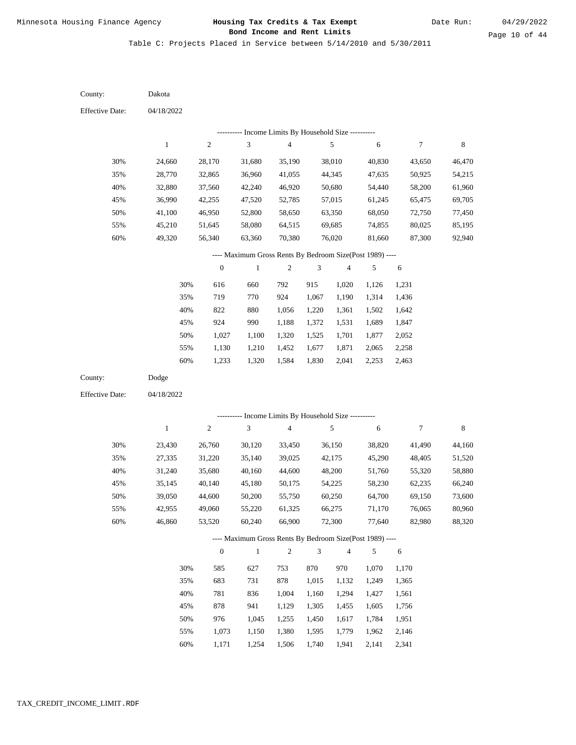Table C: Projects Placed in Service between 5/14/2010 and 5/30/2011

04/18/2022 04/18/2022 Dakota Dodge 30% 35% 40% 45% 50% 55% 60% 30% 35% 40% 45% 50% 55% 60% 24,660 28,770 32,880 36,990 41,100 45,210 49,320 23,430 27,335 31,240 35,145 39,050 42,955 46,860 28,170 32,865 37,560 42,255 46,950 51,645 56,340 26,760 31,220 35,680 40,140 44,600 49,060 53,520 31,680 36,960 42,240 47,520 52,800 58,080 63,360 30,120 35,140 40,160 45,180 50,200 55,220 60,240 35,190 41,055 46,920 52,785 58,650 64,515 70,380 33,450 39,025 44,600 50,175 55,750 61,325 66,900 38,010 44,345 50,680 57,015 63,350 69,685 76,020 36,150 42,175 48,200 54,225 60,250 66,275 72,300 40,830 47,635 54,440 61,245 68,050 74,855 81,660 38,820 45,290 51,760 58,230 64,700 71,170 77,640 43,650 50,925 58,200 65,475 72,750 80,025 87,300 41,490 48,405 55,320 62,235 69,150 76,065 82,980 46,470 54,215 61,960 69,705 77,450 85,195 92,940 44,160 51,520 58,880 66,240 73,600 80,960 88,320 616 719 822 924 1,027 1,130 1,233 585 683 781 878 976 1,073 1,171 660 770 880 990 1,100 1,210 1,320 627 731 836 941 1,045 1,150 1,254 792 924 1,056 1,188 1,320 1,452 1,584 753 878 1,004 1,129 1,255 1,380 1,506 915 1,067 1,220 1,372 1,525 1,677 1,830 870 1,015 1,160 1,305 1,450 1,595 1,740 1,020 1,190 1,361 1,531 1,701 1,871 2,041 970 1,132 1,294 1,455 1,617 1,779 1,941 1,126 1,314 1,502 1,689 1,877 2,065 2,253 1,070 1,249 1,427 1,605 1,784 1,962 2,141 1,231 1,436 1,642 1,847 2,052 2,258 2,463 1,170 1,365 1,561 1,756 1,951 2,146 2,341 County: County: Effective Date: Effective Date: 1 1 2 2 3 3 4 4 5 5 6 6 7 7 8 8 0 0 1 1 2 2 3 3 4 4 5 5 6 6 ---------- Income Limits By Household Size ---------- ---------- Income Limits By Household Size ---------- ---- Maximum Gross Rents By Bedroom Size(Post 1989) ---- ---- Maximum Gross Rents By Bedroom Size(Post 1989) ---- 30% 35% 40% 45% 50% 55% 60% 30% 35% 40% 45% 50% 55% 60%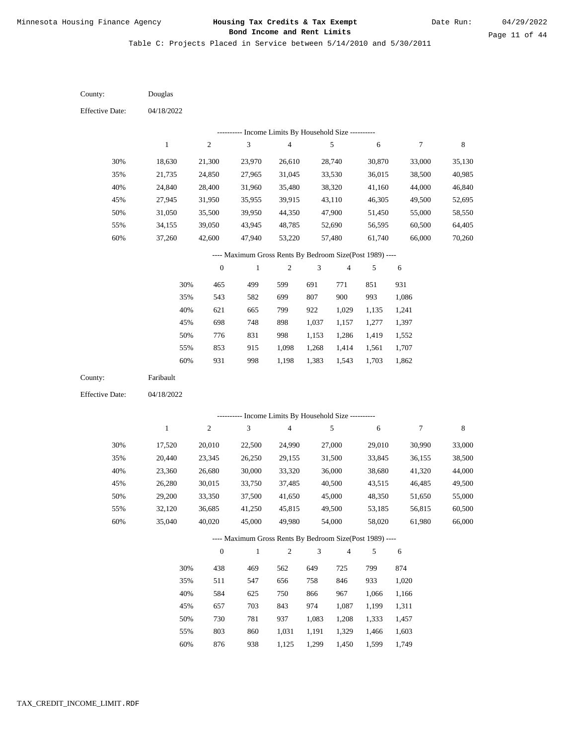Table C: Projects Placed in Service between 5/14/2010 and 5/30/2011

| County:                | Douglas      |                  |                                                          |                                            |                             |                          |        |                  |         |
|------------------------|--------------|------------------|----------------------------------------------------------|--------------------------------------------|-----------------------------|--------------------------|--------|------------------|---------|
| <b>Effective Date:</b> | 04/18/2022   |                  |                                                          |                                            |                             |                          |        |                  |         |
|                        |              |                  | ---------- Income Limits By Household Size ----------    |                                            |                             |                          |        |                  |         |
|                        | $\,1$        | $\sqrt{2}$       | $\sqrt{3}$                                               | $\overline{\mathbf{4}}$                    |                             | $\sqrt{5}$               | 6      | $\boldsymbol{7}$ | $\,8\,$ |
|                        |              |                  |                                                          |                                            |                             |                          |        |                  |         |
| 30%                    | 18,630       | 21,300           | 23,970                                                   | 26,610                                     |                             | 28,740                   | 30,870 | 33,000           | 35,130  |
| 35%                    | 21,735       | 24,850           | 27,965                                                   | 31,045                                     |                             | 33,530                   | 36,015 | 38,500           | 40,985  |
| 40%                    | 24,840       | 28,400           | 31,960                                                   | 35,480                                     |                             | 38,320                   | 41,160 | 44,000           | 46,840  |
| 45%                    | 27,945       | 31,950           | 35,955                                                   | 39,915                                     |                             | 43,110                   | 46,305 | 49,500           | 52,695  |
| 50%                    | 31,050       | 35,500           | 39,950                                                   | 44,350                                     |                             | 47,900                   | 51,450 | 55,000           | 58,550  |
| 55%                    | 34,155       | 39,050           | 43,945                                                   | 48,785                                     |                             | 52,690                   | 56,595 | 60,500           | 64,405  |
| 60%                    | 37,260       | 42,600           | 47,940                                                   | 53,220                                     |                             | 57,480                   | 61,740 | 66,000           | 70,260  |
|                        |              |                  | ---- Maximum Gross Rents By Bedroom Size(Post 1989) ---- |                                            |                             |                          |        |                  |         |
|                        |              | $\boldsymbol{0}$ | $\mathbf{1}$                                             | $\overline{c}$                             | 3                           | $\overline{\mathbf{4}}$  | 5      | 6                |         |
|                        | 30%          | 465              | 499                                                      | 599                                        | 691                         | 771                      | 851    | 931              |         |
|                        | 35%          | 543              | 582                                                      | 699                                        | 807                         | 900                      | 993    | 1,086            |         |
|                        | 40%          | 621              | 665                                                      | 799                                        | 922                         | 1,029                    | 1,135  | 1,241            |         |
|                        | 45%          | 698              | 748                                                      | 898                                        | 1,037                       | 1,157                    | 1,277  | 1,397            |         |
|                        | 50%          | 776              | 831                                                      | 998                                        | 1,153                       | 1,286                    | 1,419  | 1,552            |         |
|                        | 55%          | 853              | 915                                                      | 1,098                                      | 1,268                       | 1,414                    | 1,561  | 1,707            |         |
|                        | 60%          | 931              | 998                                                      | 1,198                                      | 1,383                       | 1,543                    | 1,703  | 1,862            |         |
|                        |              |                  |                                                          |                                            |                             |                          |        |                  |         |
| County:                | Faribault    |                  |                                                          |                                            |                             |                          |        |                  |         |
| <b>Effective Date:</b> | 04/18/2022   |                  |                                                          |                                            |                             |                          |        |                  |         |
|                        |              |                  |                                                          |                                            |                             |                          |        |                  |         |
|                        |              |                  |                                                          | Income Limits By Household Size ---------- |                             |                          |        |                  |         |
|                        | $\mathbf{1}$ | $\overline{c}$   | 3                                                        | $\overline{\mathbf{4}}$                    |                             | $\sqrt{5}$               | 6      | $\tau$           | 8       |
| 30%                    | 17,520       | 20,010           | 22,500                                                   | 24,990                                     |                             | 27,000                   | 29,010 | 30,990           | 33,000  |
| 35%                    | 20,440       | 23,345           | 26,250                                                   | 29,155                                     |                             | 31,500                   | 33,845 | 36,155           | 38,500  |
| 40%                    | 23,360       | 26,680           | 30,000                                                   | 33,320                                     |                             | 36,000                   | 38,680 | 41,320           | 44,000  |
| 45%                    | 26,280       | 30,015           | 33,750                                                   | 37,485                                     |                             | 40,500                   | 43,515 | 46,485           | 49,500  |
| 50%                    | 29,200       | 33,350           | 37,500                                                   | 41,650                                     |                             | 45,000                   | 48,350 | 51,650           | 55,000  |
| 55%                    | 32,120       | 36,685           | 41,250                                                   | 45,815                                     |                             | 49,500                   | 53,185 | 56,815           | 60,500  |
| 60%                    | 35,040       | 40,020           | 45,000                                                   | 49,980                                     |                             | 54,000                   | 58,020 | 61,980           | 66,000  |
|                        |              |                  | ---- Maximum Gross Rents By Bedroom Size(Post 1989) ---- |                                            |                             |                          |        |                  |         |
|                        |              | $\boldsymbol{0}$ | $\mathbf{1}$                                             | $\overline{c}$                             | $\ensuremath{\mathfrak{Z}}$ | $\overline{\mathcal{A}}$ | 5      | 6                |         |
|                        | 30%          | 438              | 469                                                      | 562                                        | 649                         | 725                      | 799    | 874              |         |
|                        | 35%          | 511              | 547                                                      | 656                                        | 758                         | 846                      | 933    | 1,020            |         |
|                        | 40%          | 584              | 625                                                      | 750                                        | 866                         | 967                      | 1,066  | 1,166            |         |
|                        | 45%          | 657              | 703                                                      | 843                                        | 974                         | 1,087                    | 1,199  | 1,311            |         |
|                        | 50%          | 730              | 781                                                      | 937                                        | 1,083                       | 1,208                    | 1,333  | 1,457            |         |
|                        | 55%          | 803              | 860                                                      | 1,031                                      | 1,191                       | 1,329                    | 1,466  | 1,603            |         |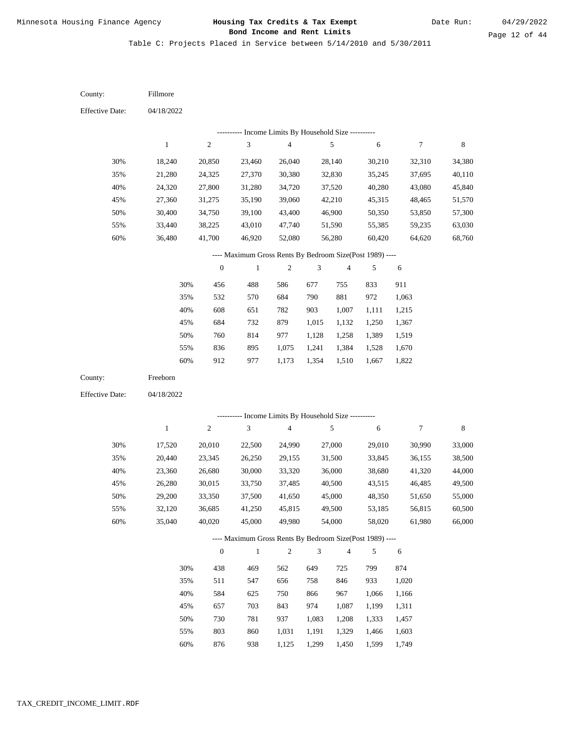Table C: Projects Placed in Service between 5/14/2010 and 5/30/2011

| County:                | Fillmore         |                  |                                                                          |                                            |                |                         |                  |                  |                  |
|------------------------|------------------|------------------|--------------------------------------------------------------------------|--------------------------------------------|----------------|-------------------------|------------------|------------------|------------------|
| <b>Effective Date:</b> | 04/18/2022       |                  |                                                                          |                                            |                |                         |                  |                  |                  |
|                        |                  |                  |                                                                          | Income Limits By Household Size ---------- |                |                         |                  |                  |                  |
|                        | $\mathbf{1}$     | $\boldsymbol{2}$ | $\mathfrak{Z}$                                                           | $\sqrt{4}$                                 |                | 5                       | $\sqrt{6}$       | $\boldsymbol{7}$ | $\,$ 8 $\,$      |
| 30%                    | 18,240           | 20,850           | 23,460                                                                   | 26,040                                     |                | 28,140                  | 30,210           | 32,310           | 34,380           |
| 35%                    | 21,280           | 24,325           | 27,370                                                                   | 30,380                                     |                | 32,830                  | 35,245           | 37,695           | 40,110           |
| 40%                    | 24,320           | 27,800           | 31,280                                                                   | 34,720                                     |                | 37,520                  | 40,280           | 43,080           | 45,840           |
| 45%                    | 27,360           | 31,275           | 35,190                                                                   | 39,060                                     |                | 42,210                  | 45,315           | 48,465           | 51,570           |
| 50%                    | 30,400           | 34,750           | 39,100                                                                   | 43,400                                     |                | 46,900                  | 50,350           | 53,850           | 57,300           |
| 55%                    | 33,440           | 38,225           | 43,010                                                                   | 47,740                                     |                | 51,590                  | 55,385           | 59,235           | 63,030           |
| 60%                    | 36,480           | 41,700           | 46,920                                                                   | 52,080                                     |                | 56,280                  | 60,420           | 64,620           | 68,760           |
|                        |                  |                  | ---- Maximum Gross Rents By Bedroom Size(Post 1989) ----                 |                                            |                |                         |                  |                  |                  |
|                        |                  | $\boldsymbol{0}$ | $\mathbf{1}$                                                             | $\mathbf{2}$                               | 3              | $\overline{\mathbf{4}}$ | 5                | 6                |                  |
|                        | 30%              | 456              | 488                                                                      | 586                                        | 677            | 755                     | 833              | 911              |                  |
|                        | 35%              | 532              | 570                                                                      | 684                                        | 790            | 881                     | 972              | 1,063            |                  |
|                        | 40%              | 608              | 651                                                                      | 782                                        | 903            | 1,007                   | 1,111            | 1,215            |                  |
|                        | 45%              | 684              | 732                                                                      | 879                                        | 1,015          | 1,132                   | 1,250            | 1,367            |                  |
|                        | 50%              | 760              | 814                                                                      | 977                                        | 1,128          | 1,258                   | 1,389            | 1,519            |                  |
|                        | 55%              | 836              | 895                                                                      | 1,075                                      | 1,241          | 1,384                   | 1,528            | 1,670            |                  |
|                        | 60%              | 912              | 977                                                                      | 1,173                                      | 1,354          | 1,510                   | 1,667            | 1,822            |                  |
| County:                | Freeborn         |                  |                                                                          |                                            |                |                         |                  |                  |                  |
| <b>Effective Date:</b> | 04/18/2022       |                  |                                                                          |                                            |                |                         |                  |                  |                  |
|                        |                  |                  | --------- Income Limits By Household Size ---------                      |                                            |                |                         |                  |                  |                  |
|                        | $\,1\,$          | $\sqrt{2}$       | 3                                                                        | $\sqrt{4}$                                 |                | 5                       | 6                | $\boldsymbol{7}$ | $\,$ 8 $\,$      |
|                        |                  |                  |                                                                          |                                            |                |                         |                  |                  |                  |
| 30%                    | 17,520           | 20,010           | 22,500                                                                   | 24,990                                     |                | 27,000                  | 29,010           | 30,990           | 33,000           |
| 35%                    | 20,440           | 23,345           | 26,250                                                                   | 29,155                                     |                | 31,500                  | 33,845           | 36,155           | 38,500           |
| 40%                    | 23,360           | 26,680           | 30,000                                                                   | 33,320                                     |                | 36,000                  | 38,680           | 41,320<br>46,485 | 44,000           |
| 45%                    | 26,280<br>29,200 | 30,015           | 33,750                                                                   | 37,485                                     |                | 40,500                  | 43,515<br>48,350 | 51,650           | 49,500           |
| 50%                    |                  | 33,350           | 37,500                                                                   | 41,650                                     |                | 45,000                  |                  |                  | 55,000           |
| 55%<br>60%             | 32,120<br>35,040 | 36,685<br>40,020 | 41,250<br>45,000                                                         | 45,815<br>49,980                           |                | 49,500<br>54,000        | 53,185<br>58,020 | 56,815<br>61,980 | 60,500<br>66,000 |
|                        |                  |                  |                                                                          |                                            |                |                         |                  |                  |                  |
|                        |                  | $\boldsymbol{0}$ | ---- Maximum Gross Rents By Bedroom Size(Post 1989) ----<br>$\mathbf{1}$ | $\overline{c}$                             | $\sqrt{3}$     | $\sqrt{4}$              | 5                | 6                |                  |
|                        |                  |                  |                                                                          |                                            |                |                         |                  |                  |                  |
|                        | 30%              | 438              | 469                                                                      | 562                                        | 649            | 725                     | 799<br>933       | 874              |                  |
|                        |                  | 511              | 547                                                                      | 656                                        | 758            | 846                     |                  | 1,020            |                  |
|                        | 35%              |                  |                                                                          |                                            |                |                         |                  |                  |                  |
|                        | 40%              | 584              | 625                                                                      | 750                                        | 866            | 967                     | 1,066            | 1,166            |                  |
|                        | 45%              | 657              | 703                                                                      | 843                                        | 974            | 1,087                   | 1,199            | 1,311            |                  |
|                        | 50%<br>55%       | 730<br>803       | 781<br>860                                                               | 937<br>1,031                               | 1,083<br>1,191 | 1,208<br>1,329          | 1,333<br>1,466   | 1,457<br>1,603   |                  |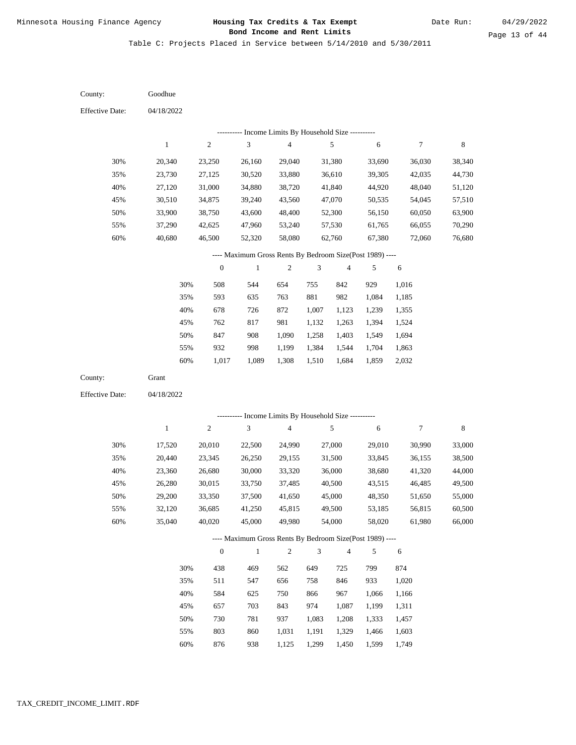Table C: Projects Placed in Service between 5/14/2010 and 5/30/2011

| County:                | Goodhue          |                  |                                                          |                                                              |                |                  |                  |                  |                  |
|------------------------|------------------|------------------|----------------------------------------------------------|--------------------------------------------------------------|----------------|------------------|------------------|------------------|------------------|
| <b>Effective Date:</b> | 04/18/2022       |                  |                                                          |                                                              |                |                  |                  |                  |                  |
|                        |                  |                  |                                                          | Income Limits By Household Size ----------                   |                |                  |                  |                  |                  |
|                        | $\mathbf{1}$     | $\overline{c}$   | 3                                                        | $\overline{\mathbf{4}}$                                      |                | 5                | 6                | $\tau$           | $\,$ 8 $\,$      |
| 30%                    | 20,340           | 23,250           | 26,160                                                   | 29,040                                                       |                | 31,380           | 33,690           | 36,030           | 38,340           |
| 35%                    | 23,730           | 27,125           | 30,520                                                   | 33,880                                                       |                | 36,610           | 39,305           | 42,035           | 44,730           |
| 40%                    | 27,120           | 31,000           | 34,880                                                   | 38,720                                                       |                | 41,840           | 44,920           | 48,040           | 51,120           |
| 45%                    | 30,510           | 34,875           | 39,240                                                   | 43,560                                                       |                | 47,070           | 50,535           | 54,045           | 57,510           |
| 50%                    | 33,900           | 38,750           | 43,600                                                   | 48,400                                                       |                | 52,300           | 56,150           | 60,050           | 63,900           |
| 55%                    | 37,290           | 42,625           | 47,960                                                   | 53,240                                                       |                | 57,530           | 61,765           | 66,055           | 70,290           |
| 60%                    | 40,680           | 46,500           | 52,320                                                   | 58,080                                                       |                | 62,760           | 67,380           | 72,060           | 76,680           |
|                        |                  |                  | ---- Maximum Gross Rents By Bedroom Size(Post 1989) ---- |                                                              |                |                  |                  |                  |                  |
|                        |                  | $\boldsymbol{0}$ | $\mathbf{1}$                                             | $\sqrt{2}$                                                   | 3              | $\overline{4}$   | 5                | 6                |                  |
|                        | 30%              | 508              | 544                                                      | 654                                                          | 755            | 842              | 929              | 1,016            |                  |
|                        | 35%              | 593              | 635                                                      | 763                                                          | 881            | 982              | 1,084            | 1,185            |                  |
|                        | 40%              | 678              | 726                                                      | 872                                                          | 1,007          | 1,123            | 1,239            | 1,355            |                  |
|                        | 45%              | 762              | 817                                                      | 981                                                          | 1,132          | 1,263            | 1,394            | 1,524            |                  |
|                        | 50%              | 847              | 908                                                      | 1,090                                                        | 1,258          | 1,403            | 1,549            | 1,694            |                  |
|                        | 55%              | 932              | 998                                                      | 1,199                                                        | 1,384          | 1,544            | 1,704            | 1,863            |                  |
|                        | 60%              | 1,017            | 1,089                                                    | 1,308                                                        | 1,510          | 1,684            | 1,859            | 2,032            |                  |
| County:                | Grant            |                  |                                                          |                                                              |                |                  |                  |                  |                  |
| <b>Effective Date:</b> | 04/18/2022       |                  |                                                          |                                                              |                |                  |                  |                  |                  |
|                        |                  |                  |                                                          |                                                              |                |                  |                  |                  |                  |
|                        | $\mathbf{1}$     | 2                | 3                                                        | Income Limits By Household Size ----------<br>$\overline{4}$ |                | 5                | 6                | $\boldsymbol{7}$ | 8                |
|                        |                  |                  |                                                          |                                                              |                |                  |                  |                  |                  |
| 30%                    | 17,520           | 20,010           | 22,500                                                   | 24,990                                                       |                | 27,000           | 29,010           | 30,990           | 33,000           |
| 35%                    | 20,440           | 23,345           | 26,250                                                   | 29,155                                                       |                | 31,500           | 33,845           | 36,155           | 38,500           |
| 40%                    | 23,360           | 26,680           | 30,000                                                   | 33,320                                                       |                | 36,000           | 38,680           | 41,320           | 44,000           |
| 45%                    | 26,280           | 30,015           | 33,750                                                   | 37,485                                                       |                | 40,500           | 43,515           | 46,485           | 49,500           |
| 50%                    | 29,200           | 33,350           | 37,500                                                   | 41,650                                                       |                | 45,000           | 48,350           | 51,650           | 55,000           |
| 55%<br>60%             | 32,120<br>35,040 | 36,685<br>40,020 | 41,250<br>45,000                                         | 45,815<br>49,980                                             |                | 49,500<br>54,000 | 53,185<br>58,020 | 56,815<br>61,980 | 60,500<br>66,000 |
|                        |                  |                  |                                                          |                                                              |                |                  |                  |                  |                  |
|                        |                  |                  | ---- Maximum Gross Rents By Bedroom Size(Post 1989) ---- |                                                              |                |                  |                  |                  |                  |
|                        |                  | $\boldsymbol{0}$ | $\mathbf{1}$                                             | $\mathbf{2}$                                                 | $\mathfrak{Z}$ | $\overline{4}$   | 5                | 6                |                  |
|                        | 30%              | 438              | 469                                                      | 562                                                          | 649            | 725              | 799              | 874              |                  |
|                        | 35%              | 511              | 547                                                      | 656                                                          | 758            | 846              | 933              | 1,020            |                  |
|                        | 40%              | 584              | 625                                                      | 750                                                          | 866            | 967              | 1,066            | 1,166            |                  |
|                        | 45%              | 657              | 703                                                      | 843                                                          | 974            | 1,087            | 1,199            | 1,311            |                  |
|                        | 50%              | 730              | 781                                                      | 937                                                          | 1,083          | 1,208            | 1,333            | 1,457            |                  |
|                        | 55%              | 803              | 860                                                      | 1,031                                                        | 1,191          | 1,329            | 1,466            | 1,603            |                  |

876 938 1,125 1,299 1,450 1,599 1,749 60%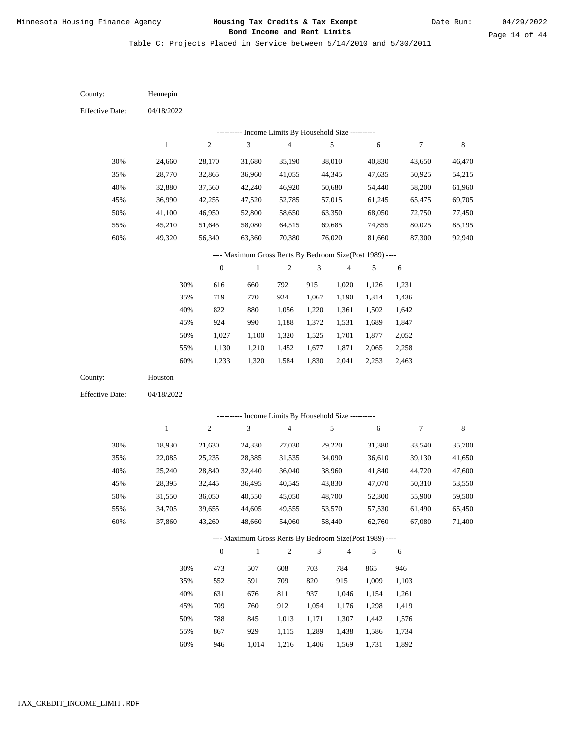Table C: Projects Placed in Service between 5/14/2010 and 5/30/2011

| County:                | Hennepin     |                  |                                                                        |                                            |                |                          |        |            |             |
|------------------------|--------------|------------------|------------------------------------------------------------------------|--------------------------------------------|----------------|--------------------------|--------|------------|-------------|
| <b>Effective Date:</b> | 04/18/2022   |                  |                                                                        |                                            |                |                          |        |            |             |
|                        |              |                  |                                                                        | Income Limits By Household Size ---------- |                |                          |        |            |             |
|                        | $\,1$        | $\overline{c}$   | $\mathfrak{Z}$                                                         | $\overline{\mathbf{4}}$                    |                | 5                        | 6      | 7          | $\,$ 8 $\,$ |
| 30%                    | 24,660       | 28,170           | 31,680                                                                 | 35,190                                     |                | 38,010                   | 40,830 | 43,650     | 46,470      |
| 35%                    | 28,770       | 32,865           | 36,960                                                                 | 41,055                                     |                | 44,345                   | 47,635 | 50,925     | 54,215      |
| 40%                    | 32,880       | 37,560           | 42,240                                                                 | 46,920                                     |                | 50,680                   | 54,440 | 58,200     | 61,960      |
| 45%                    | 36,990       | 42,255           | 47,520                                                                 | 52,785                                     |                | 57,015                   | 61,245 | 65,475     | 69,705      |
| 50%                    | 41,100       | 46,950           | 52,800                                                                 | 58,650                                     |                | 63,350                   | 68,050 | 72,750     | 77,450      |
| 55%                    | 45,210       | 51,645           | 58,080                                                                 | 64,515                                     |                | 69,685                   | 74,855 | 80,025     | 85,195      |
| 60%                    | 49,320       | 56,340           | 63,360                                                                 | 70,380                                     |                | 76,020                   | 81,660 | 87,300     | 92,940      |
|                        |              |                  | ---- Maximum Gross Rents By Bedroom Size(Post 1989) ----               |                                            |                |                          |        |            |             |
|                        |              | $\boldsymbol{0}$ | $\,1$                                                                  | $\sqrt{2}$                                 | 3              | $\overline{\mathbf{4}}$  | 5      | $\sqrt{6}$ |             |
|                        | 30%          | 616              | 660                                                                    | 792                                        | 915            | 1,020                    | 1,126  | 1,231      |             |
|                        | 35%          | 719              | 770                                                                    | 924                                        | 1,067          | 1,190                    | 1,314  | 1,436      |             |
|                        | 40%          | 822              | 880                                                                    | 1,056                                      | 1,220          | 1,361                    | 1,502  | 1,642      |             |
|                        | 45%          | 924              | 990                                                                    | 1,188                                      | 1,372          | 1,531                    | 1,689  | 1,847      |             |
|                        | 50%          | 1,027            | 1,100                                                                  | 1,320                                      | 1,525          | 1,701                    | 1,877  | 2,052      |             |
|                        | 55%          | 1,130            | 1,210                                                                  | 1,452                                      | 1,677          | 1,871                    | 2,065  | 2,258      |             |
|                        | 60%          | 1,233            | 1,320                                                                  | 1,584                                      | 1,830          | 2,041                    | 2,253  | 2,463      |             |
| County:                | Houston      |                  |                                                                        |                                            |                |                          |        |            |             |
| <b>Effective Date:</b> | 04/18/2022   |                  |                                                                        |                                            |                |                          |        |            |             |
|                        |              |                  |                                                                        |                                            |                |                          |        |            |             |
|                        |              |                  | --------- Income Limits By Household Size ----------<br>$\mathfrak{Z}$ | $\overline{4}$                             |                |                          |        |            |             |
|                        | $\mathbf{1}$ | $\overline{c}$   |                                                                        |                                            |                | 5                        | 6      | 7          | $\,$ 8 $\,$ |
| 30%                    | 18,930       | 21,630           | 24,330                                                                 | 27,030                                     |                | 29,220                   | 31,380 | 33,540     | 35,700      |
| 35%                    | 22,085       | 25,235           | 28,385                                                                 | 31,535                                     |                | 34,090                   | 36,610 | 39,130     | 41,650      |
| 40%                    | 25,240       | 28,840           | 32,440                                                                 | 36,040                                     |                | 38,960                   | 41,840 | 44,720     | 47,600      |
| 45%                    | 28,395       | 32,445           | 36,495                                                                 | 40,545                                     |                | 43,830                   | 47,070 | 50,310     | 53,550      |
| 50%                    | 31,550       | 36,050           | 40,550                                                                 | 45,050                                     |                | 48,700                   | 52,300 | 55,900     | 59,500      |
| 55%                    | 34,705       | 39,655           | 44,605                                                                 | 49,555                                     |                | 53,570                   | 57,530 | 61,490     | 65,450      |
| 60%                    | 37,860       | 43,260           | 48,660                                                                 | 54,060                                     |                | 58,440                   | 62,760 | 67,080     | 71,400      |
|                        |              |                  | ---- Maximum Gross Rents By Bedroom Size(Post 1989) ----               |                                            |                |                          |        |            |             |
|                        |              | $\boldsymbol{0}$ | $\mathbf{1}$                                                           | $\mathfrak{2}$                             | $\mathfrak{Z}$ | $\overline{\mathcal{A}}$ | 5      | 6          |             |
|                        | 30%          | 473              | 507                                                                    | 608                                        | 703            | 784                      | 865    | 946        |             |
|                        | 35%          | 552              | 591                                                                    | 709                                        | 820            | 915                      | 1,009  | 1,103      |             |
|                        | 40%          | 631              | 676                                                                    | 811                                        | 937            | 1,046                    | 1,154  | 1,261      |             |
|                        | 45%          | 709              | 760                                                                    | 912                                        | 1,054          | 1,176                    | 1,298  | 1,419      |             |
|                        | 50%          | 788              | 845                                                                    | 1,013                                      | 1,171          | 1,307                    | 1,442  | 1,576      |             |
|                        | 55%          | 867              | 929                                                                    | 1,115                                      | 1,289          | 1,438                    | 1,586  | 1,734      |             |

946 1,014 1,216 1,406 1,569 1,731 1,892 60%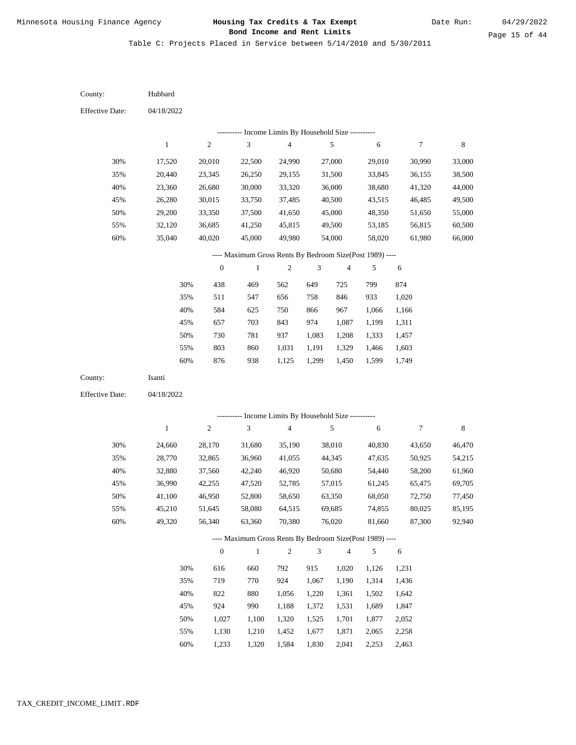Table C: Projects Placed in Service between 5/14/2010 and 5/30/2011

| County:                | Hubbard      |                  |                                                          |                                            |                |                         |            |        |             |
|------------------------|--------------|------------------|----------------------------------------------------------|--------------------------------------------|----------------|-------------------------|------------|--------|-------------|
| <b>Effective Date:</b> | 04/18/2022   |                  |                                                          |                                            |                |                         |            |        |             |
|                        |              |                  |                                                          | Income Limits By Household Size ---------- |                |                         |            |        |             |
|                        | $\mathbf{1}$ | $\sqrt{2}$       | $\mathfrak{Z}$                                           | $\overline{4}$                             |                | 5                       | $\sqrt{6}$ | 7      | $\,8\,$     |
| 30%                    | 17,520       | 20,010           | 22,500                                                   | 24,990                                     |                | 27,000                  | 29,010     | 30,990 | 33,000      |
| 35%                    | 20,440       | 23,345           | 26,250                                                   | 29,155                                     |                | 31,500                  | 33,845     | 36,155 | 38,500      |
| 40%                    | 23,360       | 26,680           | 30,000                                                   | 33,320                                     |                | 36,000                  | 38,680     | 41,320 | 44,000      |
| 45%                    | 26,280       | 30,015           | 33,750                                                   | 37,485                                     |                | 40,500                  | 43,515     | 46,485 | 49,500      |
| 50%                    | 29,200       | 33,350           | 37,500                                                   | 41,650                                     |                | 45,000                  | 48,350     | 51,650 | 55,000      |
| 55%                    | 32,120       | 36,685           | 41,250                                                   | 45,815                                     |                | 49,500                  | 53,185     | 56,815 | 60,500      |
| 60%                    | 35,040       | 40,020           | 45,000                                                   | 49,980                                     |                | 54,000                  | 58,020     | 61,980 | 66,000      |
|                        |              |                  | ---- Maximum Gross Rents By Bedroom Size(Post 1989) ---- |                                            |                |                         |            |        |             |
|                        |              | $\boldsymbol{0}$ | $\,1$                                                    | $\boldsymbol{2}$                           | 3              | $\overline{\mathbf{4}}$ | 5          | 6      |             |
|                        | 30%          | 438              | 469                                                      | 562                                        | 649            | 725                     | 799        | 874    |             |
|                        | 35%          | 511              | 547                                                      | 656                                        | 758            | 846                     | 933        | 1,020  |             |
|                        | 40%          | 584              | 625                                                      | 750                                        | 866            | 967                     | 1,066      | 1,166  |             |
|                        | 45%          | 657              | 703                                                      | 843                                        | 974            | 1,087                   | 1,199      | 1,311  |             |
|                        | 50%          | 730              | 781                                                      | 937                                        | 1,083          | 1,208                   | 1,333      | 1,457  |             |
|                        | 55%          | 803              | 860                                                      | 1,031                                      | 1,191          | 1,329                   | 1,466      | 1,603  |             |
|                        | $60\%$       | 876              | 938                                                      | 1,125                                      | 1,299          | 1,450                   | 1,599      | 1,749  |             |
| County:                | Isanti       |                  |                                                          |                                            |                |                         |            |        |             |
| <b>Effective Date:</b> | 04/18/2022   |                  |                                                          |                                            |                |                         |            |        |             |
|                        |              |                  | --------- Income Limits By Household Size ----------     |                                            |                |                         |            |        |             |
|                        | $\mathbf{1}$ | $\sqrt{2}$       | 3                                                        | $\overline{4}$                             |                | 5                       | 6          | 7      | $\,$ 8 $\,$ |
| 30%                    | 24,660       | 28,170           | 31,680                                                   | 35,190                                     |                | 38,010                  | 40,830     | 43,650 | 46,470      |
| 35%                    | 28,770       | 32,865           | 36,960                                                   | 41,055                                     |                | 44,345                  | 47,635     | 50,925 | 54,215      |
| 40%                    | 32,880       | 37,560           | 42,240                                                   | 46,920                                     |                | 50,680                  | 54,440     | 58,200 | 61,960      |
| 45%                    | 36,990       | 42,255           | 47,520                                                   | 52,785                                     |                | 57,015                  | 61,245     | 65,475 | 69,705      |
| 50%                    | 41,100       | 46,950           | 52,800                                                   | 58,650                                     |                | 63,350                  | 68,050     | 72,750 | 77,450      |
| 55%                    | 45,210       | 51,645           | 58,080                                                   | 64,515                                     |                | 69,685                  | 74,855     | 80,025 | 85,195      |
| 60%                    | 49,320       | 56,340           | 63,360                                                   | 70,380                                     |                | 76,020                  | 81,660     | 87,300 | 92,940      |
|                        |              |                  | ---- Maximum Gross Rents By Bedroom Size(Post 1989) ---- |                                            |                |                         |            |        |             |
|                        |              | $\boldsymbol{0}$ | $\mathbf{1}$                                             | $\overline{c}$                             | $\mathfrak{Z}$ | $\overline{4}$          | $\sqrt{5}$ | 6      |             |
|                        | 30%          | 616              | 660                                                      | 792                                        | 915            | 1,020                   | 1,126      | 1,231  |             |
|                        | 35%          | 719              | 770                                                      | 924                                        | 1,067          | 1,190                   | 1,314      | 1,436  |             |
|                        | 40%          | 822              | 880                                                      | 1,056                                      | 1,220          | 1,361                   | 1,502      | 1,642  |             |
|                        | 45%          | 924              | 990                                                      | 1,188                                      | 1,372          | 1,531                   | 1,689      | 1,847  |             |
|                        | 50%          | 1,027            | 1,100                                                    | 1,320                                      | 1,525          | 1,701                   | 1,877      | 2,052  |             |
|                        | 55%          | 1,130            | 1,210                                                    | 1,452                                      | 1,677          | 1,871                   | 2,065      | 2,258  |             |

1,233 1,320 1,584 1,830 2,041 2,253 2,463 60%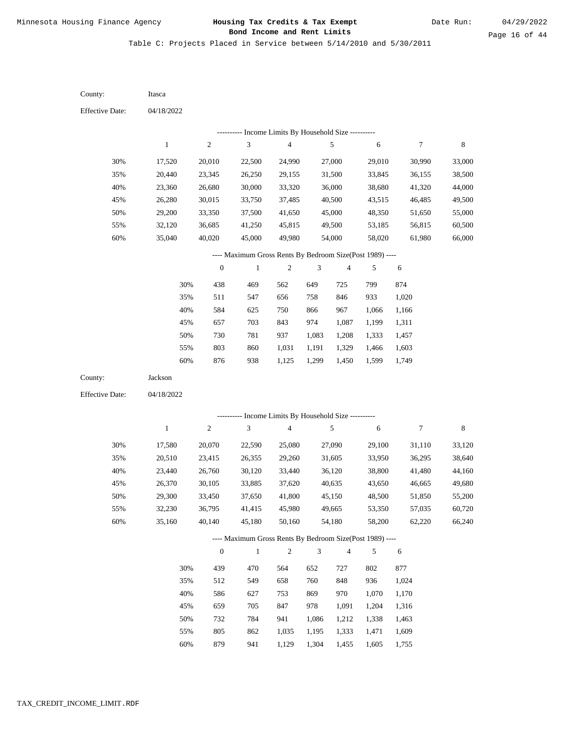Table C: Projects Placed in Service between 5/14/2010 and 5/30/2011

| County:                | Itasca       |                  |                                                          |                |                |                         |                |                |         |
|------------------------|--------------|------------------|----------------------------------------------------------|----------------|----------------|-------------------------|----------------|----------------|---------|
| <b>Effective Date:</b> | 04/18/2022   |                  |                                                          |                |                |                         |                |                |         |
|                        |              |                  | --------- Income Limits By Household Size ----------     |                |                |                         |                |                |         |
|                        | $\mathbf{1}$ | $\sqrt{2}$       | 3                                                        | 4              |                | 5                       | 6              | 7              | $\,8\,$ |
| 30%                    | 17,520       | 20,010           | 22,500                                                   | 24,990         |                | 27,000                  | 29,010         | 30,990         | 33,000  |
| 35%                    | 20,440       | 23,345           | 26,250                                                   | 29,155         |                | 31,500                  | 33,845         | 36,155         | 38,500  |
| 40%                    | 23,360       | 26,680           | 30,000                                                   | 33,320         |                | 36,000                  | 38,680         | 41,320         | 44,000  |
| 45%                    | 26,280       | 30,015           | 33,750                                                   | 37,485         |                | 40,500                  | 43,515         | 46,485         | 49,500  |
| 50%                    | 29,200       | 33,350           | 37,500                                                   | 41,650         |                | 45,000                  | 48,350         | 51,650         | 55,000  |
| 55%                    | 32,120       | 36,685           | 41,250                                                   | 45,815         |                | 49,500                  | 53,185         | 56,815         | 60,500  |
| 60%                    | 35,040       | 40,020           | 45,000                                                   | 49,980         |                | 54,000                  | 58,020         | 61,980         | 66,000  |
|                        |              |                  | ---- Maximum Gross Rents By Bedroom Size(Post 1989) ---- |                |                |                         |                |                |         |
|                        |              | $\boldsymbol{0}$ | $\mathbf{1}$                                             | $\mathfrak{2}$ | 3              | 4                       | 5              | 6              |         |
|                        | 30%          | 438              | 469                                                      | 562            | 649            | 725                     | 799            | 874            |         |
|                        | 35%          | 511              | 547                                                      | 656            | 758            | 846                     | 933            | 1,020          |         |
|                        | 40%          | 584              | 625                                                      | 750            | 866            | 967                     | 1,066          | 1,166          |         |
|                        | 45%          | 657              | 703                                                      | 843            | 974            | 1,087                   | 1,199          | 1,311          |         |
|                        | 50%          | 730              | 781                                                      | 937            | 1,083          | 1,208                   | 1,333          | 1,457          |         |
|                        | 55%          | 803              | 860                                                      | 1,031          | 1,191          | 1,329                   | 1,466          | 1,603          |         |
|                        | 60%          | 876              | 938                                                      | 1,125          | 1,299          | 1,450                   | 1,599          | 1,749          |         |
| County:                | Jackson      |                  |                                                          |                |                |                         |                |                |         |
| <b>Effective Date:</b> | 04/18/2022   |                  |                                                          |                |                |                         |                |                |         |
|                        |              |                  | --------- Income Limits By Household Size ----------     |                |                |                         |                |                |         |
|                        | $\mathbf{1}$ | $\sqrt{2}$       | 3                                                        | $\overline{4}$ |                | $\sqrt{5}$              | 6              | 7              | $\,8\,$ |
| 30%                    | 17,580       | 20,070           | 22,590                                                   | 25,080         |                | 27,090                  | 29,100         | 31,110         | 33,120  |
| 35%                    | 20,510       | 23,415           | 26,355                                                   | 29,260         |                | 31,605                  | 33,950         | 36,295         | 38,640  |
| 40%                    | 23,440       | 26,760           | 30,120                                                   | 33,440         |                | 36,120                  | 38,800         | 41,480         | 44,160  |
| 45%                    | 26,370       | 30,105           | 33,885                                                   | 37,620         |                | 40,635                  | 43,650         | 46,665         | 49,680  |
| 50%                    | 29,300       | 33,450           | 37,650                                                   | 41,800         |                | 45,150                  | 48,500         | 51,850         | 55,200  |
| 55%                    | 32,230       | 36,795           | 41,415                                                   | 45,980         |                | 49,665                  | 53,350         | 57,035         | 60,720  |
| 60%                    | 35,160       | 40,140           | 45,180                                                   | 50,160         |                | 54,180                  | 58,200         | 62,220         | 66,240  |
|                        |              |                  | ---- Maximum Gross Rents By Bedroom Size(Post 1989) ---- |                |                |                         |                |                |         |
|                        |              | $\boldsymbol{0}$ | $\,1$                                                    | $\sqrt{2}$     | $\mathfrak{Z}$ | $\overline{\mathbf{4}}$ | 5              | 6              |         |
|                        | 30%          | 439              | 470                                                      | 564            | 652            | 727                     | 802            | 877            |         |
|                        |              |                  | 549                                                      | 658            | 760            | 848                     | 936            | 1,024          |         |
|                        | 35%          | 512              |                                                          |                |                |                         |                |                |         |
|                        |              |                  | 627                                                      | 753            |                | 970                     |                |                |         |
|                        | 40%<br>45%   | 586<br>659       | 705                                                      | 847            | 869<br>978     | 1,091                   | 1,070<br>1,204 | 1,170<br>1,316 |         |
|                        | 50%          | 732              | 784                                                      | 941            | 1,086          | 1,212                   | 1,338          | 1,463          |         |

879 941 1,129 1,304 1,455 1,605 1,755 60%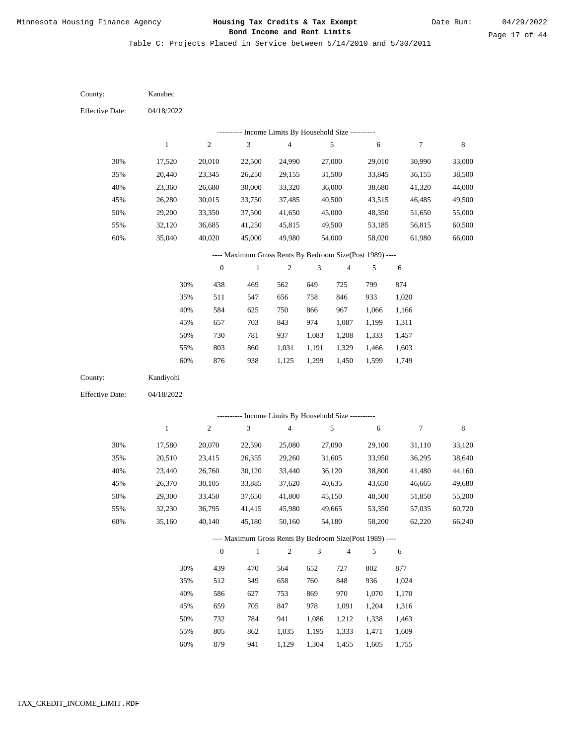Table C: Projects Placed in Service between 5/14/2010 and 5/30/2011

04/18/2022 04/18/2022 Kanabec Kandiyohi 30% 35% 40% 45% 50% 55% 60% 30% 35% 40% 45% 50% 55% 60% 17,520 20,440 23,360 26,280 29,200 32,120 35,040 17,580 20,510 23,440 26,370 29,300 32,230 35,160 20,010 23,345 26,680 30,015 33,350 36,685 40,020 20,070 23,415 26,760 30,105 33,450 36,795 40,140 22,500 26,250 30,000 33,750 37,500 41,250 45,000 22,590 26,355 30,120 33,885 37,650 41,415 45,180 24,990 29,155 33,320 37,485 41,650 45,815 49,980 25,080 29,260 33,440 37,620 41,800 45,980 50,160 27,000 31,500 36,000 40,500 45,000 49,500 54,000 27,090 31,605 36,120 40,635 45,150 49,665 54,180 29,010 33,845 38,680 43,515 48,350 53,185 58,020 29,100 33,950 38,800 43,650 48,500 53,350 58,200 30,990 36,155 41,320 46,485 51,650 56,815 61,980 31,110 36,295 41,480 46,665 51,850 57,035 62,220 33,000 38,500 44,000 49,500 55,000 60,500 66,000 33,120 38,640 44,160 49,680 55,200 60,720 66,240 438 511 584 657 730 803 876 439 512 586 659 732 805 469 547 625 703 781 860 938 470 549 627 705 784 862 562 656 750 843 937 1,031 1,125 564 658 753 847 941 1,035 649 758 866 974 1,083 1,191 1,299 652 760 869 978 1,086 1,195 725 846 967 1,087 1,208 1,329 1,450 727 848 970 1,091 1,212 1,333 799 933 1,066 1,199 1,333 1,466 1,599 802 936 1,070 1,204 1,338 1,471 874 1,020 1,166 1,311 1,457 1,603 1,749 877 1,024 1,170 1,316 1,463 1,609 County: County: Effective Date: Effective Date: 1 1 2 2 3 3 4 4 5 5 6 6 7 7 8 8 0 0 1 1 2 2 3 3 4 4 5 5 6 6 ---------- Income Limits By Household Size ---------- ---------- Income Limits By Household Size ---------- ---- Maximum Gross Rents By Bedroom Size(Post 1989) ---- ---- Maximum Gross Rents By Bedroom Size(Post 1989) ---- 30% 35% 40% 45% 50% 55% 60% 30% 35% 40% 45% 50% 55%

879

60%

941

1,129

1,304

1,455

1,605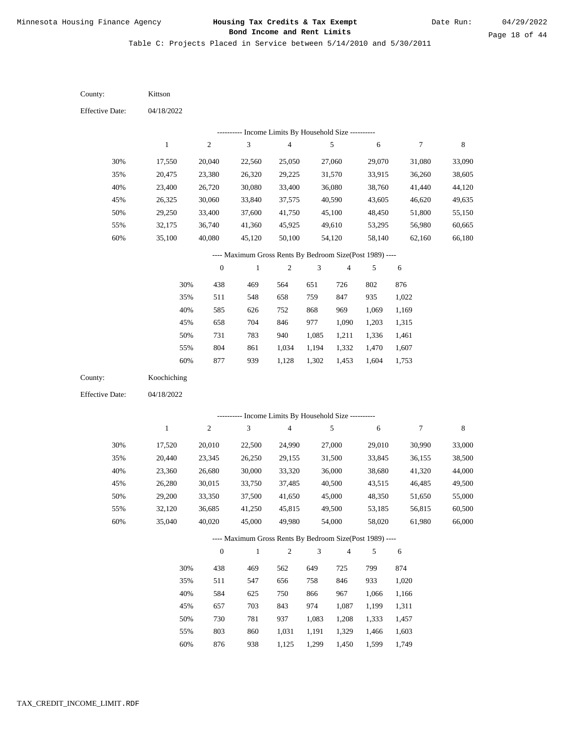Table C: Projects Placed in Service between 5/14/2010 and 5/30/2011

| <b>Effective Date:</b><br>04/18/2022<br>--------- Income Limits By Household Size ----------<br>$\sqrt{3}$<br>$\sqrt{2}$<br>$\overline{\mathbf{4}}$<br>5<br>$\boldsymbol{7}$<br>$\,$ 8 $\,$<br>$\,1$<br>6<br>30%<br>27,060<br>29,070<br>33,090<br>17,550<br>20,040<br>22,560<br>25,050<br>31,080<br>35%<br>20,475<br>23,380<br>26,320<br>29,225<br>31,570<br>33,915<br>36,260<br>38,605<br>40%<br>23,400<br>30,080<br>33,400<br>36,080<br>44,120<br>26,720<br>38,760<br>41,440<br>45%<br>30,060<br>33,840<br>37,575<br>40,590<br>43,605<br>46,620<br>49,635<br>26,325<br>50%<br>33,400<br>29,250<br>37,600<br>41,750<br>45,100<br>48,450<br>51,800<br>55,150<br>55%<br>32,175<br>36,740<br>41,360<br>45,925<br>49,610<br>53,295<br>56,980<br>60,665<br>60%<br>35,100<br>40,080<br>50,100<br>54,120<br>58,140<br>62,160<br>66,180<br>45,120<br>---- Maximum Gross Rents By Bedroom Size(Post 1989) ----<br>$\boldsymbol{0}$<br>$\sqrt{2}$<br>$\ensuremath{\mathfrak{Z}}$<br>$\,1$<br>$\overline{4}$<br>5<br>6<br>30%<br>438<br>469<br>564<br>651<br>802<br>876<br>726<br>35%<br>511<br>759<br>847<br>935<br>1,022<br>548<br>658<br>40%<br>585<br>626<br>752<br>868<br>969<br>1,069<br>1,169<br>704<br>45%<br>658<br>846<br>977<br>1,090<br>1,203<br>1,315<br>731<br>50%<br>783<br>940<br>1,211<br>1,461<br>1,085<br>1,336<br>804<br>861<br>1,034<br>1,332<br>1,607<br>55%<br>1,194<br>1,470 |
|--------------------------------------------------------------------------------------------------------------------------------------------------------------------------------------------------------------------------------------------------------------------------------------------------------------------------------------------------------------------------------------------------------------------------------------------------------------------------------------------------------------------------------------------------------------------------------------------------------------------------------------------------------------------------------------------------------------------------------------------------------------------------------------------------------------------------------------------------------------------------------------------------------------------------------------------------------------------------------------------------------------------------------------------------------------------------------------------------------------------------------------------------------------------------------------------------------------------------------------------------------------------------------------------------------------------------------------------------------------------------------------------|
|                                                                                                                                                                                                                                                                                                                                                                                                                                                                                                                                                                                                                                                                                                                                                                                                                                                                                                                                                                                                                                                                                                                                                                                                                                                                                                                                                                                            |
|                                                                                                                                                                                                                                                                                                                                                                                                                                                                                                                                                                                                                                                                                                                                                                                                                                                                                                                                                                                                                                                                                                                                                                                                                                                                                                                                                                                            |
|                                                                                                                                                                                                                                                                                                                                                                                                                                                                                                                                                                                                                                                                                                                                                                                                                                                                                                                                                                                                                                                                                                                                                                                                                                                                                                                                                                                            |
|                                                                                                                                                                                                                                                                                                                                                                                                                                                                                                                                                                                                                                                                                                                                                                                                                                                                                                                                                                                                                                                                                                                                                                                                                                                                                                                                                                                            |
|                                                                                                                                                                                                                                                                                                                                                                                                                                                                                                                                                                                                                                                                                                                                                                                                                                                                                                                                                                                                                                                                                                                                                                                                                                                                                                                                                                                            |
|                                                                                                                                                                                                                                                                                                                                                                                                                                                                                                                                                                                                                                                                                                                                                                                                                                                                                                                                                                                                                                                                                                                                                                                                                                                                                                                                                                                            |
|                                                                                                                                                                                                                                                                                                                                                                                                                                                                                                                                                                                                                                                                                                                                                                                                                                                                                                                                                                                                                                                                                                                                                                                                                                                                                                                                                                                            |
|                                                                                                                                                                                                                                                                                                                                                                                                                                                                                                                                                                                                                                                                                                                                                                                                                                                                                                                                                                                                                                                                                                                                                                                                                                                                                                                                                                                            |
|                                                                                                                                                                                                                                                                                                                                                                                                                                                                                                                                                                                                                                                                                                                                                                                                                                                                                                                                                                                                                                                                                                                                                                                                                                                                                                                                                                                            |
|                                                                                                                                                                                                                                                                                                                                                                                                                                                                                                                                                                                                                                                                                                                                                                                                                                                                                                                                                                                                                                                                                                                                                                                                                                                                                                                                                                                            |
|                                                                                                                                                                                                                                                                                                                                                                                                                                                                                                                                                                                                                                                                                                                                                                                                                                                                                                                                                                                                                                                                                                                                                                                                                                                                                                                                                                                            |
|                                                                                                                                                                                                                                                                                                                                                                                                                                                                                                                                                                                                                                                                                                                                                                                                                                                                                                                                                                                                                                                                                                                                                                                                                                                                                                                                                                                            |
|                                                                                                                                                                                                                                                                                                                                                                                                                                                                                                                                                                                                                                                                                                                                                                                                                                                                                                                                                                                                                                                                                                                                                                                                                                                                                                                                                                                            |
|                                                                                                                                                                                                                                                                                                                                                                                                                                                                                                                                                                                                                                                                                                                                                                                                                                                                                                                                                                                                                                                                                                                                                                                                                                                                                                                                                                                            |
|                                                                                                                                                                                                                                                                                                                                                                                                                                                                                                                                                                                                                                                                                                                                                                                                                                                                                                                                                                                                                                                                                                                                                                                                                                                                                                                                                                                            |
|                                                                                                                                                                                                                                                                                                                                                                                                                                                                                                                                                                                                                                                                                                                                                                                                                                                                                                                                                                                                                                                                                                                                                                                                                                                                                                                                                                                            |
|                                                                                                                                                                                                                                                                                                                                                                                                                                                                                                                                                                                                                                                                                                                                                                                                                                                                                                                                                                                                                                                                                                                                                                                                                                                                                                                                                                                            |
|                                                                                                                                                                                                                                                                                                                                                                                                                                                                                                                                                                                                                                                                                                                                                                                                                                                                                                                                                                                                                                                                                                                                                                                                                                                                                                                                                                                            |
| 60%<br>877<br>939<br>1,604<br>1,128<br>1,302<br>1,453<br>1,753                                                                                                                                                                                                                                                                                                                                                                                                                                                                                                                                                                                                                                                                                                                                                                                                                                                                                                                                                                                                                                                                                                                                                                                                                                                                                                                             |
| Koochiching<br>County:                                                                                                                                                                                                                                                                                                                                                                                                                                                                                                                                                                                                                                                                                                                                                                                                                                                                                                                                                                                                                                                                                                                                                                                                                                                                                                                                                                     |
| <b>Effective Date:</b><br>04/18/2022                                                                                                                                                                                                                                                                                                                                                                                                                                                                                                                                                                                                                                                                                                                                                                                                                                                                                                                                                                                                                                                                                                                                                                                                                                                                                                                                                       |
| --------- Income Limits By Household Size ----------                                                                                                                                                                                                                                                                                                                                                                                                                                                                                                                                                                                                                                                                                                                                                                                                                                                                                                                                                                                                                                                                                                                                                                                                                                                                                                                                       |
| $\sqrt{2}$<br>3<br>$\overline{4}$<br>5<br>$\tau$<br>$\,$ 8 $\,$<br>$\mathbf{1}$<br>6                                                                                                                                                                                                                                                                                                                                                                                                                                                                                                                                                                                                                                                                                                                                                                                                                                                                                                                                                                                                                                                                                                                                                                                                                                                                                                       |
| 30%<br>17,520<br>27,000<br>33,000<br>20,010<br>22,500<br>24,990<br>29,010<br>30,990                                                                                                                                                                                                                                                                                                                                                                                                                                                                                                                                                                                                                                                                                                                                                                                                                                                                                                                                                                                                                                                                                                                                                                                                                                                                                                        |
| 35%<br>26,250<br>29,155<br>31,500<br>33,845<br>38,500<br>20,440<br>23,345<br>36,155                                                                                                                                                                                                                                                                                                                                                                                                                                                                                                                                                                                                                                                                                                                                                                                                                                                                                                                                                                                                                                                                                                                                                                                                                                                                                                        |
| 40%<br>26,680<br>30,000<br>36,000<br>44,000<br>23,360<br>33,320<br>38,680<br>41,320                                                                                                                                                                                                                                                                                                                                                                                                                                                                                                                                                                                                                                                                                                                                                                                                                                                                                                                                                                                                                                                                                                                                                                                                                                                                                                        |
| 49,500<br>45%<br>26,280<br>30,015<br>33,750<br>37,485<br>40,500<br>43,515<br>46,485                                                                                                                                                                                                                                                                                                                                                                                                                                                                                                                                                                                                                                                                                                                                                                                                                                                                                                                                                                                                                                                                                                                                                                                                                                                                                                        |
| 50%<br>29,200<br>33,350<br>37,500<br>41,650<br>45,000<br>48,350<br>51,650<br>55,000                                                                                                                                                                                                                                                                                                                                                                                                                                                                                                                                                                                                                                                                                                                                                                                                                                                                                                                                                                                                                                                                                                                                                                                                                                                                                                        |
| 55%<br>32,120<br>36,685<br>41,250<br>45,815<br>49,500<br>53,185<br>56,815<br>60,500                                                                                                                                                                                                                                                                                                                                                                                                                                                                                                                                                                                                                                                                                                                                                                                                                                                                                                                                                                                                                                                                                                                                                                                                                                                                                                        |
| 60%<br>35,040<br>40,020<br>45,000<br>49,980<br>66,000<br>54,000<br>58,020<br>61,980                                                                                                                                                                                                                                                                                                                                                                                                                                                                                                                                                                                                                                                                                                                                                                                                                                                                                                                                                                                                                                                                                                                                                                                                                                                                                                        |
| ---- Maximum Gross Rents By Bedroom Size(Post 1989) ----                                                                                                                                                                                                                                                                                                                                                                                                                                                                                                                                                                                                                                                                                                                                                                                                                                                                                                                                                                                                                                                                                                                                                                                                                                                                                                                                   |
| $\,1\,$<br>$\sqrt{2}$<br>$\mathfrak{Z}$<br>$\boldsymbol{0}$<br>$\overline{4}$<br>5<br>6                                                                                                                                                                                                                                                                                                                                                                                                                                                                                                                                                                                                                                                                                                                                                                                                                                                                                                                                                                                                                                                                                                                                                                                                                                                                                                    |
| 438<br>469<br>649<br>799<br>30%<br>562<br>725<br>874                                                                                                                                                                                                                                                                                                                                                                                                                                                                                                                                                                                                                                                                                                                                                                                                                                                                                                                                                                                                                                                                                                                                                                                                                                                                                                                                       |
| 511<br>758<br>933<br>35%<br>547<br>656<br>846<br>1,020                                                                                                                                                                                                                                                                                                                                                                                                                                                                                                                                                                                                                                                                                                                                                                                                                                                                                                                                                                                                                                                                                                                                                                                                                                                                                                                                     |
| 40%<br>584<br>625<br>866<br>967<br>1,066<br>750<br>1,166                                                                                                                                                                                                                                                                                                                                                                                                                                                                                                                                                                                                                                                                                                                                                                                                                                                                                                                                                                                                                                                                                                                                                                                                                                                                                                                                   |
| 657<br>703<br>974<br>45%<br>843<br>1,087<br>1,199<br>1,311                                                                                                                                                                                                                                                                                                                                                                                                                                                                                                                                                                                                                                                                                                                                                                                                                                                                                                                                                                                                                                                                                                                                                                                                                                                                                                                                 |
| 730<br>781<br>50%<br>937<br>1,083<br>1,208<br>1,333<br>1,457                                                                                                                                                                                                                                                                                                                                                                                                                                                                                                                                                                                                                                                                                                                                                                                                                                                                                                                                                                                                                                                                                                                                                                                                                                                                                                                               |
| 803<br>55%<br>860<br>1,031<br>1,191<br>1,329<br>1,466<br>1,603                                                                                                                                                                                                                                                                                                                                                                                                                                                                                                                                                                                                                                                                                                                                                                                                                                                                                                                                                                                                                                                                                                                                                                                                                                                                                                                             |

876 938 1,125 1,299 1,450 1,599 1,749 60%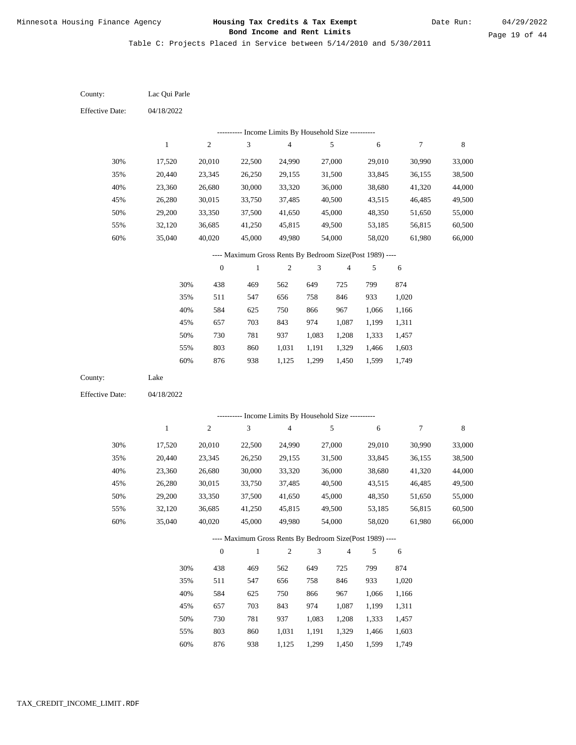Table C: Projects Placed in Service between 5/14/2010 and 5/30/2011

| County:                | Lac Qui Parle    |                  |                                                                          |                                            |                |                         |                  |                  |                  |
|------------------------|------------------|------------------|--------------------------------------------------------------------------|--------------------------------------------|----------------|-------------------------|------------------|------------------|------------------|
| <b>Effective Date:</b> | 04/18/2022       |                  |                                                                          |                                            |                |                         |                  |                  |                  |
|                        |                  |                  |                                                                          | Income Limits By Household Size ---------- |                |                         |                  |                  |                  |
|                        | $\mathbf{1}$     | $\sqrt{2}$       | $\mathfrak{Z}$                                                           | $\overline{\mathbf{4}}$                    |                | $\sqrt{5}$              | $\sqrt{6}$       | $\tau$           | $\,$ 8 $\,$      |
| 30%                    | 17,520           | 20,010           | 22,500                                                                   | 24,990                                     |                | 27,000                  | 29,010           | 30,990           | 33,000           |
| 35%                    | 20,440           | 23,345           | 26,250                                                                   | 29,155                                     |                | 31,500                  | 33,845           | 36,155           | 38,500           |
| 40%                    | 23,360           | 26,680           | 30,000                                                                   | 33,320                                     |                | 36,000                  | 38,680           | 41,320           | 44,000           |
| 45%                    | 26,280           | 30,015           | 33,750                                                                   | 37,485                                     |                | 40,500                  | 43,515           | 46,485           | 49,500           |
| 50%                    | 29,200           | 33,350           | 37,500                                                                   | 41,650                                     |                | 45,000                  | 48,350           | 51,650           | 55,000           |
| 55%                    | 32,120           | 36,685           | 41,250                                                                   | 45,815                                     |                | 49,500                  | 53,185           | 56,815           | 60,500           |
| 60%                    | 35,040           | 40,020           | 45,000                                                                   | 49,980                                     |                | 54,000                  | 58,020           | 61,980           | 66,000           |
|                        |                  |                  | ---- Maximum Gross Rents By Bedroom Size(Post 1989) ----                 |                                            |                |                         |                  |                  |                  |
|                        |                  | $\boldsymbol{0}$ | $\mathbf{1}$                                                             | 2                                          | 3              | $\overline{\mathbf{4}}$ | 5                | 6                |                  |
|                        | 30%              | 438              | 469                                                                      | 562                                        | 649            | 725                     | 799              | 874              |                  |
|                        | 35%              | 511              | 547                                                                      | 656                                        | 758            | 846                     | 933              | 1,020            |                  |
|                        | 40%              | 584              | 625                                                                      | 750                                        | 866            | 967                     | 1,066            | 1,166            |                  |
|                        | 45%              | 657              | 703                                                                      | 843                                        | 974            | 1,087                   | 1,199            | 1,311            |                  |
|                        | 50%              | 730              | 781                                                                      | 937                                        | 1,083          | 1,208                   | 1,333            | 1,457            |                  |
|                        | 55%              | 803              | 860                                                                      | 1,031                                      | 1,191          | 1,329                   | 1,466            | 1,603            |                  |
|                        | $60\%$           | 876              | 938                                                                      | 1,125                                      | 1,299          | 1,450                   | 1,599            | 1,749            |                  |
| County:                | Lake             |                  |                                                                          |                                            |                |                         |                  |                  |                  |
| <b>Effective Date:</b> | 04/18/2022       |                  |                                                                          |                                            |                |                         |                  |                  |                  |
|                        |                  |                  |                                                                          |                                            |                |                         |                  |                  |                  |
|                        | $\mathbf{1}$     | $\sqrt{2}$       | --------- Income Limits By Household Size ----------<br>3                | $\overline{\mathbf{4}}$                    |                | 5                       | 6                | 7                | $\,$ 8 $\,$      |
|                        |                  |                  |                                                                          |                                            |                |                         |                  |                  |                  |
| 30%                    | 17,520           | 20,010           | 22,500                                                                   | 24,990                                     |                | 27,000                  | 29,010           | 30,990           | 33,000           |
| 35%                    | 20,440           | 23,345           | 26,250                                                                   | 29,155                                     |                | 31,500                  | 33,845           | 36,155           | 38,500           |
| 40%                    | 23,360           | 26,680           | 30,000                                                                   | 33,320                                     |                | 36,000                  | 38,680           | 41,320           | 44,000           |
| 45%<br>50%             | 26,280<br>29,200 | 30,015<br>33,350 | 33,750<br>37,500                                                         | 37,485<br>41,650                           |                | 40,500<br>45,000        | 43,515<br>48,350 | 46,485<br>51,650 | 49,500<br>55,000 |
| 55%                    | 32,120           | 36,685           | 41,250                                                                   | 45,815                                     |                | 49,500                  | 53,185           | 56,815           | 60,500           |
| $60\%$                 | 35,040           | 40,020           | 45,000                                                                   | 49,980                                     |                | 54,000                  | 58,020           | 61,980           | 66,000           |
|                        |                  |                  |                                                                          |                                            |                |                         |                  |                  |                  |
|                        |                  | $\mathbf{0}$     | ---- Maximum Gross Rents By Bedroom Size(Post 1989) ----<br>$\mathbf{1}$ | $\overline{c}$                             | $\mathfrak{Z}$ | $\overline{4}$          | 5                | 6                |                  |
|                        |                  |                  |                                                                          |                                            |                |                         |                  |                  |                  |
|                        | 30%              | 438              | 469                                                                      | 562                                        | 649            | 725                     | 799              | 874              |                  |
|                        | 35%              | 511              | 547                                                                      | 656                                        | 758            | 846                     | 933              | 1,020            |                  |
|                        | 40%              | 584              | 625                                                                      | 750                                        | 866            | 967                     | 1,066            | 1,166            |                  |
|                        | 45%              | 657              | 703                                                                      | 843                                        | 974            | 1,087                   | 1,199            | 1,311            |                  |
|                        | 50%              | 730              | 781                                                                      | 937                                        | 1,083          | 1,208                   | 1,333            | 1,457            |                  |
|                        | 55%              | 803              | 860                                                                      | 1,031                                      | 1,191          | 1,329                   | 1,466            | 1,603            |                  |

876 938 1,125 1,299 1,450 1,599 1,749 60%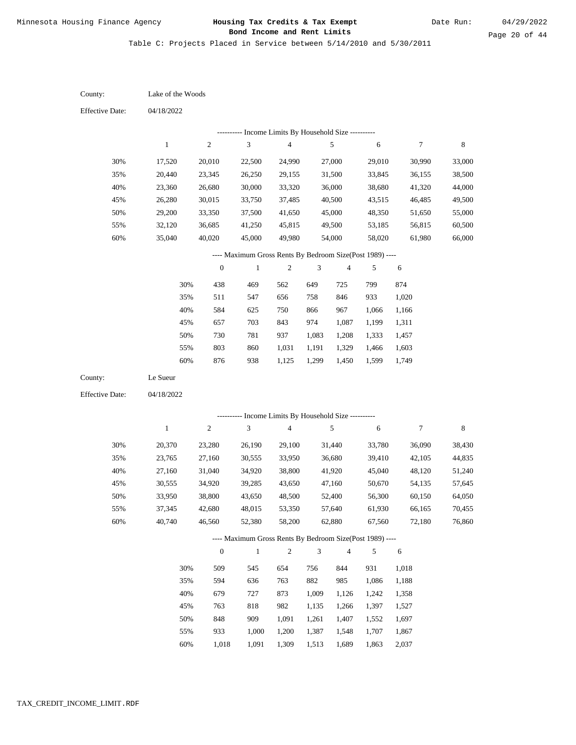Page 20 of 44

Table C: Projects Placed in Service between 5/14/2010 and 5/30/2011

| County:                | Lake of the Woods |                  |                                                            |                                            |               |                          |        |            |                                                                    |
|------------------------|-------------------|------------------|------------------------------------------------------------|--------------------------------------------|---------------|--------------------------|--------|------------|--------------------------------------------------------------------|
| <b>Effective Date:</b> | 04/18/2022        |                  |                                                            |                                            |               |                          |        |            |                                                                    |
|                        |                   |                  |                                                            | Income Limits By Household Size ---------- |               |                          |        |            |                                                                    |
|                        | $\mathbf{1}$      | $\sqrt{2}$       | $\ensuremath{\mathfrak{Z}}$                                | $\overline{4}$                             |               | $\sqrt{5}$               | 6      | 7          | 8                                                                  |
| 30%                    | 17,520            | 20,010           | 22,500                                                     | 24,990                                     |               | 27,000                   | 29,010 | 30,990     | 33,000                                                             |
| 35%                    | 20,440            | 23,345           | 26,250                                                     | 29,155                                     |               | 31,500                   | 33,845 | 36,155     | 38,500                                                             |
| 40%                    | 23,360            | 26,680           | 30,000                                                     | 33,320                                     |               | 36,000                   | 38,680 | 41,320     | 44,000                                                             |
| 45%                    | 26,280            | 30,015           | 33,750                                                     | 37,485                                     |               | 40,500                   | 43,515 | 46,485     | 49,500                                                             |
| 50%                    | 29,200            | 33,350           | 37,500                                                     | 41,650                                     |               | 45,000                   | 48,350 | 51,650     | 55,000                                                             |
| 55%                    | 32,120            | 36,685           | 41,250                                                     | 45,815                                     |               | 49,500                   | 53,185 | 56,815     | 60,500                                                             |
| 60%                    | 35,040            | 40,020           | 45,000                                                     | 49,980                                     |               | 54,000                   | 58,020 | 61,980     | 66,000                                                             |
|                        |                   |                  | ---- Maximum Gross Rents By Bedroom Size(Post 1989) ----   |                                            |               |                          |        |            |                                                                    |
|                        |                   | $\boldsymbol{0}$ | $\mathbf{1}$                                               | $\sqrt{2}$                                 | 3             | $\overline{\mathcal{A}}$ | 5      | 6          |                                                                    |
|                        | 30%               | 438              | 469                                                        | 562                                        | 649           | 725                      | 799    | 874        |                                                                    |
|                        | 35%               | 511              | 547                                                        | 656                                        | 758           | 846                      | 933    | 1,020      |                                                                    |
|                        | 40%               | 584              | 625                                                        | 750                                        | 866           | 967                      | 1,066  | 1,166      |                                                                    |
|                        | 45%               | 657              | 703                                                        | 843                                        | 974           | 1,087                    | 1,199  | 1,311      |                                                                    |
|                        | 50%               | 730              | 781                                                        | 937                                        | 1,083         | 1,208                    | 1,333  | 1,457      |                                                                    |
|                        | 55%               | 803              | 860                                                        | 1,031                                      | 1,191         | 1,329                    | 1,466  | 1,603      |                                                                    |
|                        | 60%               | 876              | 938                                                        | 1,125                                      | 1,299         | 1,450                    | 1,599  | 1,749      |                                                                    |
| County:                | Le Sueur          |                  |                                                            |                                            |               |                          |        |            |                                                                    |
| <b>Effective Date:</b> |                   |                  |                                                            |                                            |               |                          |        |            |                                                                    |
|                        | 04/18/2022        |                  |                                                            |                                            |               |                          |        |            |                                                                    |
|                        |                   |                  |                                                            |                                            |               |                          |        |            |                                                                    |
|                        | $\mathbf{1}$      | $\sqrt{2}$       | ---------- Income Limits By Household Size ----------<br>3 | $\overline{4}$                             |               | 5                        | 6      | 7          | $\,8\,$                                                            |
| 30%                    | 20,370            | 23,280           | 26,190                                                     | 29,100                                     |               | 31,440                   | 33,780 | 36,090     |                                                                    |
| 35%                    | 23,765            | 27,160           | 30,555                                                     | 33,950                                     |               | 36,680                   | 39,410 | 42,105     |                                                                    |
| 40%                    | 27,160            | 31,040           | 34,920                                                     | 38,800                                     |               | 41,920                   | 45,040 | 48,120     |                                                                    |
| 45%                    | 30,555            | 34,920           | 39,285                                                     | 43,650                                     |               | 47,160                   | 50,670 | 54,135     |                                                                    |
| 50%                    | 33,950            | 38,800           | 43,650                                                     | 48,500                                     |               | 52,400                   | 56,300 | 60,150     |                                                                    |
| 55%                    | 37,345            | 42,680           | 48,015                                                     | 53,350                                     |               | 57,640                   | 61,930 | 66,165     |                                                                    |
| 60%                    | 40,740            | 46,560           | 52,380                                                     | 58,200                                     |               | 62,880                   | 67,560 | 72,180     |                                                                    |
|                        |                   |                  | ---- Maximum Gross Rents By Bedroom Size(Post 1989) ----   |                                            |               |                          |        |            |                                                                    |
|                        |                   | $\boldsymbol{0}$ | $\mathbf{1}$                                               | $\overline{c}$                             | $\mathfrak z$ | $\overline{4}$           | 5      | $\sqrt{6}$ |                                                                    |
|                        | 30%               | 509              | 545                                                        | 654                                        | 756           | 844                      | 931    | 1,018      |                                                                    |
|                        | 35%               | 594              | 636                                                        | 763                                        | 882           | 985                      | 1,086  | 1,188      |                                                                    |
|                        | 40%               | 679              | 727                                                        | 873                                        | 1,009         | 1,126                    | 1,242  | 1,358      |                                                                    |
|                        | 45%               | 763              | 818                                                        | 982                                        | 1,135         | 1,266                    | 1,397  | 1,527      | 38,430<br>44,835<br>51,240<br>57,645<br>64,050<br>70,455<br>76,860 |
|                        | 50%               | 848              | 909                                                        | 1,091                                      | 1,261         | 1,407                    | 1,552  | 1,697      |                                                                    |

1,018 1,091 1,309 1,513 1,689 1,863 2,037 60%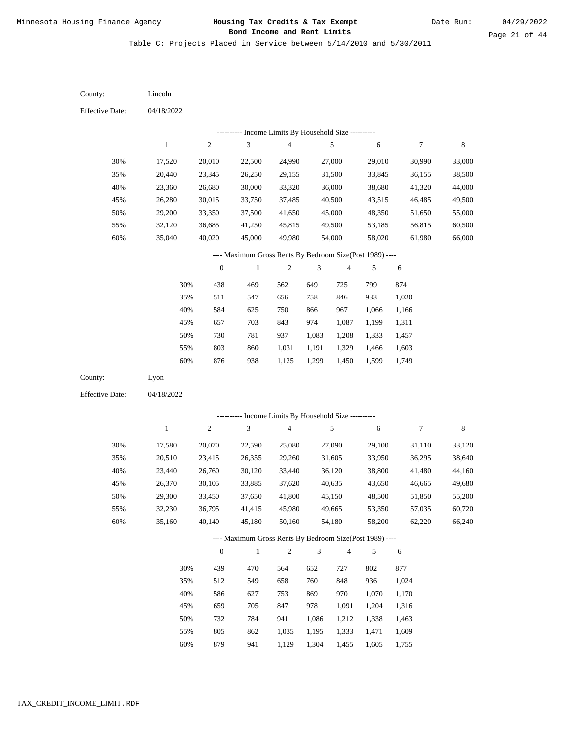Table C: Projects Placed in Service between 5/14/2010 and 5/30/2011

| County:                | Lincoln      |                  |                                                          |                         |                |                |            |                |             |
|------------------------|--------------|------------------|----------------------------------------------------------|-------------------------|----------------|----------------|------------|----------------|-------------|
| <b>Effective Date:</b> | 04/18/2022   |                  |                                                          |                         |                |                |            |                |             |
|                        |              |                  | --------- Income Limits By Household Size ----------     |                         |                |                |            |                |             |
|                        | $\mathbf{1}$ | $\sqrt{2}$       | 3                                                        | $\overline{\mathbf{4}}$ |                | $\sqrt{5}$     | 6          | $\overline{7}$ | $\,$ 8 $\,$ |
| 30%                    | 17,520       | 20,010           | 22,500                                                   | 24,990                  |                | 27,000         | 29,010     | 30,990         | 33,000      |
| 35%                    | 20,440       | 23,345           | 26,250                                                   | 29,155                  |                | 31,500         | 33,845     | 36,155         | 38,500      |
| 40%                    | 23,360       | 26,680           | 30,000                                                   | 33,320                  |                | 36,000         | 38,680     | 41,320         | 44,000      |
| 45%                    | 26,280       | 30,015           | 33,750                                                   | 37,485                  |                | 40,500         | 43,515     | 46,485         | 49,500      |
| 50%                    | 29,200       | 33,350           | 37,500                                                   | 41,650                  |                | 45,000         | 48,350     | 51,650         | 55,000      |
| 55%                    | 32,120       | 36,685           | 41,250                                                   | 45,815                  |                | 49,500         | 53,185     | 56,815         | 60,500      |
| $60\%$                 | 35,040       | 40,020           | 45,000                                                   | 49,980                  |                | 54,000         | 58,020     | 61,980         | 66,000      |
|                        |              |                  | ---- Maximum Gross Rents By Bedroom Size(Post 1989) ---- |                         |                |                |            |                |             |
|                        |              | $\boldsymbol{0}$ | $\mathbf{1}$                                             | $\sqrt{2}$              | 3              | 4              | 5          | 6              |             |
|                        | 30%          | 438              | 469                                                      | 562                     | 649            | 725            | 799        | 874            |             |
|                        | 35%          | 511              | 547                                                      | 656                     | 758            | 846            | 933        | 1,020          |             |
|                        | 40%          | 584              | 625                                                      | 750                     | 866            | 967            | 1,066      | 1,166          |             |
|                        | 45%          | 657              | 703                                                      | 843                     | 974            | 1,087          | 1,199      | 1,311          |             |
|                        | 50%          | 730              | 781                                                      | 937                     | 1,083          | 1,208          | 1,333      | 1,457          |             |
|                        | 55%          | 803              | 860                                                      | 1,031                   | 1,191          | 1,329          | 1,466      | 1,603          |             |
|                        | 60%          | 876              | 938                                                      | 1,125                   | 1,299          | 1,450          | 1,599      | 1,749          |             |
| County:                | Lyon         |                  |                                                          |                         |                |                |            |                |             |
| <b>Effective Date:</b> | 04/18/2022   |                  |                                                          |                         |                |                |            |                |             |
|                        |              |                  |                                                          |                         |                |                |            |                |             |
|                        |              |                  | --------- Income Limits By Household Size ----------     |                         |                |                |            |                |             |
|                        | $\,1$        | $\sqrt{2}$       | 3                                                        | $\overline{\mathbf{4}}$ |                | $\sqrt{5}$     | $\sqrt{6}$ | $\tau$         | $\,$ 8 $\,$ |
| 30%                    | 17,580       | 20,070           | 22,590                                                   | 25,080                  |                | 27,090         | 29,100     | 31,110         | 33,120      |
| 35%                    | 20,510       | 23,415           | 26,355                                                   | 29,260                  |                | 31,605         | 33,950     | 36,295         | 38,640      |
| 40%                    | 23,440       | 26,760           | 30,120                                                   | 33,440                  |                | 36,120         | 38,800     | 41,480         | 44,160      |
| 45%                    | 26,370       | 30,105           | 33,885                                                   | 37,620                  |                | 40,635         | 43,650     | 46,665         | 49,680      |
| 50%                    | 29,300       | 33,450           | 37,650                                                   | 41,800                  |                | 45,150         | 48,500     | 51,850         | 55,200      |
| 55%                    | 32,230       | 36,795           | 41,415                                                   | 45,980                  |                | 49,665         | 53,350     | 57,035         | 60,720      |
| 60%                    | 35,160       | 40,140           | 45,180                                                   | 50,160                  |                | 54,180         | 58,200     | 62,220         | 66,240      |
|                        |              |                  | ---- Maximum Gross Rents By Bedroom Size(Post 1989) ---- |                         |                |                |            |                |             |
|                        |              | $\boldsymbol{0}$ | $\,1\,$                                                  | $\sqrt{2}$              | $\mathfrak{Z}$ | $\overline{4}$ | 5          | 6              |             |
|                        | 30%          | 439              | 470                                                      | 564                     | 652            | 727            | 802        | 877            |             |
|                        | 35%          | 512              | 549                                                      | 658                     | 760            | 848            | 936        | 1,024          |             |
|                        | 40%          | 586              | 627                                                      | 753                     | 869            | 970            | 1,070      | 1,170          |             |
|                        | 45%          | 659              | 705                                                      | 847                     | 978            | 1,091          | 1,204      | 1,316          |             |
|                        | 50%          | 732              | 784                                                      | 941                     | 1,086          | 1,212          | 1,338      | 1,463          |             |
|                        | 55%          | 805              | 862                                                      | 1,035                   | 1,195          | 1,333          | 1,471      | 1,609          |             |

879 941 1,129 1,304 1,455 1,605 1,755 60%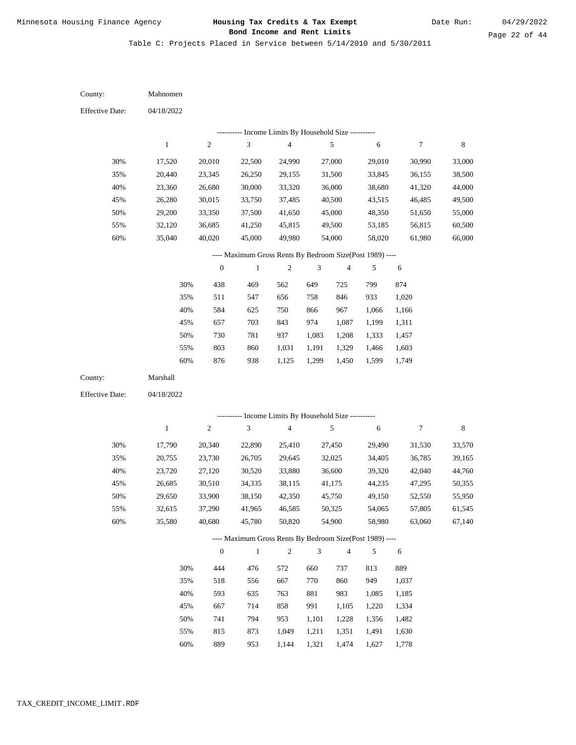Table C: Projects Placed in Service between 5/14/2010 and 5/30/2011

04/18/2022 04/18/2022 Mahnomen Marshall 30% 35% 40% 45% 50% 55% 60% 30% 35% 40% 45% 50% 55% 60% 17,520 20,440 23,360 26,280 29,200 32,120 35,040 17,790 20,755 23,720 26,685 29,650 32,615 35,580 20,010 23,345 26,680 30,015 33,350 36,685 40,020 20,340 23,730 27,120 30,510 33,900 37,290 40,680 22,500 26,250 30,000 33,750 37,500 41,250 45,000 22,890 26,705 30,520 34,335 38,150 41,965 45,780 24,990 29,155 33,320 37,485 41,650 45,815 49,980 25,410 29,645 33,880 38,115 42,350 46,585 50,820 27,000 31,500 36,000 40,500 45,000 49,500 54,000 27,450 32,025 36,600 41,175 45,750 50,325 54,900 29,010 33,845 38,680 43,515 48,350 53,185 58,020 29,490 34,405 39,320 44,235 49,150 54,065 58,980 30,990 36,155 41,320 46,485 51,650 56,815 61,980 31,530 36,785 42,040 47,295 52,550 57,805 63,060 33,000 38,500 44,000 49,500 55,000 60,500 66,000 33,570 39,165 44,760 50,355 55,950 61,545 67,140 438 511 584 657 730 803 876 444 518 593 667 741 815 469 547 625 703 781 860 938 476 556 635 714 794 873 562 656 750 843 937 1,031 1,125 572 667 763 858 953 1,049 649 758 866 974 1,083 1,191 1,299 660 770 881 991 1,101 1,211 725 846 967 1,087 1,208 1,329 1,450 737 860 983 1,105 1,228 1,351 799 933 1,066 1,199 1,333 1,466 1,599 813 949 1,085 1,220 1,356 1,491 874 1,020 1,166 1,311 1,457 1,603 1,749 889 1,037 1,185 1,334 1,482 1,630 County: County: Effective Date: Effective Date: 1 1 2 2 3 3 4 4 5 5 6 6 7 7 8 8 0 0 1 1 2 2 3 3 4 4 5 5 6 6 ---------- Income Limits By Household Size ---------- ---------- Income Limits By Household Size ---------- ---- Maximum Gross Rents By Bedroom Size(Post 1989) ---- ---- Maximum Gross Rents By Bedroom Size(Post 1989) ---- 30% 35% 40% 45% 50% 55% 60% 30% 35% 40% 45% 50% 55%

889

60%

953

1,144

1,321

1,474

1,627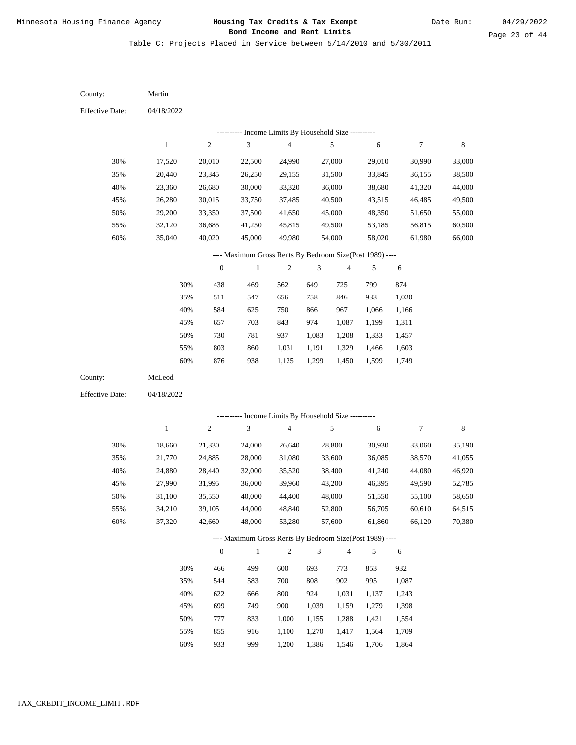Table C: Projects Placed in Service between 5/14/2010 and 5/30/2011

04/18/2022 04/18/2022 Martin McLeod 30% 35% 40% 45% 50% 55% 60% 30% 35% 40% 45% 50% 55% 60% 17,520 20,440 23,360 26,280 29,200 32,120 35,040 18,660 21,770 24,880 27,990 31,100 34,210 37,320 20,010 23,345 26,680 30,015 33,350 36,685 40,020 21,330 24,885 28,440 31,995 35,550 39,105 42,660 22,500 26,250 30,000 33,750 37,500 41,250 45,000 24,000 28,000 32,000 36,000 40,000 44,000 48,000 24,990 29,155 33,320 37,485 41,650 45,815 49,980 26,640 31,080 35,520 39,960 44,400 48,840 53,280 27,000 31,500 36,000 40,500 45,000 49,500 54,000 28,800 33,600 38,400 43,200 48,000 52,800 57,600 29,010 33,845 38,680 43,515 48,350 53,185 58,020 30,930 36,085 41,240 46,395 51,550 56,705 61,860 30,990 36,155 41,320 46,485 51,650 56,815 61,980 33,060 38,570 44,080 49,590 55,100 60,610 66,120 33,000 38,500 44,000 49,500 55,000 60,500 66,000 35,190 41,055 46,920 52,785 58,650 64,515 70,380 438 511 584 657 730 803 876 466 544 622 699 777 855 469 547 625 703 781 860 938 499 583 666 749 833 916 562 656 750 843 937 1,031 1,125 600 700 800 900 1,000 1,100 649 758 866 974 1,083 1,191 1,299 693 808 924 1,039 1,155 1,270 725 846 967 1,087 1,208 1,329 1,450 773 902 1,031 1,159 1,288 1,417 799 933 1,066 1,199 1,333 1,466 1,599 853 995 1,137 1,279 1,421 1,564 874 1,020 1,166 1,311 1,457 1,603 1,749 932 1,087 1,243 1,398 1,554 1,709 County: County: Effective Date: Effective Date: 1 1 2 2 3 3 4 4 5 5 6 6 7 7 8 8 0 0 1 1 2 2 3 3 4 4 5 5 6 6 ---------- Income Limits By Household Size ---------- ---------- Income Limits By Household Size ---------- ---- Maximum Gross Rents By Bedroom Size(Post 1989) ---- ---- Maximum Gross Rents By Bedroom Size(Post 1989) ---- 30% 35% 40% 45% 50% 55% 60% 30% 35% 40% 45% 50% 55%

933

60%

999

1,200

1,386

1,546

1,706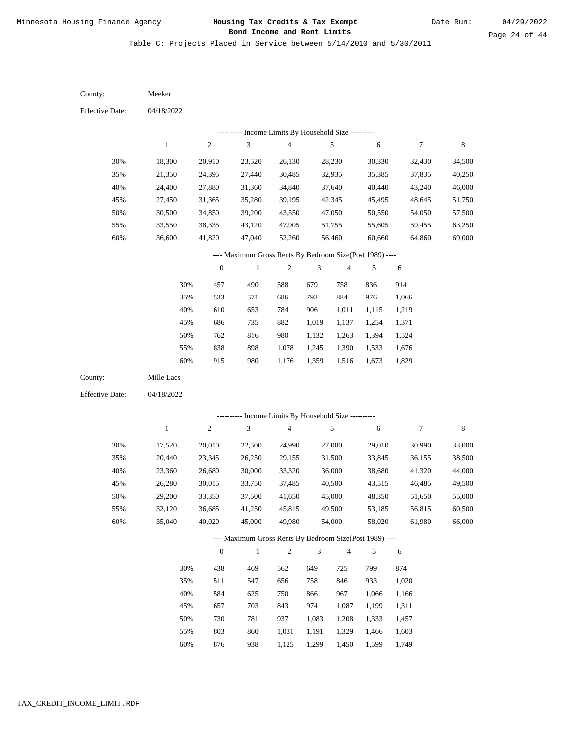Table C: Projects Placed in Service between 5/14/2010 and 5/30/2011

| County:                | Meeker     |                  |                                                          |                |                             |                |            |                  |             |
|------------------------|------------|------------------|----------------------------------------------------------|----------------|-----------------------------|----------------|------------|------------------|-------------|
| <b>Effective Date:</b> | 04/18/2022 |                  |                                                          |                |                             |                |            |                  |             |
|                        |            |                  | --------- Income Limits By Household Size ----------     |                |                             |                |            |                  |             |
|                        | $\,1$      | $\sqrt{2}$       | $\sqrt{3}$                                               | $\overline{4}$ |                             | 5              | $\sqrt{6}$ | $\boldsymbol{7}$ | $\,$ 8 $\,$ |
| 30%                    | 18,300     | 20,910           | 23,520                                                   | 26,130         |                             | 28,230         | 30,330     | 32,430           | 34,500      |
| 35%                    | 21,350     | 24,395           | 27,440                                                   | 30,485         |                             | 32,935         | 35,385     | 37,835           | 40,250      |
| 40%                    | 24,400     | 27,880           | 31,360                                                   | 34,840         |                             | 37,640         | 40,440     | 43,240           | 46,000      |
| 45%                    | 27,450     | 31,365           | 35,280                                                   | 39,195         |                             | 42,345         | 45,495     | 48,645           | 51,750      |
| 50%                    | 30,500     | 34,850           | 39,200                                                   | 43,550         |                             | 47,050         | 50,550     | 54,050           | 57,500      |
| 55%                    | 33,550     | 38,335           | 43,120                                                   | 47,905         |                             | 51,755         | 55,605     | 59,455           | 63,250      |
| 60%                    | 36,600     | 41,820           | 47,040                                                   | 52,260         |                             | 56,460         | 60,660     | 64,860           | 69,000      |
|                        |            |                  | ---- Maximum Gross Rents By Bedroom Size(Post 1989) ---- |                |                             |                |            |                  |             |
|                        |            | $\boldsymbol{0}$ | $\,1$                                                    | $\sqrt{2}$     | $\ensuremath{\mathfrak{Z}}$ | $\overline{4}$ | 5          | 6                |             |
|                        | 30%        | 457              | 490                                                      | 588            | 679                         | 758            | 836        | 914              |             |
|                        | 35%        | 533              | 571                                                      | 686            | 792                         | 884            | 976        | 1,066            |             |
|                        | 40%        | 610              | 653                                                      | 784            | 906                         | 1,011          | 1,115      | 1,219            |             |
|                        | 45%        | 686              | 735                                                      | 882            | 1,019                       | 1,137          | 1,254      | 1,371            |             |
|                        | 50%        | 762              | 816                                                      | 980            | 1,132                       | 1,263          | 1,394      | 1,524            |             |
|                        | 55%        | 838              | 898                                                      | 1,078          | 1,245                       | 1,390          | 1,533      | 1,676            |             |
|                        | 60%        | 915              | 980                                                      | 1,176          | 1,359                       | 1,516          | 1,673      | 1,829            |             |
| County:                | Mille Lacs |                  |                                                          |                |                             |                |            |                  |             |
| <b>Effective Date:</b> | 04/18/2022 |                  |                                                          |                |                             |                |            |                  |             |
|                        |            |                  | --------- Income Limits By Household Size ----------     |                |                             |                |            |                  |             |
|                        | $\,1$      | $\sqrt{2}$       | 3                                                        | $\overline{4}$ |                             | 5              | 6          | $\tau$           | $\,$ 8 $\,$ |
| 30%                    | 17,520     | 20,010           | 22,500                                                   | 24,990         |                             | 27,000         | 29,010     | 30,990           | 33,000      |
| 35%                    | 20,440     | 23,345           | 26,250                                                   | 29,155         |                             | 31,500         | 33,845     | 36,155           | 38,500      |
| 40%                    | 23,360     | 26,680           | 30,000                                                   | 33,320         |                             | 36,000         | 38,680     | 41,320           | 44,000      |
| 45%                    | 26,280     | 30,015           | 33,750                                                   | 37,485         |                             | 40,500         | 43,515     | 46,485           | 49,500      |
| 50%                    | 29,200     | 33,350           | 37,500                                                   | 41,650         |                             | 45,000         | 48,350     | 51,650           | 55,000      |
| 55%                    | 32,120     | 36,685           | 41,250                                                   | 45,815         |                             | 49,500         | 53,185     | 56,815           | 60,500      |
| 60%                    | 35,040     | 40,020           | 45,000                                                   | 49,980         |                             | 54,000         | 58,020     | 61,980           | 66,000      |
|                        |            |                  | ---- Maximum Gross Rents By Bedroom Size(Post 1989) ---- |                |                             |                |            |                  |             |
|                        |            | $\boldsymbol{0}$ | $\,1\,$                                                  | $\sqrt{2}$     | $\mathfrak{Z}$              | $\overline{4}$ | 5          | 6                |             |
|                        | 30%        | 438              | 469                                                      | 562            | 649                         | 725            | 799        | 874              |             |
|                        | 35%        | 511              | 547                                                      | 656            | 758                         | 846            | 933        | 1,020            |             |
|                        | 40%        | 584              | 625                                                      | 750            | 866                         | 967            | 1,066      | 1,166            |             |
|                        | 45%        | 657              | 703                                                      | 843            | 974                         | 1,087          | 1,199      | 1,311            |             |
|                        | 50%        | 730              | 781                                                      | 937            | 1,083                       | 1,208          | 1,333      | 1,457            |             |
|                        | 55%        | 803              | 860                                                      | 1,031          | 1,191                       | 1,329          | 1,466      | 1,603            |             |

876 938 1,125 1,299 1,450 1,599 1,749 60%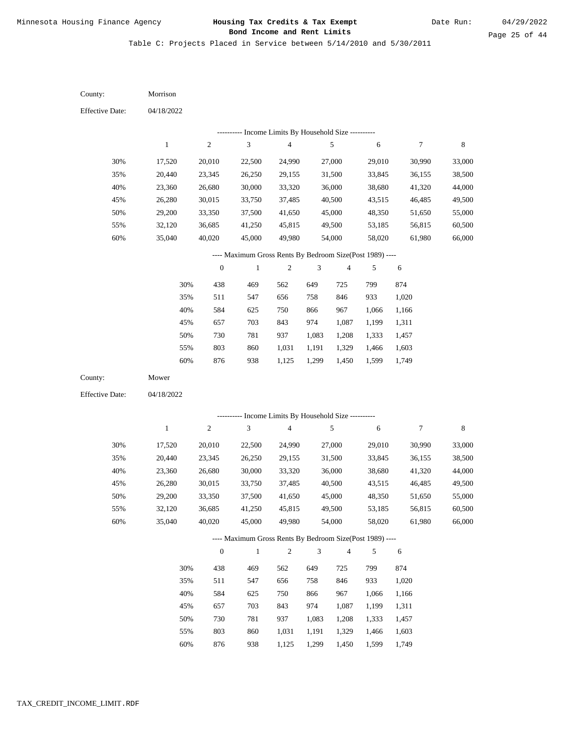Table C: Projects Placed in Service between 5/14/2010 and 5/30/2011

04/18/2022 04/18/2022 Morrison Mower 30% 35% 40% 45% 50% 55% 60% 30% 35% 40% 45% 50% 55% 60% 17,520 20,440 23,360 26,280 29,200 32,120 35,040 17,520 20,440 23,360 26,280 29,200 32,120 35,040 20,010 23,345 26,680 30,015 33,350 36,685 40,020 20,010 23,345 26,680 30,015 33,350 36,685 40,020 22,500 26,250 30,000 33,750 37,500 41,250 45,000 22,500 26,250 30,000 33,750 37,500 41,250 45,000 24,990 29,155 33,320 37,485 41,650 45,815 49,980 24,990 29,155 33,320 37,485 41,650 45,815 49,980 27,000 31,500 36,000 40,500 45,000 49,500 54,000 27,000 31,500 36,000 40,500 45,000 49,500 54,000 29,010 33,845 38,680 43,515 48,350 53,185 58,020 29,010 33,845 38,680 43,515 48,350 53,185 58,020 30,990 36,155 41,320 46,485 51,650 56,815 61,980 30,990 36,155 41,320 46,485 51,650 56,815 61,980 33,000 38,500 44,000 49,500 55,000 60,500 66,000 33,000 38,500 44,000 49,500 55,000 60,500 66,000 438 511 584 657 730 803 876 438 511 584 657 730 803 469 547 625 703 781 860 938 469 547 625 703 781 860 562 656 750 843 937 1,031 1,125 562 656 750 843 937 1,031 649 758 866 974 1,083 1,191 1,299 649 758 866 974 1,083 1,191 725 846 967 1,087 1,208 1,329 1,450 725 846 967 1,087 1,208 1,329 799 933 1,066 1,199 1,333 1,466 1,599 799 933 1,066 1,199 1,333 1,466 874 1,020 1,166 1,311 1,457 1,603 1,749 874 1,020 1,166 1,311 1,457 1,603 County: County: Effective Date: Effective Date: 1 1 2 2 3 3 4 4 5 5 6 6 7 7 8 8 0 0 1 1 2 2 3 3 4 4 5 5 6 6 ---------- Income Limits By Household Size ---------- ---------- Income Limits By Household Size ---------- ---- Maximum Gross Rents By Bedroom Size(Post 1989) ---- ---- Maximum Gross Rents By Bedroom Size(Post 1989) ---- 30% 35% 40% 45% 50% 55% 60% 30% 35% 40% 45% 50% 55%

876

60%

938

1,125

1,299

1,450

1,599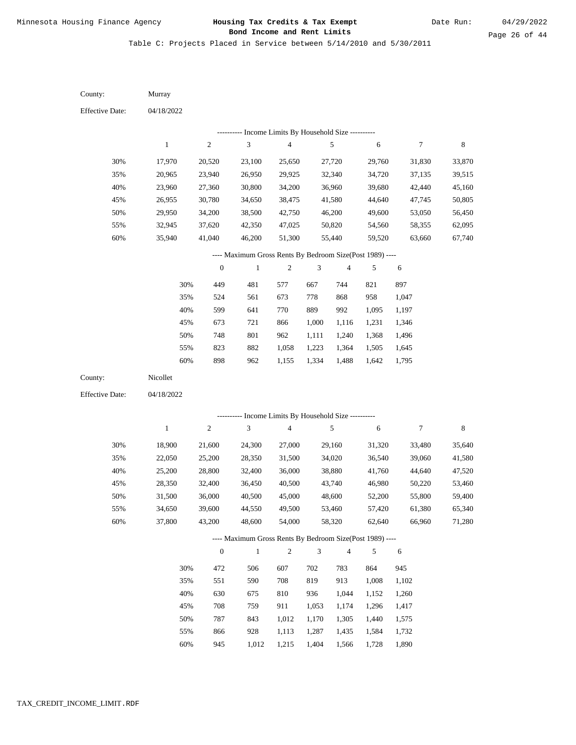Table C: Projects Placed in Service between 5/14/2010 and 5/30/2011

| County:                | Murray           |                  |                                                           |                  |                             |                  |                  |                  |                  |
|------------------------|------------------|------------------|-----------------------------------------------------------|------------------|-----------------------------|------------------|------------------|------------------|------------------|
| <b>Effective Date:</b> | 04/18/2022       |                  |                                                           |                  |                             |                  |                  |                  |                  |
|                        |                  |                  | --------- Income Limits By Household Size ----------      |                  |                             |                  |                  |                  |                  |
|                        | $\,1$            | $\sqrt{2}$       | $\sqrt{3}$                                                | $\overline{4}$   |                             | 5                | 6                | $\boldsymbol{7}$ | $\,$ 8 $\,$      |
| 30%                    | 17,970           | 20,520           | 23,100                                                    | 25,650           |                             | 27,720           | 29,760           | 31,830           | 33,870           |
| 35%                    | 20,965           | 23,940           | 26,950                                                    | 29,925           |                             | 32,340           | 34,720           | 37,135           | 39,515           |
| 40%                    | 23,960           | 27,360           | 30,800                                                    | 34,200           |                             | 36,960           | 39,680           | 42,440           | 45,160           |
| 45%                    | 26,955           | 30,780           | 34,650                                                    | 38,475           |                             | 41,580           | 44,640           | 47,745           | 50,805           |
| 50%                    | 29,950           | 34,200           | 38,500                                                    | 42,750           |                             | 46,200           | 49,600           | 53,050           | 56,450           |
| 55%                    | 32,945           | 37,620           | 42,350                                                    | 47,025           |                             | 50,820           | 54,560           | 58,355           | 62,095           |
| 60%                    | 35,940           | 41,040           | 46,200                                                    | 51,300           |                             | 55,440           | 59,520           | 63,660           | 67,740           |
|                        |                  |                  | ---- Maximum Gross Rents By Bedroom Size(Post 1989) ----  |                  |                             |                  |                  |                  |                  |
|                        |                  | $\boldsymbol{0}$ | $\,1$                                                     | $\sqrt{2}$       | $\ensuremath{\mathfrak{Z}}$ | $\overline{4}$   | 5                | 6                |                  |
|                        | 30%              | 449              | 481                                                       | 577              | 667                         | 744              | 821              | 897              |                  |
|                        | 35%              | 524              | 561                                                       | 673              | 778                         | 868              | 958              | 1,047            |                  |
|                        | 40%              | 599              | 641                                                       | 770              | 889                         | 992              | 1,095            | 1,197            |                  |
|                        | 45%              | 673              | 721                                                       | 866              | 1,000                       | 1,116            | 1,231            | 1,346            |                  |
|                        | 50%              | 748              | 801                                                       | 962              | 1,111                       | 1,240            | 1,368            | 1,496            |                  |
|                        | 55%              | 823              | 882                                                       | 1,058            | 1,223                       | 1,364            | 1,505            | 1,645            |                  |
|                        | 60%              | 898              | 962                                                       | 1,155            | 1,334                       | 1,488            | 1,642            | 1,795            |                  |
| County:                | Nicollet         |                  |                                                           |                  |                             |                  |                  |                  |                  |
| <b>Effective Date:</b> | 04/18/2022       |                  |                                                           |                  |                             |                  |                  |                  |                  |
|                        |                  |                  |                                                           |                  |                             |                  |                  |                  |                  |
|                        | $\mathbf{1}$     | $\sqrt{2}$       | --------- Income Limits By Household Size ----------<br>3 | $\overline{4}$   |                             | 5                | 6                | $\tau$           | $\,$ 8 $\,$      |
|                        |                  |                  |                                                           |                  |                             |                  |                  |                  |                  |
| 30%                    | 18,900           | 21,600           | 24,300                                                    | 27,000           |                             | 29,160           | 31,320           | 33,480           | 35,640           |
| 35%                    | 22,050           | 25,200           | 28,350                                                    | 31,500           |                             | 34,020           | 36,540           | 39,060           | 41,580           |
| 40%                    | 25,200           | 28,800           | 32,400                                                    | 36,000           |                             | 38,880           | 41,760           | 44,640           | 47,520           |
| 45%<br>50%             | 28,350<br>31,500 | 32,400<br>36,000 | 36,450<br>40,500                                          | 40,500<br>45,000 |                             | 43,740<br>48,600 | 46,980<br>52,200 | 50,220<br>55,800 | 53,460<br>59,400 |
|                        |                  |                  |                                                           |                  |                             |                  |                  |                  |                  |
| 55%<br>60%             | 34,650<br>37,800 | 39,600<br>43,200 | 44,550<br>48,600                                          | 49,500<br>54,000 |                             | 53,460<br>58,320 | 57,420<br>62,640 | 61,380<br>66,960 | 65,340<br>71,280 |
|                        |                  |                  |                                                           |                  |                             |                  |                  |                  |                  |
|                        |                  |                  | ---- Maximum Gross Rents By Bedroom Size(Post 1989) ----  |                  |                             |                  |                  |                  |                  |
|                        |                  | $\boldsymbol{0}$ | $\,1\,$                                                   | $\sqrt{2}$       | $\mathfrak{Z}$              | $\overline{4}$   | 5                | 6                |                  |
|                        | 30%              | 472              | 506                                                       | 607              | 702                         | 783              | 864              | 945              |                  |
|                        | 35%              | 551              | 590                                                       | 708              | 819                         | 913              | 1,008            | 1,102            |                  |
|                        | 40%              | 630              | 675                                                       | 810              | 936                         | 1,044            | 1,152            | 1,260            |                  |
|                        | 45%              | 708              | 759                                                       | 911              | 1,053                       | 1,174            | 1,296            | 1,417            |                  |
|                        | 50%              | 787              | 843                                                       | 1,012            | 1,170                       | 1,305            | 1,440            | 1,575            |                  |
|                        | 55%              | 866              | 928                                                       | 1,113            | 1,287                       | 1,435            | 1,584            | 1,732            |                  |

60% 945 1,012 1,215 1,404 1,566 1,728 1,890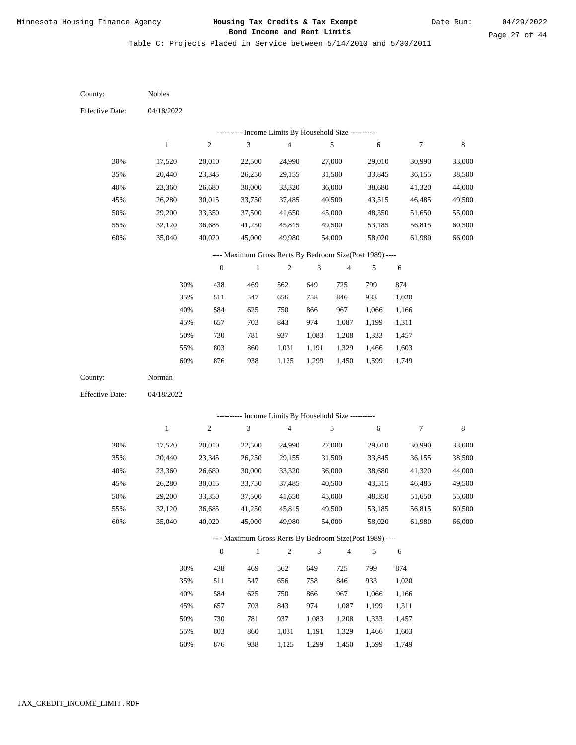Table C: Projects Placed in Service between 5/14/2010 and 5/30/2011

| County:                | Nobles           |                  |                                                          |                                            |                |                         |                  |                  |                  |
|------------------------|------------------|------------------|----------------------------------------------------------|--------------------------------------------|----------------|-------------------------|------------------|------------------|------------------|
| <b>Effective Date:</b> | 04/18/2022       |                  |                                                          |                                            |                |                         |                  |                  |                  |
|                        |                  |                  |                                                          | Income Limits By Household Size ---------- |                |                         |                  |                  |                  |
|                        | $\mathbf{1}$     | $\sqrt{2}$       | $\mathfrak{Z}$                                           | $\overline{\mathbf{4}}$                    |                | $\sqrt{5}$              | $\sqrt{6}$       | $\tau$           | $\,$ 8 $\,$      |
| 30%                    | 17,520           | 20,010           | 22,500                                                   | 24,990                                     |                | 27,000                  | 29,010           | 30,990           | 33,000           |
| 35%                    | 20,440           | 23,345           | 26,250                                                   | 29,155                                     |                | 31,500                  | 33,845           | 36,155           | 38,500           |
| 40%                    | 23,360           | 26,680           | 30,000                                                   | 33,320                                     |                | 36,000                  | 38,680           | 41,320           | 44,000           |
| 45%                    | 26,280           | 30,015           | 33,750                                                   | 37,485                                     |                | 40,500                  | 43,515           | 46,485           | 49,500           |
| 50%                    | 29,200           | 33,350           | 37,500                                                   | 41,650                                     |                | 45,000                  | 48,350           | 51,650           | 55,000           |
| 55%                    | 32,120           | 36,685           | 41,250                                                   | 45,815                                     |                | 49,500                  | 53,185           | 56,815           | 60,500           |
| 60%                    | 35,040           | 40,020           | 45,000                                                   | 49,980                                     |                | 54,000                  | 58,020           | 61,980           | 66,000           |
|                        |                  |                  | ---- Maximum Gross Rents By Bedroom Size(Post 1989) ---- |                                            |                |                         |                  |                  |                  |
|                        |                  | $\boldsymbol{0}$ | $\mathbf{1}$                                             | 2                                          | 3              | $\overline{\mathbf{4}}$ | 5                | 6                |                  |
|                        | 30%              | 438              | 469                                                      | 562                                        | 649            | 725                     | 799              | 874              |                  |
|                        | 35%              | 511              | 547                                                      | 656                                        | 758            | 846                     | 933              | 1,020            |                  |
|                        | 40%              | 584              | 625                                                      | 750                                        | 866            | 967                     | 1,066            | 1,166            |                  |
|                        | 45%              | 657              | 703                                                      | 843                                        | 974            | 1,087                   | 1,199            | 1,311            |                  |
|                        | 50%              | 730              | 781                                                      | 937                                        | 1,083          | 1,208                   | 1,333            | 1,457            |                  |
|                        | 55%              | 803              | 860                                                      | 1,031                                      | 1,191          | 1,329                   | 1,466            | 1,603            |                  |
|                        | 60%              | 876              | 938                                                      | 1,125                                      | 1,299          | 1,450                   | 1,599            | 1,749            |                  |
| County:                | Norman           |                  |                                                          |                                            |                |                         |                  |                  |                  |
| <b>Effective Date:</b> | 04/18/2022       |                  |                                                          |                                            |                |                         |                  |                  |                  |
|                        |                  |                  | --------- Income Limits By Household Size ----------     |                                            |                |                         |                  |                  |                  |
|                        | $\mathbf{1}$     | $\sqrt{2}$       | 3                                                        | $\overline{\mathbf{4}}$                    |                | 5                       | 6                | 7                | $\,$ 8 $\,$      |
|                        |                  |                  |                                                          |                                            |                |                         |                  |                  |                  |
| 30%                    | 17,520           | 20,010           | 22,500                                                   | 24,990                                     |                | 27,000                  | 29,010           | 30,990           | 33,000           |
| 35%<br>40%             | 20,440<br>23,360 | 23,345<br>26,680 | 26,250<br>30,000                                         | 29,155<br>33,320                           |                | 31,500<br>36,000        | 33,845<br>38,680 | 36,155<br>41,320 | 38,500<br>44,000 |
| 45%                    | 26,280           | 30,015           | 33,750                                                   | 37,485                                     |                | 40,500                  | 43,515           | 46,485           | 49,500           |
| 50%                    | 29,200           | 33,350           | 37,500                                                   | 41,650                                     |                | 45,000                  | 48,350           | 51,650           | 55,000           |
| 55%                    | 32,120           | 36,685           | 41,250                                                   | 45,815                                     |                | 49,500                  | 53,185           | 56,815           | 60,500           |
| $60\%$                 | 35,040           | 40,020           | 45,000                                                   | 49,980                                     |                | 54,000                  | 58,020           | 61,980           | 66,000           |
|                        |                  |                  | ---- Maximum Gross Rents By Bedroom Size(Post 1989) ---- |                                            |                |                         |                  |                  |                  |
|                        |                  | $\boldsymbol{0}$ | $\mathbf{1}$                                             | $\overline{c}$                             | $\mathfrak{Z}$ | $\overline{4}$          | 5                | 6                |                  |
|                        |                  |                  | 469                                                      |                                            | 649            |                         | 799              |                  |                  |
|                        | 30%<br>35%       | 438<br>511       | 547                                                      | 562<br>656                                 | 758            | 725<br>846              | 933              | 874<br>1,020     |                  |
|                        | 40%              | 584              | 625                                                      | 750                                        | 866            | 967                     | 1,066            | 1,166            |                  |
|                        | 45%              | 657              | 703                                                      | 843                                        | 974            | 1,087                   | 1,199            | 1,311            |                  |
|                        | 50%              | 730              | 781                                                      | 937                                        | 1,083          | 1,208                   | 1,333            | 1,457            |                  |
|                        | 55%              | 803              | 860                                                      | 1,031                                      | 1,191          | 1,329                   | 1,466            | 1,603            |                  |
|                        |                  |                  |                                                          |                                            |                |                         |                  |                  |                  |

876 938 1,125 1,299 1,450 1,599 1,749 60%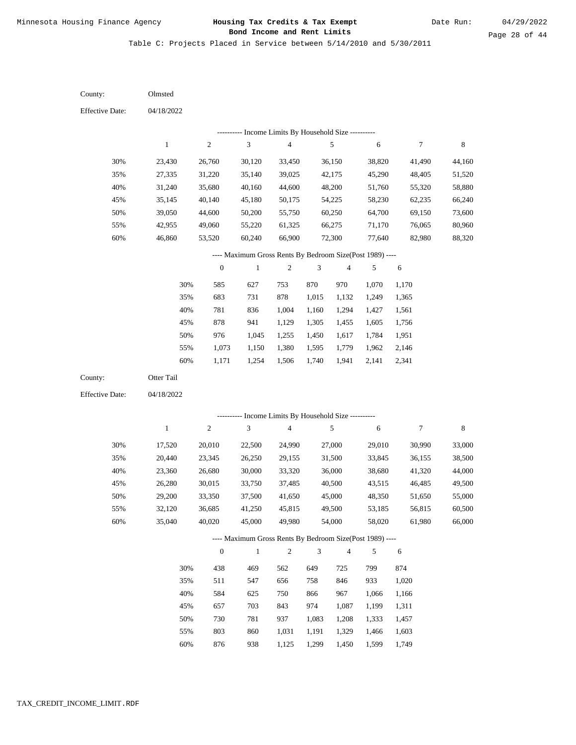Table C: Projects Placed in Service between 5/14/2010 and 5/30/2011

04/18/2022 04/18/2022 Olmsted Otter Tail 30% 35% 40% 45% 50% 55% 60% 30% 35% 40% 45% 50% 55% 60% 23,430 27,335 31,240 35,145 39,050 42,955 46,860 17,520 20,440 23,360 26,280 29,200 32,120 35,040 26,760 31,220 35,680 40,140 44,600 49,060 53,520 20,010 23,345 26,680 30,015 33,350 36,685 40,020 30,120 35,140 40,160 45,180 50,200 55,220 60,240 22,500 26,250 30,000 33,750 37,500 41,250 45,000 33,450 39,025 44,600 50,175 55,750 61,325 66,900 24,990 29,155 33,320 37,485 41,650 45,815 49,980 36,150 42,175 48,200 54,225 60,250 66,275 72,300 27,000 31,500 36,000 40,500 45,000 49,500 54,000 38,820 45,290 51,760 58,230 64,700 71,170 77,640 29,010 33,845 38,680 43,515 48,350 53,185 58,020 41,490 48,405 55,320 62,235 69,150 76,065 82,980 30,990 36,155 41,320 46,485 51,650 56,815 61,980 44,160 51,520 58,880 66,240 73,600 80,960 88,320 33,000 38,500 44,000 49,500 55,000 60,500 66,000 585 683 781 878 976 1,073 1,171 438 511 584 657 730 803 876 627 731 836 941 1,045 1,150 1,254 469 547 625 703 781 860 753 878 1,004 1,129 1,255 1,380 1,506 562 656 750 843 937 1,031 870 1,015 1,160 1,305 1,450 1,595 1,740 649 758 866 974 1,083 1,191 970 1,132 1,294 1,455 1,617 1,779 1,941 725 846 967 1,087 1,208 1,329 1,070 1,249 1,427 1,605 1,784 1,962 2,141 799 933 1,066 1,199 1,333 1,466 1,599 1,170 1,365 1,561 1,756 1,951 2,146 2,341 874 1,020 1,166 1,311 1,457 1,603 County: County: Effective Date: Effective Date: 1 1 2 2 3 3 4 4 5 5 6 6 7 7 8 8 0 0 1 1 2 2 3 3 4 4 5 5 6 6 ---------- Income Limits By Household Size ---------- ---------- Income Limits By Household Size ---------- ---- Maximum Gross Rents By Bedroom Size(Post 1989) ---- ---- Maximum Gross Rents By Bedroom Size(Post 1989) ---- 30% 35% 40% 45% 50% 55% 60% 30% 35% 40% 45% 50% 55% 60%

938

1,125

1,299

1,450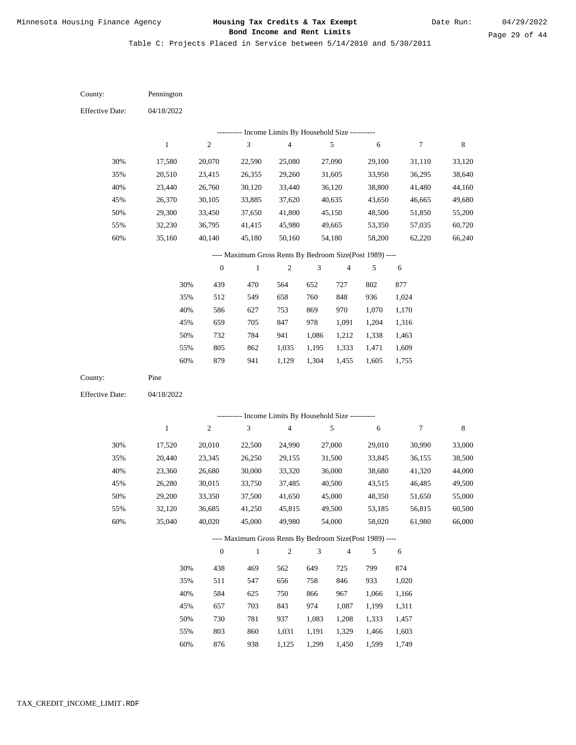Table C: Projects Placed in Service between 5/14/2010 and 5/30/2011

04/18/2022 04/18/2022 Pennington Pine 30% 35% 40% 45% 50% 55% 60% 30% 35% 40% 45% 50% 55% 60% 17,580 20,510 23,440 26,370 29,300 32,230 35,160 17,520 20,440 23,360 26,280 29,200 32,120 35,040 20,070 23,415 26,760 30,105 33,450 36,795 40,140 20,010 23,345 26,680 30,015 33,350 36,685 40,020 22,590 26,355 30,120 33,885 37,650 41,415 45,180 22,500 26,250 30,000 33,750 37,500 41,250 45,000 25,080 29,260 33,440 37,620 41,800 45,980 50,160 24,990 29,155 33,320 37,485 41,650 45,815 49,980 27,090 31,605 36,120 40,635 45,150 49,665 54,180 27,000 31,500 36,000 40,500 45,000 49,500 54,000 29,100 33,950 38,800 43,650 48,500 53,350 58,200 29,010 33,845 38,680 43,515 48,350 53,185 58,020 31,110 36,295 41,480 46,665 51,850 57,035 62,220 30,990 36,155 41,320 46,485 51,650 56,815 61,980 33,120 38,640 44,160 49,680 55,200 60,720 66,240 33,000 38,500 44,000 49,500 55,000 60,500 66,000 439 512 586 659 732 805 879 438 511 584 657 730 803 470 549 627 705 784 862 941 469 547 625 703 781 860 564 658 753 847 941 1,035 1,129 562 656 750 843 937 1,031 652 760 869 978 1,086 1,195 1,304 649 758 866 974 1,083 1,191 727 848 970 1,091 1,212 1,333 1,455 725 846 967 1,087 1,208 1,329 802 936 1,070 1,204 1,338 1,471 1,605 799 933 1,066 1,199 1,333 1,466 877 1,024 1,170 1,316 1,463 1,609 1,755 874 1,020 1,166 1,311 1,457 1,603 County: County: Effective Date: Effective Date: 1 1 2 2 3 3 4 4 5 5 6 6 7 7 8 8 0 0 1 1 2 2 3 3 4 4 5 5 6 6 ---------- Income Limits By Household Size ---------- ---------- Income Limits By Household Size ---------- ---- Maximum Gross Rents By Bedroom Size(Post 1989) ---- ---- Maximum Gross Rents By Bedroom Size(Post 1989) ---- 30% 35% 40% 45% 50% 55% 60% 30% 35% 40% 45% 50% 55%

876

60%

938

1,125

1,299

1,450

1,599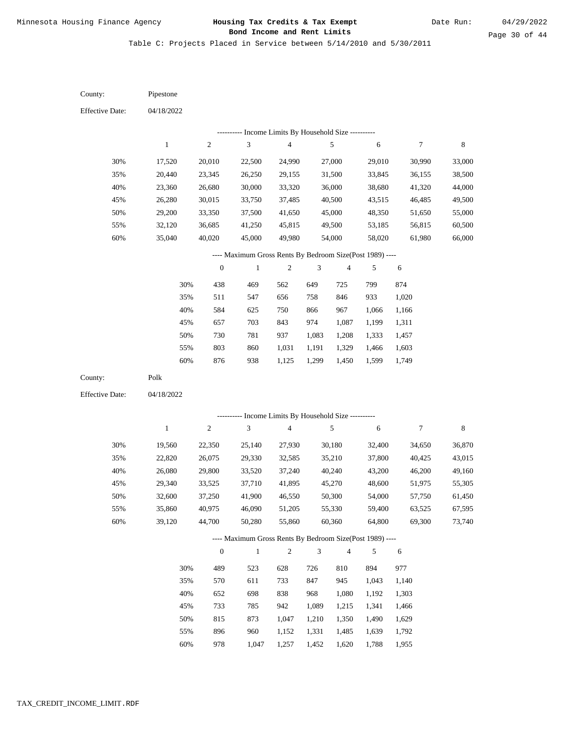Table C: Projects Placed in Service between 5/14/2010 and 5/30/2011

| County:                | Pipestone        |                  |                                                                          |                                            |                |                  |                  |                  |                  |
|------------------------|------------------|------------------|--------------------------------------------------------------------------|--------------------------------------------|----------------|------------------|------------------|------------------|------------------|
| <b>Effective Date:</b> | 04/18/2022       |                  |                                                                          |                                            |                |                  |                  |                  |                  |
|                        |                  | ----------       |                                                                          | Income Limits By Household Size ---------- |                |                  |                  |                  |                  |
|                        | $\mathbf{1}$     | $\boldsymbol{2}$ | $\ensuremath{\mathfrak{Z}}$                                              | $\overline{\mathbf{4}}$                    |                | 5                | 6                | $\tau$           | 8                |
| 30%                    | 17,520           | 20,010           | 22,500                                                                   | 24,990                                     |                | 27,000           | 29,010           | 30,990           | 33,000           |
| 35%                    | 20,440           | 23,345           | 26,250                                                                   | 29,155                                     |                | 31,500           | 33,845           | 36,155           | 38,500           |
| 40%                    | 23,360           | 26,680           | 30,000                                                                   | 33,320                                     |                | 36,000           | 38,680           | 41,320           | 44,000           |
| 45%                    | 26,280           | 30,015           | 33,750                                                                   | 37,485                                     |                | 40,500           | 43,515           | 46,485           | 49,500           |
| 50%                    | 29,200           | 33,350           | 37,500                                                                   | 41,650                                     |                | 45,000           | 48,350           | 51,650           | 55,000           |
| 55%                    | 32,120           | 36,685           | 41,250                                                                   | 45,815                                     |                | 49,500           | 53,185           | 56,815           | 60,500           |
| 60%                    | 35,040           | 40,020           | 45,000                                                                   | 49,980                                     |                | 54,000           | 58,020           | 61,980           | 66,000           |
|                        |                  |                  | ---- Maximum Gross Rents By Bedroom Size(Post 1989) ----                 |                                            |                |                  |                  |                  |                  |
|                        |                  | $\boldsymbol{0}$ | $\mathbf{1}$                                                             | $\sqrt{2}$                                 | 3              | $\sqrt{4}$       | 5                | 6                |                  |
|                        |                  |                  |                                                                          |                                            |                |                  |                  |                  |                  |
|                        | 30%              | 438              | 469                                                                      | 562                                        | 649            | 725              | 799              | 874              |                  |
|                        | 35%              | 511              | 547                                                                      | 656                                        | 758            | 846              | 933              | 1,020            |                  |
|                        | 40%              | 584              | 625                                                                      | 750                                        | 866            | 967<br>1,087     | 1,066            | 1,166            |                  |
|                        | 45%              | 657              | 703                                                                      | 843                                        | 974            |                  | 1,199            | 1,311            |                  |
|                        | 50%              | 730              | 781                                                                      | 937                                        | 1,083          | 1,208            | 1,333            | 1,457            |                  |
|                        | 55%              | 803              | 860                                                                      | 1,031                                      | 1,191          | 1,329            | 1,466            | 1,603            |                  |
|                        | 60%              | 876              | 938                                                                      | 1,125                                      | 1,299          | 1,450            | 1,599            | 1,749            |                  |
| County:                | Polk             |                  |                                                                          |                                            |                |                  |                  |                  |                  |
| <b>Effective Date:</b> | 04/18/2022       |                  |                                                                          |                                            |                |                  |                  |                  |                  |
|                        |                  |                  |                                                                          | Income Limits By Household Size ---------- |                |                  |                  |                  |                  |
|                        | $\mathbf{1}$     |                  |                                                                          |                                            |                |                  |                  |                  |                  |
| 30%                    |                  | $\boldsymbol{2}$ | 3                                                                        | $\overline{\mathbf{4}}$                    |                | 5                | 6                | 7                | 8                |
|                        |                  |                  |                                                                          |                                            |                |                  |                  |                  |                  |
|                        | 19,560           | 22,350           | 25,140                                                                   | 27,930                                     |                | 30,180           | 32,400           | 34,650           | 36,870           |
| 35%                    | 22,820           | 26,075           | 29,330                                                                   | 32,585                                     |                | 35,210           | 37,800           | 40,425           | 43,015           |
| 40%                    | 26,080           | 29,800           | 33,520                                                                   | 37,240                                     |                | 40,240           | 43,200           | 46,200           | 49,160           |
| 45%                    | 29,340           | 33,525           | 37,710                                                                   | 41,895                                     |                | 45,270           | 48,600           | 51,975           | 55,305           |
| 50%                    | 32,600           | 37,250           | 41,900                                                                   | 46,550                                     |                | 50,300           | 54,000           | 57,750           | 61,450           |
| 55%<br>60%             | 35,860<br>39,120 | 40,975<br>44,700 | 46,090<br>50,280                                                         | 51,205<br>55,860                           |                | 55,330<br>60,360 | 59,400<br>64,800 | 63,525<br>69,300 | 67,595<br>73,740 |
|                        |                  |                  |                                                                          |                                            |                |                  |                  |                  |                  |
|                        |                  | $\boldsymbol{0}$ | ---- Maximum Gross Rents By Bedroom Size(Post 1989) ----<br>$\mathbf{1}$ | $\mathbf{2}$                               | $\mathfrak{Z}$ | $\overline{4}$   | 5                | 6                |                  |
|                        |                  |                  |                                                                          |                                            |                |                  |                  |                  |                  |
|                        | 30%              | 489              | 523                                                                      | 628                                        | 726            | 810              | 894              | 977              |                  |
|                        | 35%              | 570              | 611                                                                      | 733                                        | 847            | 945              | 1,043            | 1,140            |                  |
|                        | 40%              | 652              | 698                                                                      | 838                                        | 968            | 1,080            | 1,192            | 1,303            |                  |
|                        | 45%              | 733              | 785                                                                      | 942                                        | 1,089          | 1,215            | 1,341            | 1,466            |                  |
|                        | 50%<br>55%       | 815<br>896       | 873<br>960                                                               | 1,047<br>1,152                             | 1,210<br>1,331 | 1,350<br>1,485   | 1,490<br>1,639   | 1,629<br>1,792   |                  |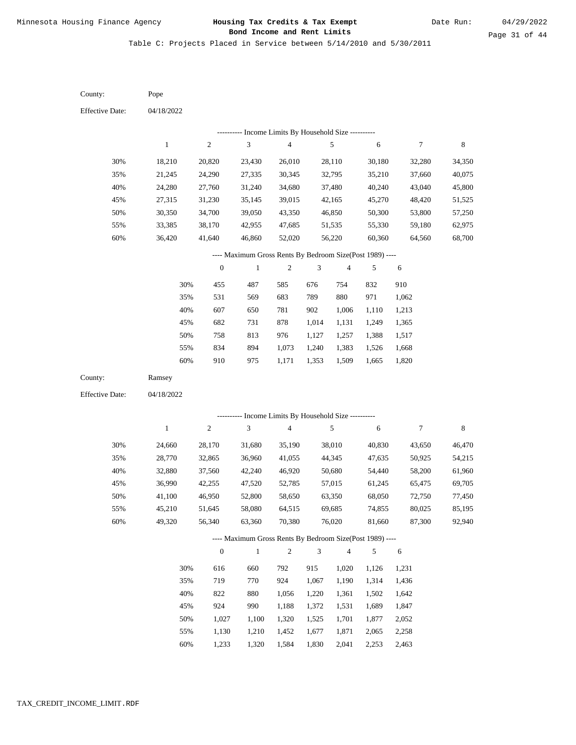Table C: Projects Placed in Service between 5/14/2010 and 5/30/2011

| County:                | Pope         |                  |                                                          |                                            |                |                |        |                |        |
|------------------------|--------------|------------------|----------------------------------------------------------|--------------------------------------------|----------------|----------------|--------|----------------|--------|
| <b>Effective Date:</b> | 04/18/2022   |                  |                                                          |                                            |                |                |        |                |        |
|                        |              |                  |                                                          | Income Limits By Household Size ---------- |                |                |        |                |        |
|                        | $\mathbf{1}$ | $\sqrt{2}$       | 3                                                        | $\overline{\mathcal{L}}$                   |                | 5              | 6      | 7              | 8      |
| 30%                    | 18,210       | 20,820           | 23,430                                                   | 26,010                                     |                | 28,110         | 30,180 | 32,280         | 34,350 |
| 35%                    | 21,245       | 24,290           | 27,335                                                   | 30,345                                     |                | 32,795         | 35,210 | 37,660         | 40,075 |
| 40%                    | 24,280       | 27,760           | 31,240                                                   | 34,680                                     |                | 37,480         | 40,240 | 43,040         | 45,800 |
| 45%                    | 27,315       | 31,230           | 35,145                                                   | 39,015                                     |                | 42,165         | 45,270 | 48,420         | 51,525 |
| 50%                    | 30,350       | 34,700           | 39,050                                                   | 43,350                                     |                | 46,850         | 50,300 | 53,800         | 57,250 |
| 55%                    | 33,385       | 38,170           | 42,955                                                   | 47,685                                     |                | 51,535         | 55,330 | 59,180         | 62,975 |
| 60%                    | 36,420       | 41,640           | 46,860                                                   | 52,020                                     |                | 56,220         | 60,360 | 64,560         | 68,700 |
|                        |              |                  | ---- Maximum Gross Rents By Bedroom Size(Post 1989) ---- |                                            |                |                |        |                |        |
|                        |              | $\boldsymbol{0}$ | 1                                                        | $\sqrt{2}$                                 | 3              | $\overline{4}$ | 5      | 6              |        |
|                        | 30%          | 455              | 487                                                      | 585                                        | 676            | 754            | 832    | 910            |        |
|                        | 35%          | 531              | 569                                                      | 683                                        | 789            | 880            | 971    | 1,062          |        |
|                        | 40%          | 607              | 650                                                      | 781                                        | 902            | 1,006          | 1,110  | 1,213          |        |
|                        | 45%          | 682              | 731                                                      | 878                                        | 1,014          | 1,131          | 1,249  | 1,365          |        |
|                        | 50%          | 758              | 813                                                      | 976                                        | 1,127          | 1,257          | 1,388  | 1,517          |        |
|                        | 55%          | 834              | 894                                                      | 1,073                                      | 1,240          | 1,383          | 1,526  | 1,668          |        |
|                        | 60%          | 910              | 975                                                      | 1,171                                      | 1,353          | 1,509          | 1,665  | 1,820          |        |
| County:                | Ramsey       |                  |                                                          |                                            |                |                |        |                |        |
| <b>Effective Date:</b> | 04/18/2022   |                  |                                                          |                                            |                |                |        |                |        |
|                        |              |                  | --------- Income Limits By Household Size ----------     |                                            |                |                |        |                |        |
|                        | $\mathbf{1}$ | $\sqrt{2}$       | 3                                                        | $\overline{4}$                             |                | $\sqrt{5}$     | 6      | $\overline{7}$ | 8      |
| 30%                    | 24,660       | 28,170           | 31,680                                                   | 35,190                                     |                | 38,010         | 40,830 | 43,650         | 46,470 |
| 35%                    | 28,770       | 32,865           | 36,960                                                   | 41,055                                     |                | 44,345         | 47,635 | 50,925         | 54,215 |
| 40%                    | 32,880       | 37,560           | 42,240                                                   | 46,920                                     |                | 50,680         | 54,440 | 58,200         | 61,960 |
| 45%                    | 36,990       | 42,255           | 47,520                                                   | 52,785                                     |                | 57,015         | 61,245 | 65,475         | 69,705 |
| 50%                    | 41,100       | 46,950           | 52,800                                                   | 58,650                                     |                | 63,350         | 68,050 | 72,750         | 77,450 |
| 55%                    | 45,210       | 51,645           | 58,080                                                   | 64,515                                     |                | 69,685         | 74,855 | 80,025         | 85,195 |
| 60%                    | 49,320       | 56,340           | 63,360                                                   | 70,380                                     |                | 76,020         | 81,660 | 87,300         | 92,940 |
|                        |              |                  | ---- Maximum Gross Rents By Bedroom Size(Post 1989) ---- |                                            |                |                |        |                |        |
|                        |              | $\boldsymbol{0}$ | $\mathbf{1}$                                             | $\sqrt{2}$                                 | $\mathfrak{Z}$ | $\overline{4}$ | 5      | 6              |        |
|                        | 30%          | 616              | 660                                                      | 792                                        | 915            | 1,020          | 1,126  | 1,231          |        |
|                        | 35%          | 719              | 770                                                      | 924                                        | 1,067          | 1,190          | 1,314  | 1,436          |        |
|                        | 40%          | 822              | 880                                                      | 1,056                                      | 1,220          | 1,361          | 1,502  | 1,642          |        |
|                        | 45%          | 924              | 990                                                      | 1,188                                      | 1,372          | 1,531          | 1,689  | 1,847          |        |
|                        |              |                  |                                                          |                                            |                |                |        |                |        |
|                        | 50%          | 1,027            | 1,100                                                    | 1,320                                      | 1,525          | 1,701          | 1,877  | 2,052          |        |

1,233 1,320 1,584 1,830 2,041 2,253 2,463 60%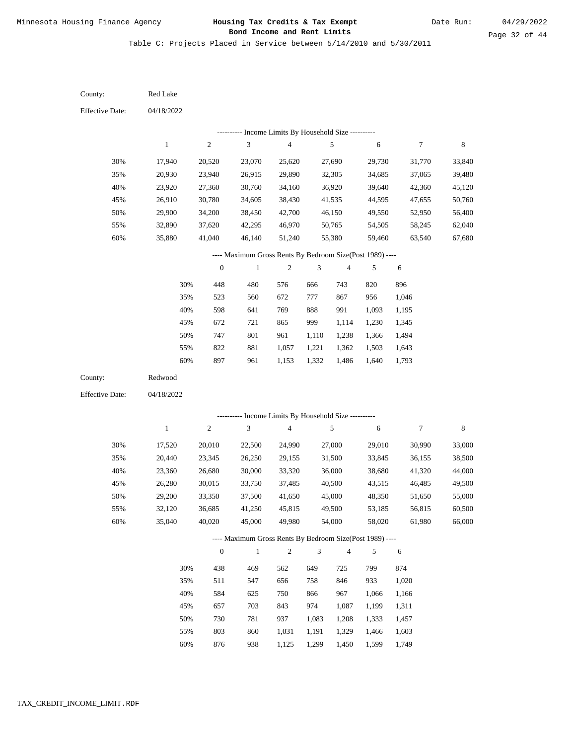Table C: Projects Placed in Service between 5/14/2010 and 5/30/2011

04/18/2022 04/18/2022 Red Lake Redwood 30% 35% 40% 45% 50% 55% 60% 30% 35% 40% 45% 50% 55% 60% 17,940 20,930 23,920 26,910 29,900 32,890 35,880 17,520 20,440 23,360 26,280 29,200 32,120 35,040 20,520 23,940 27,360 30,780 34,200 37,620 41,040 20,010 23,345 26,680 30,015 33,350 36,685 40,020 23,070 26,915 30,760 34,605 38,450 42,295 46,140 22,500 26,250 30,000 33,750 37,500 41,250 45,000 25,620 29,890 34,160 38,430 42,700 46,970 51,240 24,990 29,155 33,320 37,485 41,650 45,815 49,980 27,690 32,305 36,920 41,535 46,150 50,765 55,380 27,000 31,500 36,000 40,500 45,000 49,500 54,000 29,730 34,685 39,640 44,595 49,550 54,505 59,460 29,010 33,845 38,680 43,515 48,350 53,185 58,020 31,770 37,065 42,360 47,655 52,950 58,245 63,540 30,990 36,155 41,320 46,485 51,650 56,815 61,980 33,840 39,480 45,120 50,760 56,400 62,040 67,680 33,000 38,500 44,000 49,500 55,000 60,500 66,000 448 523 598 672 747 822 897 438 511 584 657 730 803 480 560 641 721 801 881 961 469 547 625 703 781 860 576 672 769 865 961 1,057 1,153 562 656 750 843 937 1,031 666 777 888 999 1,110 1,221 1,332 649 758 866 974 1,083 1,191 743 867 991 1,114 1,238 1,362 1,486 725 846 967 1,087 1,208 1,329 820 956 1,093 1,230 1,366 1,503 1,640 799 933 1,066 1,199 1,333 1,466 896 1,046 1,195 1,345 1,494 1,643 1,793 874 1,020 1,166 1,311 1,457 1,603 County: County: Effective Date: Effective Date: 1 1 2 2 3 3 4 4 5 5 6 6 7 7 8 8 0 0 1 1 2 2 3 3 4 4 5 5 6 6 ---------- Income Limits By Household Size ---------- ---------- Income Limits By Household Size ---------- ---- Maximum Gross Rents By Bedroom Size(Post 1989) ---- ---- Maximum Gross Rents By Bedroom Size(Post 1989) ---- 30% 35% 40% 45% 50% 55% 60% 30% 35% 40% 45% 50% 55%

876

60%

938

1,125

1,299

1,450

1,599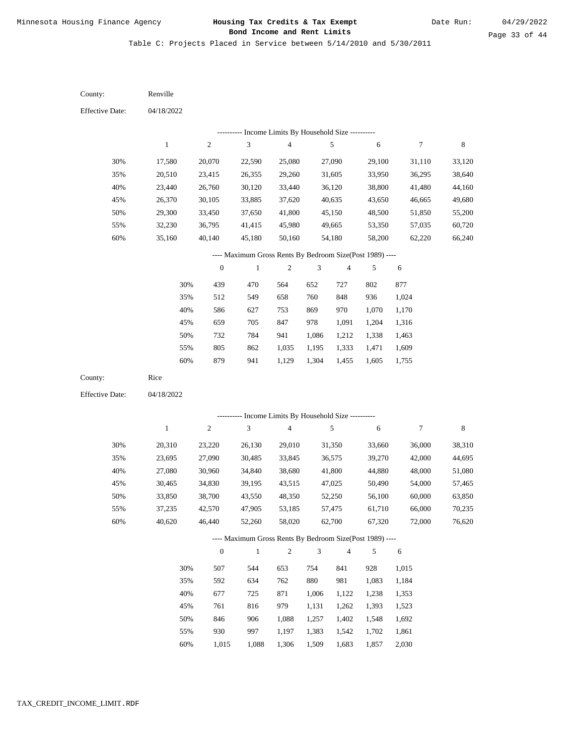Table C: Projects Placed in Service between 5/14/2010 and 5/30/2011

04/18/2022 04/18/2022 Renville Rice 30% 35% 40% 45% 50% 55% 60% 30% 35% 40% 45% 50% 55% 60% 17,580 20,510 23,440 26,370 29,300 32,230 35,160 20,310 23,695 27,080 30,465 33,850 37,235 40,620 20,070 23,415 26,760 30,105 33,450 36,795 40,140 23,220 27,090 30,960 34,830 38,700 42,570 46,440 22,590 26,355 30,120 33,885 37,650 41,415 45,180 26,130 30,485 34,840 39,195 43,550 47,905 52,260 25,080 29,260 33,440 37,620 41,800 45,980 50,160 29,010 33,845 38,680 43,515 48,350 53,185 58,020 27,090 31,605 36,120 40,635 45,150 49,665 54,180 31,350 36,575 41,800 47,025 52,250 57,475 62,700 29,100 33,950 38,800 43,650 48,500 53,350 58,200 33,660 39,270 44,880 50,490 56,100 61,710 67,320 31,110 36,295 41,480 46,665 51,850 57,035 62,220 36,000 42,000 48,000 54,000 60,000 66,000 72,000 33,120 38,640 44,160 49,680 55,200 60,720 66,240 38,310 44,695 51,080 57,465 63,850 70,235 76,620 439 512 586 659 732 805 879 507 592 677 761 846 930 470 549 627 705 784 862 941 544 634 725 816 906 997 564 658 753 847 941 1,035 1,129 653 762 871 979 1,088 1,197 652 760 869 978 1,086 1,195 1,304 754 880 1,006 1,131 1,257 1,383 727 848 970 1,091 1,212 1,333 1,455 841 981 1,122 1,262 1,402 1,542 802 936 1,070 1,204 1,338 1,471 1,605 928 1,083 1,238 1,393 1,548 1,702 877 1,024 1,170 1,316 1,463 1,609 1,755 1,015 1,184 1,353 1,523 1,692 1,861 County: County: Effective Date: Effective Date: 1 1 2 2 3 3 4 4 5 5 6 6 7 7 8 8 0 0 1 1 2 2 3 3 4 4 5 5 6 6 ---------- Income Limits By Household Size ---------- ---------- Income Limits By Household Size ---------- ---- Maximum Gross Rents By Bedroom Size(Post 1989) ---- ---- Maximum Gross Rents By Bedroom Size(Post 1989) ---- 30% 35% 40% 45% 50% 55% 60% 30% 35% 40% 45% 50% 55%

1,015

60%

1,088

1,306

1,509

1,683

1,857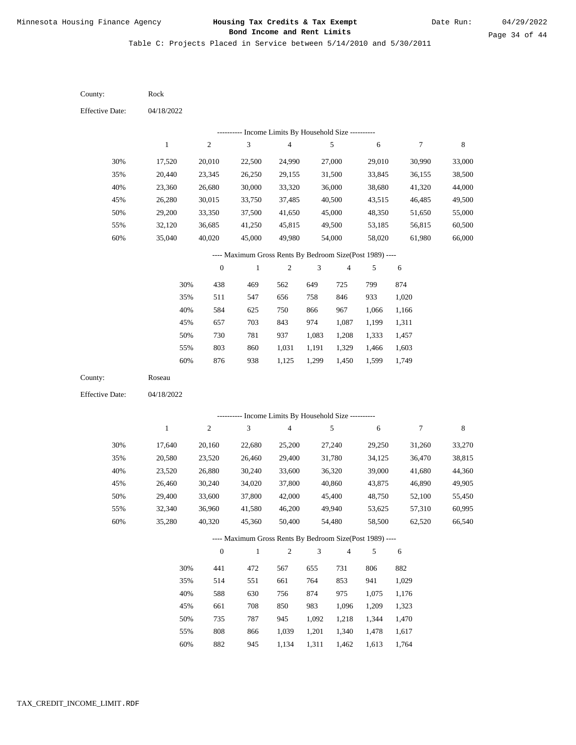Table C: Projects Placed in Service between 5/14/2010 and 5/30/2011

| County:                | Rock         |                  |                                                          |                         |                |                          |                |                  |             |
|------------------------|--------------|------------------|----------------------------------------------------------|-------------------------|----------------|--------------------------|----------------|------------------|-------------|
| <b>Effective Date:</b> | 04/18/2022   |                  |                                                          |                         |                |                          |                |                  |             |
|                        |              |                  | --------- Income Limits By Household Size ----------     |                         |                |                          |                |                  |             |
|                        | $\mathbf{1}$ | $\overline{c}$   | $\mathfrak{Z}$                                           | $\overline{\mathbf{4}}$ |                | 5                        | $\sqrt{6}$     | 7                | $\,$ 8 $\,$ |
| 30%                    | 17,520       | 20,010           | 22,500                                                   | 24,990                  |                | 27,000                   | 29,010         | 30,990           | 33,000      |
| 35%                    | 20,440       | 23,345           | 26,250                                                   | 29,155                  |                | 31,500                   | 33,845         | 36,155           | 38,500      |
| 40%                    | 23,360       | 26,680           | 30,000                                                   | 33,320                  |                | 36,000                   | 38,680         | 41,320           | 44,000      |
| 45%                    | 26,280       | 30,015           | 33,750                                                   | 37,485                  |                | 40,500                   | 43,515         | 46,485           | 49,500      |
| 50%                    | 29,200       | 33,350           | 37,500                                                   | 41,650                  |                | 45,000                   | 48,350         | 51,650           | 55,000      |
| 55%                    | 32,120       | 36,685           | 41,250                                                   | 45,815                  |                | 49,500                   | 53,185         | 56,815           | 60,500      |
| 60%                    | 35,040       | 40,020           | 45,000                                                   | 49,980                  |                | 54,000                   | 58,020         | 61,980           | 66,000      |
|                        |              |                  | ---- Maximum Gross Rents By Bedroom Size(Post 1989) ---- |                         |                |                          |                |                  |             |
|                        |              | $\boldsymbol{0}$ | $\mathbf{1}$                                             | $\sqrt{2}$              | 3              | $\overline{\mathcal{A}}$ | 5              | 6                |             |
|                        | 30%          | 438              | 469                                                      | 562                     | 649            | 725                      | 799            | 874              |             |
|                        | 35%          | 511              | 547                                                      | 656                     | 758            | 846                      | 933            | 1,020            |             |
|                        | 40%          | 584              | 625                                                      | 750                     | 866            | 967                      | 1,066          | 1,166            |             |
|                        | 45%          | 657              | 703                                                      | 843                     | 974            | 1,087                    | 1,199          | 1,311            |             |
|                        | 50%          | 730              | 781                                                      | 937                     | 1,083          | 1,208                    | 1,333          | 1,457            |             |
|                        | 55%          | 803              | 860                                                      | 1,031                   | 1,191          | 1,329                    | 1,466          | 1,603            |             |
|                        | 60%          | 876              | 938                                                      | 1,125                   | 1,299          | 1,450                    | 1,599          | 1,749            |             |
| County:                | Roseau       |                  |                                                          |                         |                |                          |                |                  |             |
| <b>Effective Date:</b> | 04/18/2022   |                  |                                                          |                         |                |                          |                |                  |             |
|                        |              |                  | --------- Income Limits By Household Size ----------     |                         |                |                          |                |                  |             |
|                        | $\mathbf{1}$ | $\mathbf{2}$     | $\mathfrak{Z}$                                           | $\overline{\mathbf{4}}$ |                | 5                        | $\sqrt{6}$     | $\boldsymbol{7}$ | $\,$ 8 $\,$ |
| 30%                    | 17,640       | 20,160           | 22,680                                                   | 25,200                  |                | 27,240                   | 29,250         | 31,260           | 33,270      |
| 35%                    | 20,580       | 23,520           | 26,460                                                   | 29,400                  |                | 31,780                   | 34,125         | 36,470           | 38,815      |
| 40%                    | 23,520       | 26,880           | 30,240                                                   | 33,600                  |                | 36,320                   | 39,000         | 41,680           | 44,360      |
| 45%                    | 26,460       | 30,240           | 34,020                                                   | 37,800                  |                | 40,860                   | 43,875         | 46,890           | 49,905      |
| 50%                    | 29,400       | 33,600           | 37,800                                                   | 42,000                  |                | 45,400                   | 48,750         | 52,100           | 55,450      |
| 55%                    | 32,340       | 36,960           | 41,580                                                   | 46,200                  |                | 49,940                   | 53,625         | 57,310           | 60,995      |
| 60%                    | 35,280       | 40,320           | 45,360                                                   | 50,400                  |                | 54,480                   | 58,500         | 62,520           | 66,540      |
|                        |              |                  | ---- Maximum Gross Rents By Bedroom Size(Post 1989) ---- |                         |                |                          |                |                  |             |
|                        |              | $\boldsymbol{0}$ | $\,1$                                                    | $\sqrt{2}$              | $\mathfrak{Z}$ | $\overline{4}$           | 5              | 6                |             |
|                        |              |                  |                                                          |                         |                |                          |                |                  |             |
|                        | 30%          | 441              | 472                                                      | 567                     | 655            | 731                      | 806            | 882              |             |
|                        | 35%          | 514              | 551<br>630                                               | 661<br>756              | 764            | 853                      | 941            | 1,029<br>1,176   |             |
|                        | 40%<br>45%   | 588              | 708                                                      |                         | 874            | 975                      | 1,075          |                  |             |
|                        | 50%          | 661<br>735       | 787                                                      | 850<br>945              | 983<br>1,092   | 1,096<br>1,218           | 1,209<br>1,344 | 1,323<br>1,470   |             |
|                        | 55%          | $808\,$          | 866                                                      | 1,039                   | 1,201          | 1,340                    | 1,478          | 1,617            |             |
|                        |              |                  |                                                          |                         |                |                          |                |                  |             |

60% 882 945 1,134 1,311 1,462 1,613 1,764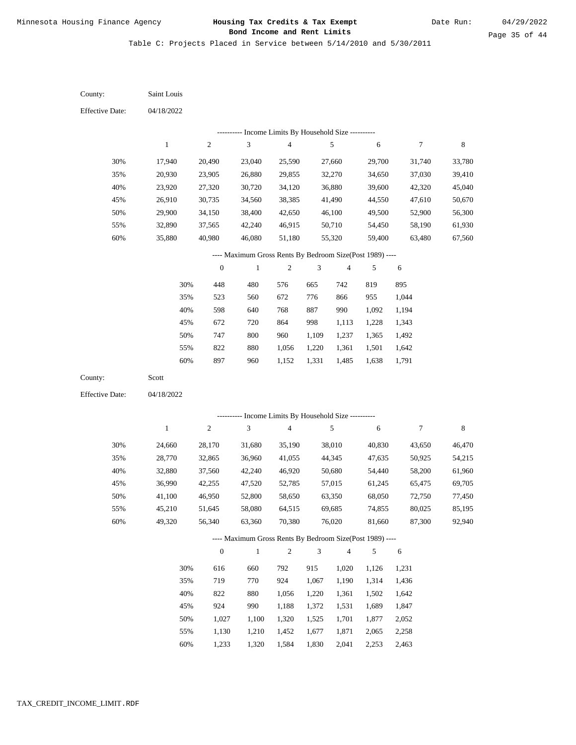Table C: Projects Placed in Service between 5/14/2010 and 5/30/2011

| County:                | Saint Louis  |                  |                                                          |                |                |                |        |            |             |
|------------------------|--------------|------------------|----------------------------------------------------------|----------------|----------------|----------------|--------|------------|-------------|
| <b>Effective Date:</b> | 04/18/2022   |                  |                                                          |                |                |                |        |            |             |
|                        |              |                  | --------- Income Limits By Household Size ----------     |                |                |                |        |            |             |
|                        | $\mathbf{1}$ | $\sqrt{2}$       | 3                                                        | $\overline{4}$ |                | 5              | 6      | 7          | $\,$ 8 $\,$ |
| 30%                    | 17,940       | 20,490           | 23,040                                                   | 25,590         |                | 27,660         | 29,700 | 31,740     | 33,780      |
| 35%                    | 20,930       | 23,905           | 26,880                                                   | 29,855         |                | 32,270         | 34,650 | 37,030     | 39,410      |
| 40%                    | 23,920       | 27,320           | 30,720                                                   | 34,120         |                | 36,880         | 39,600 | 42,320     | 45,040      |
| 45%                    | 26,910       | 30,735           | 34,560                                                   | 38,385         |                | 41,490         | 44,550 | 47,610     | 50,670      |
| 50%                    | 29,900       | 34,150           | 38,400                                                   | 42,650         |                | 46,100         | 49,500 | 52,900     | 56,300      |
| 55%                    | 32,890       | 37,565           | 42,240                                                   | 46,915         |                | 50,710         | 54,450 | 58,190     | 61,930      |
| 60%                    | 35,880       | 40,980           | 46,080                                                   | 51,180         |                | 55,320         | 59,400 | 63,480     | 67,560      |
|                        |              |                  | ---- Maximum Gross Rents By Bedroom Size(Post 1989) ---- |                |                |                |        |            |             |
|                        |              | $\boldsymbol{0}$ | $\,1$                                                    | $\sqrt{2}$     | 3              | $\overline{4}$ | 5      | 6          |             |
|                        | 30%          | 448              | 480                                                      | 576            | 665            | 742            | 819    | 895        |             |
|                        | 35%          | 523              | 560                                                      | 672            | 776            | 866            | 955    | 1,044      |             |
|                        | 40%          | 598              | 640                                                      | 768            | 887            | 990            | 1,092  | 1,194      |             |
|                        | 45%          | 672              | 720                                                      | 864            | 998            | 1,113          | 1,228  | 1,343      |             |
|                        | 50%          | 747              | $800\,$                                                  | 960            | 1,109          | 1,237          | 1,365  | 1,492      |             |
|                        | 55%          | 822              | 880                                                      | 1,056          | 1,220          | 1,361          | 1,501  | 1,642      |             |
|                        | 60%          | 897              | 960                                                      | 1,152          | 1,331          | 1,485          | 1,638  | 1,791      |             |
| County:                | Scott        |                  |                                                          |                |                |                |        |            |             |
| <b>Effective Date:</b> | 04/18/2022   |                  |                                                          |                |                |                |        |            |             |
|                        |              |                  | ---------- Income Limits By Household Size ----------    |                |                |                |        |            |             |
|                        | $\mathbf{1}$ | $\sqrt{2}$       | 3                                                        | $\sqrt{4}$     |                | 5              | 6      | 7          | $\,$ 8 $\,$ |
| 30%                    | 24,660       | 28,170           | 31,680                                                   | 35,190         |                | 38,010         | 40,830 | 43,650     | 46,470      |
| 35%                    | 28,770       | 32,865           | 36,960                                                   | 41,055         |                | 44,345         | 47,635 | 50,925     | 54,215      |
| 40%                    | 32,880       | 37,560           | 42,240                                                   | 46,920         |                | 50,680         | 54,440 | 58,200     | 61,960      |
| 45%                    | 36,990       | 42,255           | 47,520                                                   | 52,785         |                | 57,015         | 61,245 | 65,475     | 69,705      |
| 50%                    | 41,100       | 46,950           | 52,800                                                   | 58,650         |                | 63,350         | 68,050 | 72,750     | 77,450      |
| 55%                    | 45,210       | 51,645           | 58,080                                                   | 64,515         |                | 69,685         | 74,855 | 80,025     | 85,195      |
| 60%                    | 49,320       | 56,340           | 63,360                                                   | 70,380         |                | 76,020         | 81,660 | 87,300     | 92,940      |
|                        |              |                  | ---- Maximum Gross Rents By Bedroom Size(Post 1989) ---- |                |                |                |        |            |             |
|                        |              | $\boldsymbol{0}$ | $\mathbf{1}$                                             | $\overline{c}$ | $\mathfrak{Z}$ | $\overline{4}$ | 5      | $\sqrt{6}$ |             |
|                        | 30%          | 616              | 660                                                      | 792            | 915            | 1,020          | 1,126  | 1,231      |             |
|                        | 35%          | 719              | 770                                                      | 924            | 1,067          | 1,190          | 1,314  | 1,436      |             |
|                        | 40%          | 822              | 880                                                      | 1,056          | 1,220          | 1,361          | 1,502  | 1,642      |             |
|                        | 45%          | 924              | 990                                                      | 1,188          | 1,372          | 1,531          | 1,689  | 1,847      |             |
|                        | 50%          | 1,027            | 1,100                                                    | 1,320          | 1,525          | 1,701          | 1,877  | 2,052      |             |
|                        | 55%          | 1,130            | 1,210                                                    | 1,452          | 1,677          | 1,871          | 2,065  | 2,258      |             |

1,233 1,320 1,584 1,830 2,041 2,253 2,463 60%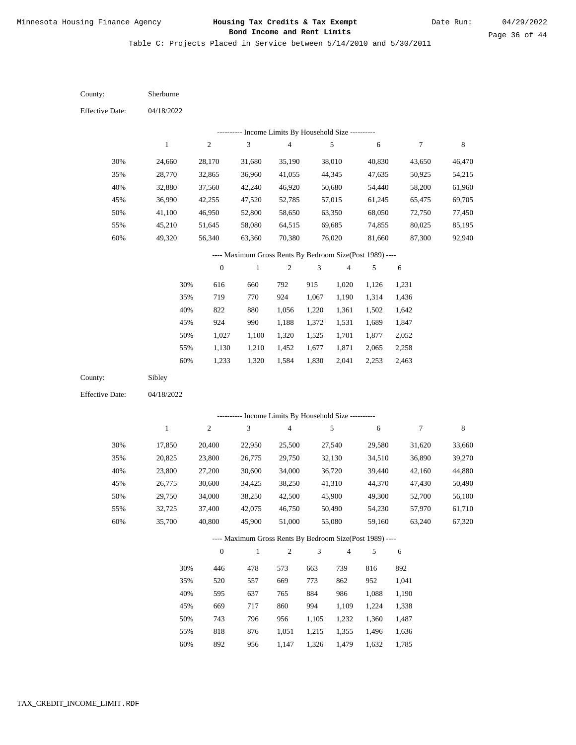Table C: Projects Placed in Service between 5/14/2010 and 5/30/2011

| County:                | Sherburne    |                  |                                                          |                         |       |                         |        |                  |        |
|------------------------|--------------|------------------|----------------------------------------------------------|-------------------------|-------|-------------------------|--------|------------------|--------|
| <b>Effective Date:</b> | 04/18/2022   |                  |                                                          |                         |       |                         |        |                  |        |
|                        |              |                  | --------- Income Limits By Household Size ----------     |                         |       |                         |        |                  |        |
|                        | $\mathbf{1}$ | $\sqrt{2}$       | 3                                                        | $\overline{\mathbf{4}}$ |       | 5                       | 6      | $\tau$           | 8      |
| 30%                    | 24,660       | 28,170           | 31,680                                                   | 35,190                  |       | 38,010                  | 40,830 | 43,650           | 46,470 |
| 35%                    | 28,770       | 32,865           | 36,960                                                   | 41,055                  |       | 44,345                  | 47,635 | 50,925           | 54,215 |
| 40%                    | 32,880       | 37,560           | 42,240                                                   | 46,920                  |       | 50,680                  | 54,440 | 58,200           | 61,960 |
| 45%                    | 36,990       | 42,255           | 47,520                                                   | 52,785                  |       | 57,015                  | 61,245 | 65,475           | 69,705 |
| 50%                    | 41,100       | 46,950           | 52,800                                                   | 58,650                  |       | 63,350                  | 68,050 | 72,750           | 77,450 |
| 55%                    | 45,210       | 51,645           | 58,080                                                   | 64,515                  |       | 69,685                  | 74,855 | 80,025           | 85,195 |
| 60%                    | 49,320       | 56,340           | 63,360                                                   | 70,380                  |       | 76,020                  | 81,660 | 87,300           | 92,940 |
|                        |              |                  | ---- Maximum Gross Rents By Bedroom Size(Post 1989) ---- |                         |       |                         |        |                  |        |
|                        |              | $\boldsymbol{0}$ | $\,1\,$                                                  | $\overline{c}$          | 3     | $\overline{\mathbf{4}}$ | 5      | $\sqrt{6}$       |        |
|                        | 30%          | 616              | 660                                                      | 792                     | 915   | 1,020                   | 1,126  | 1,231            |        |
|                        | 35%          | 719              | 770                                                      | 924                     | 1,067 | 1,190                   | 1,314  | 1,436            |        |
|                        | 40%          | 822              | 880                                                      | 1,056                   | 1,220 | 1,361                   | 1,502  | 1,642            |        |
|                        | 45%          | 924              | 990                                                      | 1,188                   | 1,372 | 1,531                   | 1,689  | 1,847            |        |
|                        | 50%          | 1,027            | 1,100                                                    | 1,320                   | 1,525 | 1,701                   | 1,877  | 2,052            |        |
|                        | 55%          | 1,130            | 1,210                                                    | 1,452                   | 1,677 | 1,871                   | 2,065  | 2,258            |        |
|                        | 60%          | 1,233            | 1,320                                                    | 1,584                   | 1,830 | 2,041                   | 2,253  | 2,463            |        |
| County:                | Sibley       |                  |                                                          |                         |       |                         |        |                  |        |
| <b>Effective Date:</b> | 04/18/2022   |                  |                                                          |                         |       |                         |        |                  |        |
|                        |              |                  |                                                          |                         |       |                         |        |                  |        |
|                        |              |                  | --------- Income Limits By Household Size ----------     |                         |       |                         |        |                  |        |
|                        | $\mathbf{1}$ | $\sqrt{2}$       | 3                                                        | 4                       |       | $\sqrt{5}$              | 6      | $\boldsymbol{7}$ | 8      |
| 30%                    | 17,850       | 20,400           | 22,950                                                   | 25,500                  |       | 27,540                  | 29,580 | 31,620           | 33,660 |
| 35%                    | 20,825       | 23,800           | 26,775                                                   | 29,750                  |       | 32,130                  | 34,510 | 36,890           | 39,270 |
| 40%                    | 23,800       | 27,200           | 30,600                                                   | 34,000                  |       | 36,720                  | 39,440 | 42,160           | 44,880 |
| 45%                    | 26,775       | 30,600           | 34,425                                                   | 38,250                  |       | 41,310                  | 44,370 | 47,430           | 50,490 |
| 50%                    | 29,750       | 34,000           | 38,250                                                   | 42,500                  |       | 45,900                  | 49,300 | 52,700           | 56,100 |
| 55%                    | 32,725       | 37,400           | 42,075                                                   | 46,750                  |       | 50,490                  | 54,230 | 57,970           | 61,710 |
| 60%                    | 35,700       | 40,800           | 45,900                                                   | 51,000                  |       | 55,080                  | 59,160 | 63,240           | 67,320 |
|                        |              |                  | ---- Maximum Gross Rents By Bedroom Size(Post 1989) ---- |                         |       |                         |        |                  |        |
|                        |              | $\boldsymbol{0}$ | $\mathbf{1}$                                             | 2                       | 3     | 4                       | 5      | 6                |        |
|                        | 30%          | 446              | 478                                                      | 573                     | 663   | 739                     | 816    | 892              |        |
|                        | 35%          | 520              | 557                                                      | 669                     | 773   | 862                     | 952    | 1,041            |        |
|                        | 40%          | 595              | 637                                                      | 765                     | 884   | 986                     | 1,088  | 1,190            |        |
|                        | 45%          | 669              | 717                                                      | 860                     | 994   | 1,109                   | 1,224  | 1,338            |        |
|                        | 50%          | 743              | 796                                                      | 956                     | 1,105 | 1,232                   | 1,360  | 1,487            |        |
|                        | 55%          | 818              | 876                                                      | 1,051                   | 1,215 | 1,355                   | 1,496  | 1,636            |        |

892 956 1,147 1,326 1,479 1,632 1,785 60%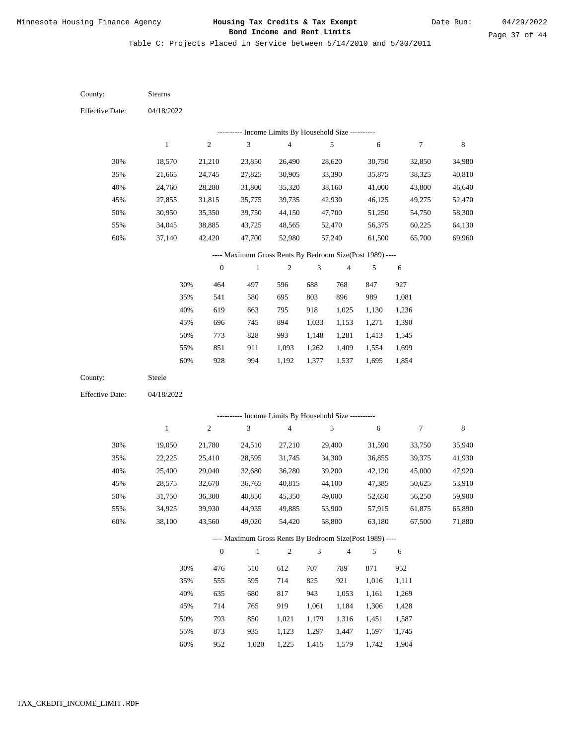Table C: Projects Placed in Service between 5/14/2010 and 5/30/2011

04/18/2022 04/18/2022 Stearns Steele 30% 35% 40% 45% 50% 55% 60% 30% 35% 40% 45% 50% 55% 60% 18,570 21,665 24,760 27,855 30,950 34,045 37,140 19,050 22,225 25,400 28,575 31,750 34,925 38,100 21,210 24,745 28,280 31,815 35,350 38,885 42,420 21,780 25,410 29,040 32,670 36,300 39,930 43,560 23,850 27,825 31,800 35,775 39,750 43,725 47,700 24,510 28,595 32,680 36,765 40,850 44,935 49,020 26,490 30,905 35,320 39,735 44,150 48,565 52,980 27,210 31,745 36,280 40,815 45,350 49,885 54,420 28,620 33,390 38,160 42,930 47,700 52,470 57,240 29,400 34,300 39,200 44,100 49,000 53,900 58,800 30,750 35,875 41,000 46,125 51,250 56,375 61,500 31,590 36,855 42,120 47,385 52,650 57,915 63,180 32,850 38,325 43,800 49,275 54,750 60,225 65,700 33,750 39,375 45,000 50,625 56,250 61,875 67,500 34,980 40,810 46,640 52,470 58,300 64,130 69,960 35,940 41,930 47,920 53,910 59,900 65,890 71,880 464 541 619 696 773 851 928 476 555 635 714 793 873 497 580 663 745 828 911 994 510 595 680 765 850 935 596 695 795 894 993 1,093 1,192 612 714 817 919 1,021 1,123 688 803 918 1,033 1,148 1,262 1,377 707 825 943 1,061 1,179 1,297 768 896 1,025 1,153 1,281 1,409 1,537 789 921 1,053 1,184 1,316 1,447 847 989 1,130 1,271 1,413 1,554 1,695 871 1,016 1,161 1,306 1,451 1,597 927 1,081 1,236 1,390 1,545 1,699 1,854 952 1,111 1,269 1,428 1,587 1,745 County: County: Effective Date: Effective Date: 1 1 2 2 3 3 4 4 5 5 6 6 7 7 8 8 0 0 1 1 2 2 3 3 4 4 5 5 6 6 ---------- Income Limits By Household Size ---------- ---------- Income Limits By Household Size ---------- ---- Maximum Gross Rents By Bedroom Size(Post 1989) ---- ---- Maximum Gross Rents By Bedroom Size(Post 1989) ---- 30% 35% 40% 45% 50% 55% 60% 30% 35% 40% 45% 50% 55%

952

60%

1,020

1,225

1,415

1,579

1,742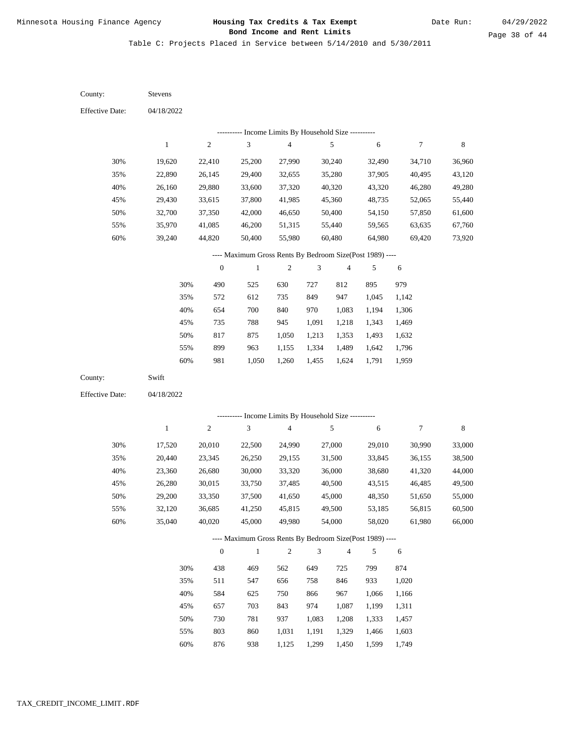Table C: Projects Placed in Service between 5/14/2010 and 5/30/2011

| County:                | Stevens      |                  |                                                          |                         |                |                |        |                  |             |
|------------------------|--------------|------------------|----------------------------------------------------------|-------------------------|----------------|----------------|--------|------------------|-------------|
| <b>Effective Date:</b> | 04/18/2022   |                  |                                                          |                         |                |                |        |                  |             |
|                        |              |                  | --------- Income Limits By Household Size ---------      |                         |                |                |        |                  |             |
|                        | $\,1$        | $\sqrt{2}$       | $\ensuremath{\mathfrak{Z}}$                              | $\overline{\mathbf{4}}$ |                | $\sqrt{5}$     | 6      | $\boldsymbol{7}$ | $\,$ 8 $\,$ |
| 30%                    | 19,620       | 22,410           | 25,200                                                   | 27,990                  |                | 30,240         | 32,490 | 34,710           | 36,960      |
| 35%                    | 22,890       | 26,145           | 29,400                                                   | 32,655                  |                | 35,280         | 37,905 | 40,495           | 43,120      |
| 40%                    | 26,160       | 29,880           | 33,600                                                   | 37,320                  |                | 40,320         | 43,320 | 46,280           | 49,280      |
| 45%                    | 29,430       | 33,615           | 37,800                                                   | 41,985                  |                | 45,360         | 48,735 | 52,065           | 55,440      |
| 50%                    | 32,700       | 37,350           | 42,000                                                   | 46,650                  |                | 50,400         | 54,150 | 57,850           | 61,600      |
| 55%                    | 35,970       | 41,085           | 46,200                                                   | 51,315                  |                | 55,440         | 59,565 | 63,635           | 67,760      |
| 60%                    | 39,240       | 44,820           | 50,400                                                   | 55,980                  |                | 60,480         | 64,980 | 69,420           | 73,920      |
|                        |              |                  | ---- Maximum Gross Rents By Bedroom Size(Post 1989) ---- |                         |                |                |        |                  |             |
|                        |              | $\boldsymbol{0}$ | $\mathbf{1}$                                             | $\boldsymbol{2}$        | 3              | $\overline{4}$ | 5      | $\sqrt{6}$       |             |
|                        | 30%          | 490              | 525                                                      | 630                     | 727            | 812            | 895    | 979              |             |
|                        | 35%          | 572              | 612                                                      | 735                     | 849            | 947            | 1,045  | 1,142            |             |
|                        | 40%          | 654              | 700                                                      | 840                     | 970            | 1,083          | 1,194  | 1,306            |             |
|                        | 45%          | 735              | 788                                                      | 945                     | 1,091          | 1,218          | 1,343  | 1,469            |             |
|                        | 50%          | 817              | 875                                                      | 1,050                   | 1,213          | 1,353          | 1,493  | 1,632            |             |
|                        | 55%          | 899              | 963                                                      | 1,155                   | 1,334          | 1,489          | 1,642  | 1,796            |             |
|                        | 60%          | 981              | 1,050                                                    | 1,260                   | 1,455          | 1,624          | 1,791  | 1,959            |             |
| County:                | Swift        |                  |                                                          |                         |                |                |        |                  |             |
| <b>Effective Date:</b> | 04/18/2022   |                  |                                                          |                         |                |                |        |                  |             |
|                        |              |                  |                                                          |                         |                |                |        |                  |             |
|                        |              |                  | --------- Income Limits By Household Size ----------     |                         |                |                |        |                  |             |
|                        | $\mathbf{1}$ | $\sqrt{2}$       | 3                                                        | $\overline{\mathbf{4}}$ |                | 5              | 6      | $\boldsymbol{7}$ | $\,$ 8 $\,$ |
| 30%                    | 17,520       | 20,010           | 22,500                                                   | 24,990                  |                | 27,000         | 29,010 | 30,990           | 33,000      |
| 35%                    | 20,440       | 23,345           | 26,250                                                   | 29,155                  |                | 31,500         | 33,845 | 36,155           | 38,500      |
| 40%                    | 23,360       | 26,680           | 30,000                                                   | 33,320                  |                | 36,000         | 38,680 | 41,320           | 44,000      |
| 45%                    | 26,280       | 30,015           | 33,750                                                   | 37,485                  |                | 40,500         | 43,515 | 46,485           | 49,500      |
| 50%                    | 29,200       | 33,350           | 37,500                                                   | 41,650                  |                | 45,000         | 48,350 | 51,650           | 55,000      |
| 55%                    | 32,120       | 36,685           | 41,250                                                   | 45,815                  |                | 49,500         | 53,185 | 56,815           | 60,500      |
| 60%                    | 35,040       | 40,020           | 45,000                                                   | 49,980                  |                | 54,000         | 58,020 | 61,980           | 66,000      |
|                        |              |                  | ---- Maximum Gross Rents By Bedroom Size(Post 1989) ---- |                         |                |                |        |                  |             |
|                        |              | $\boldsymbol{0}$ | $\mathbf{1}$                                             | $\boldsymbol{2}$        | $\mathfrak{Z}$ | $\overline{4}$ | 5      | 6                |             |
|                        | 30%          | 438              | 469                                                      | 562                     | 649            | 725            | 799    | 874              |             |
|                        | 35%          | 511              | 547                                                      | 656                     | 758            | 846            | 933    | 1,020            |             |
|                        | 40%          | 584              | 625                                                      | 750                     | 866            | 967            | 1,066  | 1,166            |             |
|                        | 45%          | 657              | 703                                                      | 843                     | 974            | 1,087          | 1,199  | 1,311            |             |
|                        | 50%          | 730              | 781                                                      | 937                     | 1,083          | 1,208          | 1,333  | 1,457            |             |
|                        |              |                  |                                                          |                         |                |                |        |                  |             |

876 938 1,125 1,299 1,450 1,599 1,749 60%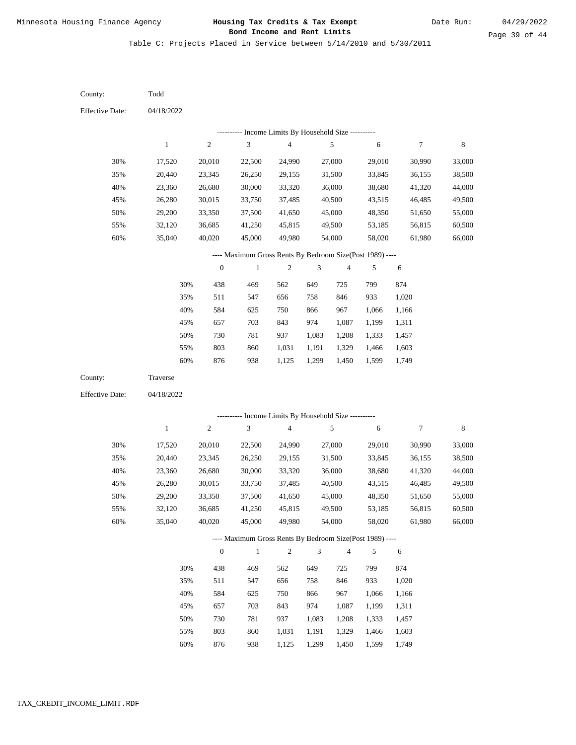Table C: Projects Placed in Service between 5/14/2010 and 5/30/2011

| County:                | Todd         |                  |                                                          |                          |               |                |                |                |             |
|------------------------|--------------|------------------|----------------------------------------------------------|--------------------------|---------------|----------------|----------------|----------------|-------------|
| <b>Effective Date:</b> | 04/18/2022   |                  |                                                          |                          |               |                |                |                |             |
|                        |              |                  | --------- Income Limits By Household Size ----------     |                          |               |                |                |                |             |
|                        | $\mathbf{1}$ | $\overline{c}$   | 3                                                        | $\overline{\mathcal{A}}$ |               | 5              | 6              | 7              | $\,$ 8 $\,$ |
| 30%                    | 17,520       | 20,010           | 22,500                                                   | 24,990                   |               | 27,000         | 29,010         | 30,990         | 33,000      |
| 35%                    | 20,440       | 23,345           | 26,250                                                   | 29,155                   |               | 31,500         | 33,845         | 36,155         | 38,500      |
| 40%                    | 23,360       | 26,680           | 30,000                                                   | 33,320                   |               | 36,000         | 38,680         | 41,320         | 44,000      |
| 45%                    | 26,280       | 30,015           | 33,750                                                   | 37,485                   |               | 40,500         | 43,515         | 46,485         | 49,500      |
| 50%                    | 29,200       | 33,350           | 37,500                                                   | 41,650                   |               | 45,000         | 48,350         | 51,650         | 55,000      |
| 55%                    | 32,120       | 36,685           | 41,250                                                   | 45,815                   |               | 49,500         | 53,185         | 56,815         | 60,500      |
| 60%                    | 35,040       | 40,020           | 45,000                                                   | 49,980                   |               | 54,000         | 58,020         | 61,980         | 66,000      |
|                        |              |                  | ---- Maximum Gross Rents By Bedroom Size(Post 1989) ---- |                          |               |                |                |                |             |
|                        |              | $\boldsymbol{0}$ | $\,1$                                                    | $\boldsymbol{2}$         | 3             | 4              | 5              | 6              |             |
|                        | 30%          | 438              | 469                                                      | 562                      | 649           | 725            | 799            | 874            |             |
|                        | 35%          | 511              | 547                                                      | 656                      | 758           | 846            | 933            | 1,020          |             |
|                        | 40%          | 584              | 625                                                      | 750                      | 866           | 967            | 1,066          | 1,166          |             |
|                        | 45%          | 657              | 703                                                      | 843                      | 974           | 1,087          | 1,199          | 1,311          |             |
|                        | 50%          | 730              | 781                                                      | 937                      | 1,083         | 1,208          | 1,333          | 1,457          |             |
|                        | 55%          | 803              | 860                                                      | 1,031                    | 1,191         | 1,329          | 1,466          | 1,603          |             |
|                        | 60%          | 876              | 938                                                      | 1,125                    | 1,299         | 1,450          | 1,599          | 1,749          |             |
| County:                | Traverse     |                  |                                                          |                          |               |                |                |                |             |
| <b>Effective Date:</b> | 04/18/2022   |                  |                                                          |                          |               |                |                |                |             |
|                        |              |                  | --------- Income Limits By Household Size ----------     |                          |               |                |                |                |             |
|                        | $\mathbf{1}$ | $\boldsymbol{2}$ | $\mathfrak{Z}$                                           | $\overline{\mathcal{A}}$ |               | 5              | 6              | 7              | $\,$ 8 $\,$ |
| 30%                    | 17,520       | 20,010           | 22,500                                                   | 24,990                   |               | 27,000         | 29,010         | 30,990         | 33,000      |
| 35%                    | 20,440       | 23,345           | 26,250                                                   | 29,155                   |               | 31,500         | 33,845         | 36,155         | 38,500      |
| 40%                    | 23,360       | 26,680           | 30,000                                                   | 33,320                   |               | 36,000         | 38,680         | 41,320         | 44,000      |
| 45%                    | 26,280       | 30,015           | 33,750                                                   | 37,485                   |               | 40,500         | 43,515         | 46,485         | 49,500      |
| 50%                    | 29,200       | 33,350           | 37,500                                                   | 41,650                   |               | 45,000         | 48,350         | 51,650         | 55,000      |
| 55%                    | 32,120       | 36,685           | 41,250                                                   | 45,815                   |               | 49,500         | 53,185         | 56,815         | 60,500      |
| 60%                    | 35,040       | 40,020           | 45,000                                                   | 49,980                   |               | 54,000         | 58,020         | 61,980         | 66,000      |
|                        |              |                  | ---- Maximum Gross Rents By Bedroom Size(Post 1989) ---- |                          |               |                |                |                |             |
|                        |              | $\boldsymbol{0}$ | $\,1$                                                    | $\sqrt{2}$               | $\mathfrak 3$ | $\overline{4}$ | 5              | $\sqrt{6}$     |             |
|                        |              |                  |                                                          |                          |               |                |                |                |             |
|                        | 30%<br>35%   | 438<br>511       | 469                                                      | 562<br>656               | 649<br>758    | 725<br>846     | 799<br>933     | 874<br>1,020   |             |
|                        | 40%          | 584              | 547                                                      |                          |               | 967            |                |                |             |
|                        | 45%          | 657              | 625<br>703                                               | 750<br>843               | 866<br>974    | 1,087          | 1,066<br>1,199 | 1,166<br>1,311 |             |
|                        | 50%          | 730              | 781                                                      | 937                      | 1,083         | 1,208          | 1,333          | 1,457          |             |
|                        | 55%          | 803              | 860                                                      | 1,031                    | 1,191         | 1,329          | 1,466          | 1,603          |             |
|                        |              |                  |                                                          |                          |               |                |                |                |             |

876 938 1,125 1,299 1,450 1,599 1,749 60%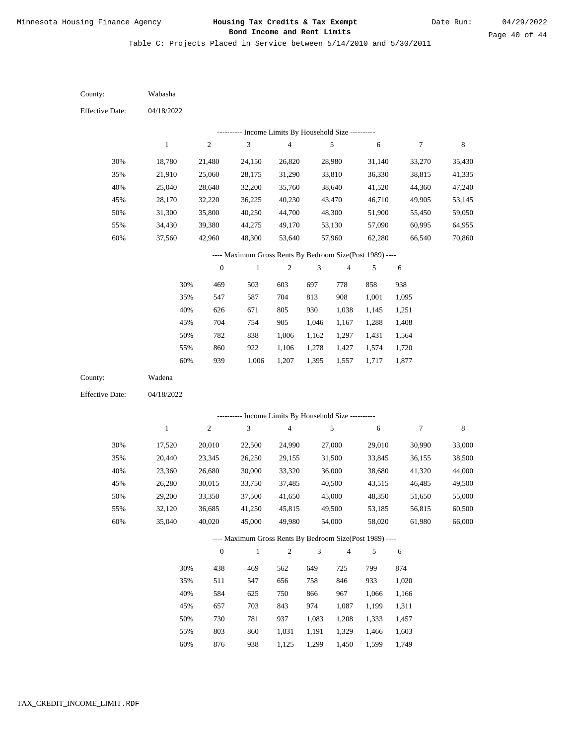Table C: Projects Placed in Service between 5/14/2010 and 5/30/2011

04/18/2022 04/18/2022 Wabasha Wadena 30% 35% 40% 45% 50% 55% 60% 30% 35% 40% 45% 50% 55% 60% 18,780 21,910 25,040 28,170 31,300 34,430 37,560 17,520 20,440 23,360 26,280 29,200 32,120 35,040 21,480 25,060 28,640 32,220 35,800 39,380 42,960 20,010 23,345 26,680 30,015 33,350 36,685 40,020 24,150 28,175 32,200 36,225 40,250 44,275 48,300 22,500 26,250 30,000 33,750 37,500 41,250 45,000 26,820 31,290 35,760 40,230 44,700 49,170 53,640 24,990 29,155 33,320 37,485 41,650 45,815 49,980 28,980 33,810 38,640 43,470 48,300 53,130 57,960 27,000 31,500 36,000 40,500 45,000 49,500 54,000 31,140 36,330 41,520 46,710 51,900 57,090 62,280 29,010 33,845 38,680 43,515 48,350 53,185 58,020 33,270 38,815 44,360 49,905 55,450 60,995 66,540 30,990 36,155 41,320 46,485 51,650 56,815 61,980 35,430 41,335 47,240 53,145 59,050 64,955 70,860 33,000 38,500 44,000 49,500 55,000 60,500 66,000 469 547 626 704 782 860 939 438 511 584 657 730 803 876 503 587 671 754 838 922 1,006 469 547 625 703 781 860 938 603 704 805 905 1,006 1,106 1,207 562 656 750 843 937 1,031 1,125 697 813 930 1,046 1,162 1,278 1,395 649 758 866 974 1,083 1,191 1,299 778 908 1,038 1,167 1,297 1,427 1,557 725 846 967 1,087 1,208 1,329 1,450 858 1,001 1,145 1,288 1,431 1,574 1,717 799 933 1,066 1,199 1,333 1,466 1,599 938 1,095 1,251 1,408 1,564 1,720 1,877 874 1,020 1,166 1,311 1,457 1,603 1,749 County: County: Effective Date: Effective Date: 1 1 2 2 3 3 4 4 5 5 6 6 7 7 8 8 0 0 1 1 2 2 3 3 4 4 5 5 6 6 ---------- Income Limits By Household Size ---------- ---------- Income Limits By Household Size ---------- ---- Maximum Gross Rents By Bedroom Size(Post 1989) ---- ---- Maximum Gross Rents By Bedroom Size(Post 1989) ---- 30% 35% 40% 45% 50% 55% 60% 30% 35% 40% 45% 50% 55% 60%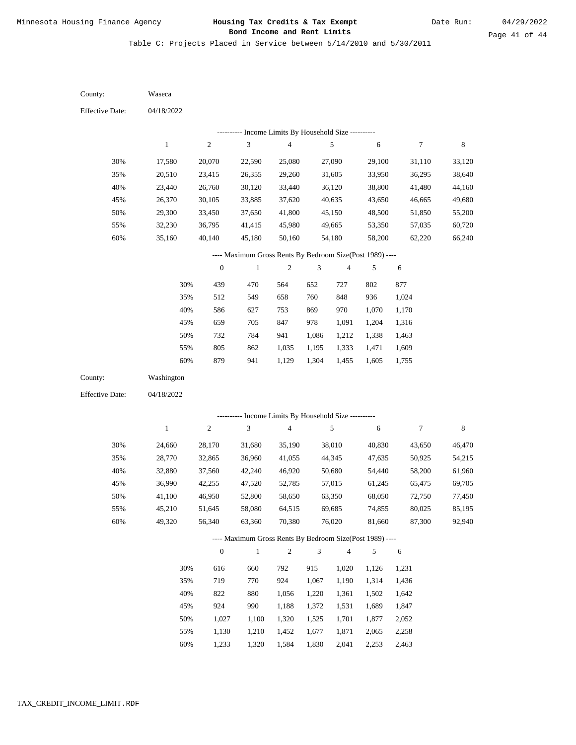Table C: Projects Placed in Service between 5/14/2010 and 5/30/2011

| County:                | Waseca       |                  |                                                          |                         |                |                         |            |            |             |
|------------------------|--------------|------------------|----------------------------------------------------------|-------------------------|----------------|-------------------------|------------|------------|-------------|
| <b>Effective Date:</b> | 04/18/2022   |                  |                                                          |                         |                |                         |            |            |             |
|                        |              |                  | ---------- Income Limits By Household Size ----------    |                         |                |                         |            |            |             |
|                        | $\mathbf{1}$ | $\sqrt{2}$       | $\mathfrak{Z}$                                           | $\overline{\mathbf{4}}$ |                | 5                       | $\sqrt{6}$ | $\tau$     | $\,$ 8 $\,$ |
| 30%                    | 17,580       | 20,070           | 22,590                                                   | 25,080                  |                | 27,090                  | 29,100     | 31,110     | 33,120      |
| 35%                    | 20,510       | 23,415           | 26,355                                                   | 29,260                  |                | 31,605                  | 33,950     | 36,295     | 38,640      |
| 40%                    | 23,440       | 26,760           | 30,120                                                   | 33,440                  |                | 36,120                  | 38,800     | 41,480     | 44,160      |
| 45%                    | 26,370       | 30,105           | 33,885                                                   | 37,620                  |                | 40,635                  | 43,650     | 46,665     | 49,680      |
| 50%                    | 29,300       | 33,450           | 37,650                                                   | 41,800                  |                | 45,150                  | 48,500     | 51,850     | 55,200      |
| 55%                    | 32,230       | 36,795           | 41,415                                                   | 45,980                  |                | 49,665                  | 53,350     | 57,035     | 60,720      |
| $60\%$                 | 35,160       | 40,140           | 45,180                                                   | 50,160                  |                | 54,180                  | 58,200     | 62,220     | 66,240      |
|                        |              |                  | ---- Maximum Gross Rents By Bedroom Size(Post 1989) ---- |                         |                |                         |            |            |             |
|                        |              | $\boldsymbol{0}$ | $\mathbf{1}$                                             | $\boldsymbol{2}$        | 3              | $\overline{\mathbf{4}}$ | 5          | 6          |             |
|                        | 30%          | 439              | 470                                                      | 564                     | 652            | 727                     | 802        | 877        |             |
|                        | 35%          | 512              | 549                                                      | 658                     | 760            | 848                     | 936        | 1,024      |             |
|                        | 40%          | 586              | 627                                                      | 753                     | 869            | 970                     | 1,070      | 1,170      |             |
|                        | 45%          | 659              | 705                                                      | 847                     | 978            | 1,091                   | 1,204      | 1,316      |             |
|                        | 50%          | 732              | 784                                                      | 941                     | 1,086          | 1,212                   | 1,338      | 1,463      |             |
|                        | 55%          | 805              | 862                                                      | 1,035                   | 1,195          | 1,333                   | 1,471      | 1,609      |             |
|                        | 60%          | 879              | 941                                                      | 1,129                   | 1,304          | 1,455                   | 1,605      | 1,755      |             |
| County:                | Washington   |                  |                                                          |                         |                |                         |            |            |             |
| <b>Effective Date:</b> | 04/18/2022   |                  |                                                          |                         |                |                         |            |            |             |
|                        |              |                  | ---------- Income Limits By Household Size ----------    |                         |                |                         |            |            |             |
|                        | $\,1$        | $\sqrt{2}$       | 3                                                        | $\overline{\mathbf{4}}$ |                | 5                       | $\sqrt{6}$ | $\tau$     | $\,$ 8 $\,$ |
| 30%                    | 24,660       | 28,170           | 31,680                                                   | 35,190                  |                | 38,010                  | 40,830     | 43,650     | 46,470      |
| 35%                    | 28,770       | 32,865           | 36,960                                                   | 41,055                  |                | 44,345                  | 47,635     | 50,925     | 54,215      |
| 40%                    | 32,880       | 37,560           | 42,240                                                   | 46,920                  |                | 50,680                  | 54,440     | 58,200     | 61,960      |
| 45%                    | 36,990       | 42,255           | 47,520                                                   | 52,785                  |                | 57,015                  | 61,245     | 65,475     | 69,705      |
| 50%                    | 41,100       | 46,950           | 52,800                                                   | 58,650                  |                | 63,350                  | 68,050     | 72,750     | 77,450      |
| 55%                    | 45,210       | 51,645           | 58,080                                                   | 64,515                  |                | 69,685                  | 74,855     | 80,025     | 85,195      |
| 60%                    | 49,320       | 56,340           | 63,360                                                   | 70,380                  |                | 76,020                  | 81,660     | 87,300     | 92,940      |
|                        |              |                  | ---- Maximum Gross Rents By Bedroom Size(Post 1989) ---- |                         |                |                         |            |            |             |
|                        |              | $\boldsymbol{0}$ | $\mathbf{1}$                                             | $\overline{c}$          | $\mathfrak{Z}$ | $\sqrt{4}$              | 5          | $\sqrt{6}$ |             |
|                        | 30%          | 616              | 660                                                      | 792                     | 915            | 1,020                   | 1,126      | 1,231      |             |
|                        | 35%          | 719              | 770                                                      | 924                     | 1,067          | 1,190                   | 1,314      | 1,436      |             |
|                        | 40%          | 822              | 880                                                      | 1,056                   | 1,220          | 1,361                   | 1,502      | 1,642      |             |
|                        | 45%          | 924              | 990                                                      | 1,188                   | 1,372          | 1,531                   | 1,689      | 1,847      |             |
|                        | 50%          | 1,027            | 1,100                                                    | 1,320                   | 1,525          | 1,701                   | 1,877      | 2,052      |             |
|                        | 55%          | 1,130            | 1,210                                                    | 1,452                   | 1,677          | 1,871                   | 2,065      | 2,258      |             |

1,233 1,320 1,584 1,830 2,041 2,253 2,463 60%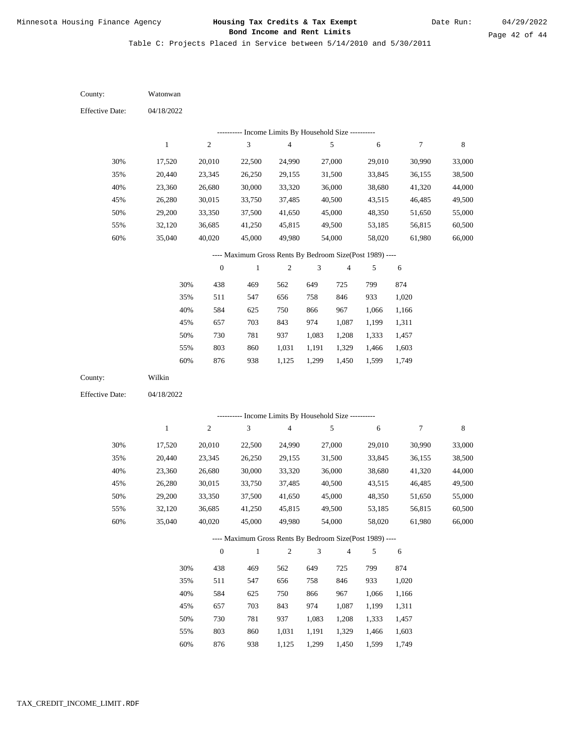Table C: Projects Placed in Service between 5/14/2010 and 5/30/2011

| County:                | Watonwan     |                  |                                                                                     |                                            |                |                |            |              |        |
|------------------------|--------------|------------------|-------------------------------------------------------------------------------------|--------------------------------------------|----------------|----------------|------------|--------------|--------|
| <b>Effective Date:</b> | 04/18/2022   |                  |                                                                                     |                                            |                |                |            |              |        |
|                        |              |                  |                                                                                     |                                            |                |                |            |              |        |
|                        | $\mathbf{1}$ | $\sqrt{2}$       | --------- Income Limits By Household Size ----------<br>$\ensuremath{\mathfrak{Z}}$ | $\overline{\mathbf{4}}$                    |                | 5              | 6          | $\tau$       | 8      |
|                        |              |                  |                                                                                     |                                            |                |                |            |              |        |
| 30%                    | 17,520       | 20,010           | 22,500                                                                              | 24,990                                     |                | 27,000         | 29,010     | 30,990       | 33,000 |
| 35%                    | 20,440       | 23,345           | 26,250                                                                              | 29,155                                     |                | 31,500         | 33,845     | 36,155       | 38,500 |
| 40%                    | 23,360       | 26,680           | 30,000                                                                              | 33,320                                     |                | 36,000         | 38,680     | 41,320       | 44,000 |
| 45%                    | 26,280       | 30,015           | 33,750                                                                              | 37,485                                     |                | 40,500         | 43,515     | 46,485       | 49,500 |
| 50%                    | 29,200       | 33,350           | 37,500                                                                              | 41,650                                     |                | 45,000         | 48,350     | 51,650       | 55,000 |
| 55%                    | 32,120       | 36,685           | 41,250                                                                              | 45,815                                     |                | 49,500         | 53,185     | 56,815       | 60,500 |
| 60%                    | 35,040       | 40,020           | 45,000                                                                              | 49,980                                     |                | 54,000         | 58,020     | 61,980       | 66,000 |
|                        |              |                  | ---- Maximum Gross Rents By Bedroom Size(Post 1989) ----                            |                                            |                |                |            |              |        |
|                        |              | $\boldsymbol{0}$ | $\mathbf{1}$                                                                        | $\sqrt{2}$                                 | 3              | $\sqrt{4}$     | 5          | 6            |        |
|                        | 30%          | 438              | 469                                                                                 | 562                                        | 649            | 725            | 799        | 874          |        |
|                        | 35%          | 511              | 547                                                                                 | 656                                        | 758            | 846            | 933        | 1,020        |        |
|                        | 40%          | 584              | 625                                                                                 | 750                                        | 866            | 967            | 1,066      | 1,166        |        |
|                        | 45%          | 657              | 703                                                                                 | 843                                        | 974            | 1,087          | 1,199      | 1,311        |        |
|                        | 50%          | 730              | 781                                                                                 | 937                                        | 1,083          | 1,208          | 1,333      | 1,457        |        |
|                        | 55%          | 803              | 860                                                                                 | 1,031                                      | 1,191          | 1,329          | 1,466      | 1,603        |        |
|                        | 60%          | 876              | 938                                                                                 | 1,125                                      | 1,299          | 1,450          | 1,599      | 1,749        |        |
| County:                |              |                  |                                                                                     |                                            |                |                |            |              |        |
|                        | Wilkin       |                  |                                                                                     |                                            |                |                |            |              |        |
| <b>Effective Date:</b> | 04/18/2022   |                  |                                                                                     |                                            |                |                |            |              |        |
|                        |              |                  |                                                                                     |                                            |                |                |            |              |        |
|                        |              |                  |                                                                                     | Income Limits By Household Size ---------- |                |                |            |              |        |
|                        | $\mathbf{1}$ | $\boldsymbol{2}$ | 3                                                                                   | $\overline{\mathbf{4}}$                    |                | 5              | 6          | 7            | 8      |
| 30%                    | 17,520       | 20,010           | 22,500                                                                              | 24,990                                     |                | 27,000         | 29,010     | 30,990       | 33,000 |
| 35%                    | 20,440       | 23,345           | 26,250                                                                              | 29,155                                     |                | 31,500         | 33,845     | 36,155       | 38,500 |
| 40%                    | 23,360       | 26,680           | 30,000                                                                              | 33,320                                     |                | 36,000         | 38,680     | 41,320       | 44,000 |
| 45%                    | 26,280       | 30,015           | 33,750                                                                              | 37,485                                     |                | 40,500         | 43,515     | 46,485       | 49,500 |
| 50%                    | 29,200       | 33,350           | 37,500                                                                              | 41,650                                     |                | 45,000         | 48,350     | 51,650       | 55,000 |
| 55%                    | 32,120       | 36,685           | 41,250                                                                              | 45,815                                     |                | 49,500         | 53,185     | 56,815       | 60,500 |
| 60%                    | 35,040       | 40,020           | 45,000                                                                              | 49,980                                     |                | 54,000         | 58,020     | 61,980       | 66,000 |
|                        |              |                  | ---- Maximum Gross Rents By Bedroom Size(Post 1989) ----                            |                                            |                |                |            |              |        |
|                        |              | $\boldsymbol{0}$ | $\mathbf{1}$                                                                        | $\mathfrak{2}$                             | $\mathfrak{Z}$ | $\overline{4}$ | 5          | 6            |        |
|                        |              |                  |                                                                                     |                                            |                |                |            |              |        |
|                        | 30%<br>35%   | 438              | 469                                                                                 | 562<br>656                                 | 649<br>758     | 725<br>846     | 799<br>933 | 874<br>1,020 |        |
|                        | 40%          | 511<br>584       | 547                                                                                 | 750                                        | 866            | 967            | 1,066      | 1,166        |        |
|                        | 45%          | 657              | 625<br>703                                                                          | 843                                        | 974            | 1,087          | 1,199      | 1,311        |        |
|                        | 50%          | 730              | 781                                                                                 | 937                                        | 1,083          | 1,208          | 1,333      | 1,457        |        |
|                        | 55%          | 803              | 860                                                                                 | 1,031                                      | 1,191          | 1,329          | 1,466      | 1,603        |        |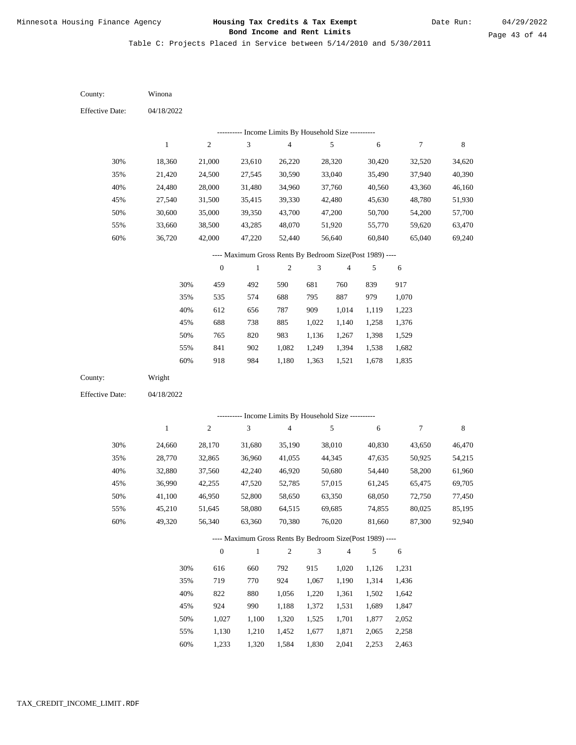Table C: Projects Placed in Service between 5/14/2010 and 5/30/2011

| County:                                                  | Winona                                                                                                                                          |                  |              |                         |       |            |        |                  |             |  |
|----------------------------------------------------------|-------------------------------------------------------------------------------------------------------------------------------------------------|------------------|--------------|-------------------------|-------|------------|--------|------------------|-------------|--|
| <b>Effective Date:</b>                                   | 04/18/2022                                                                                                                                      |                  |              |                         |       |            |        |                  |             |  |
| --------- Income Limits By Household Size ----------     |                                                                                                                                                 |                  |              |                         |       |            |        |                  |             |  |
|                                                          | $\mathbf{1}$                                                                                                                                    | $\boldsymbol{2}$ | $\sqrt{3}$   | $\overline{\mathbf{4}}$ |       | $\sqrt{5}$ | 6      | $\boldsymbol{7}$ | $\,$ 8 $\,$ |  |
| 30%                                                      | 18,360                                                                                                                                          | 21,000           | 23,610       | 26,220                  |       | 28,320     | 30,420 | 32,520           | 34,620      |  |
| 35%                                                      | 21,420                                                                                                                                          | 24,500           | 27,545       | 30,590                  |       | 33,040     | 35,490 | 37,940           | 40,390      |  |
| 40%                                                      | 24,480                                                                                                                                          | 28,000           | 31,480       | 34,960                  |       | 37,760     | 40,560 | 43,360           | 46,160      |  |
| 45%                                                      | 27,540                                                                                                                                          | 31,500           | 35,415       | 39,330                  |       | 42,480     | 45,630 | 48,780           | 51,930      |  |
| 50%                                                      | 30,600                                                                                                                                          | 35,000           | 39,350       | 43,700                  |       | 47,200     | 50,700 | 54,200           | 57,700      |  |
| 55%                                                      | 33,660                                                                                                                                          | 38,500           | 43,285       | 48,070                  |       | 51,920     | 55,770 | 59,620           | 63,470      |  |
| 60%                                                      | 36,720                                                                                                                                          | 42,000           | 47,220       | 52,440                  |       | 56,640     | 60,840 | 65,040           | 69,240      |  |
| ---- Maximum Gross Rents By Bedroom Size(Post 1989) ---- |                                                                                                                                                 |                  |              |                         |       |            |        |                  |             |  |
|                                                          |                                                                                                                                                 | $\boldsymbol{0}$ | $\mathbf{1}$ | 2                       | 3     | 4          | 5      | 6                |             |  |
|                                                          | 30%                                                                                                                                             | 459              | 492          | 590                     | 681   | 760        | 839    | 917              |             |  |
|                                                          | 35%                                                                                                                                             | 535              | 574          | 688                     | 795   | 887        | 979    | 1,070            |             |  |
|                                                          | 40%                                                                                                                                             | 612              | 656          | 787                     | 909   | 1,014      | 1,119  | 1,223            |             |  |
|                                                          | 45%                                                                                                                                             | 688              | 738          | 885                     | 1,022 | 1,140      | 1,258  | 1,376            |             |  |
|                                                          | 50%                                                                                                                                             | 765              | 820          | 983                     | 1,136 | 1,267      | 1,398  | 1,529            |             |  |
|                                                          | 55%                                                                                                                                             | 841              | 902          | 1,082                   | 1,249 | 1,394      | 1,538  | 1,682            |             |  |
|                                                          | 60%                                                                                                                                             | 918              | 984          | 1,180                   | 1,363 | 1,521      | 1,678  | 1,835            |             |  |
| County:                                                  | Wright                                                                                                                                          |                  |              |                         |       |            |        |                  |             |  |
| <b>Effective Date:</b>                                   | 04/18/2022                                                                                                                                      |                  |              |                         |       |            |        |                  |             |  |
|                                                          |                                                                                                                                                 |                  |              |                         |       |            |        |                  |             |  |
|                                                          | --------- Income Limits By Household Size ----------<br>$\,1$<br>$\boldsymbol{2}$<br>3<br>$\overline{\mathbf{4}}$<br>5<br>$\boldsymbol{7}$<br>6 |                  |              |                         |       |            |        |                  | $\,$ 8 $\,$ |  |
| 30%                                                      | 24,660                                                                                                                                          | 28,170           | 31,680       | 35,190                  |       | 38,010     | 40,830 | 43,650           | 46,470      |  |
| 35%                                                      | 28,770                                                                                                                                          | 32,865           | 36,960       | 41,055                  |       | 44,345     | 47,635 | 50,925           | 54,215      |  |
| 40%                                                      | 32,880                                                                                                                                          | 37,560           | 42,240       | 46,920                  |       | 50,680     | 54,440 | 58,200           | 61,960      |  |
| 45%                                                      | 36,990                                                                                                                                          | 42,255           | 47,520       | 52,785                  |       | 57,015     | 61,245 | 65,475           | 69,705      |  |
| 50%                                                      | 41,100                                                                                                                                          | 46,950           | 52,800       | 58,650                  |       | 63,350     | 68,050 | 72,750           | 77,450      |  |
| 55%                                                      | 45,210                                                                                                                                          | 51,645           | 58,080       | 64,515                  |       | 69,685     | 74,855 | 80,025           | 85,195      |  |
| 60%                                                      | 49,320                                                                                                                                          | 56,340           | 63,360       | 70,380                  |       | 76,020     | 81,660 | 87,300           | 92,940      |  |
| ---- Maximum Gross Rents By Bedroom Size(Post 1989) ---- |                                                                                                                                                 |                  |              |                         |       |            |        |                  |             |  |
|                                                          | $\boldsymbol{0}$<br>$\mathbf{1}$<br>$\overline{c}$<br>$\mathfrak{Z}$<br>$\overline{4}$<br>5<br>6                                                |                  |              |                         |       |            |        |                  |             |  |
|                                                          | 30%                                                                                                                                             | 616              | 660          | 792                     | 915   | 1,020      | 1,126  | 1,231            |             |  |
|                                                          | 35%                                                                                                                                             | 719              | 770          | 924                     | 1,067 | 1,190      | 1,314  | 1,436            |             |  |
|                                                          | 40%                                                                                                                                             | 822              | 880          | 1,056                   | 1,220 | 1,361      | 1,502  | 1,642            |             |  |
|                                                          | 45%                                                                                                                                             | 924              | 990          | 1,188                   | 1,372 | 1,531      | 1,689  | 1,847            |             |  |
|                                                          | 50%                                                                                                                                             | 1,027            | 1,100        | 1,320                   | 1,525 | 1,701      | 1,877  | 2,052            |             |  |
|                                                          | 55%                                                                                                                                             | 1,130            | 1,210        | 1,452                   | 1,677 | 1,871      | 2,065  | 2,258            |             |  |

1,233 1,320 1,584 1,830 2,041 2,253 2,463 60%